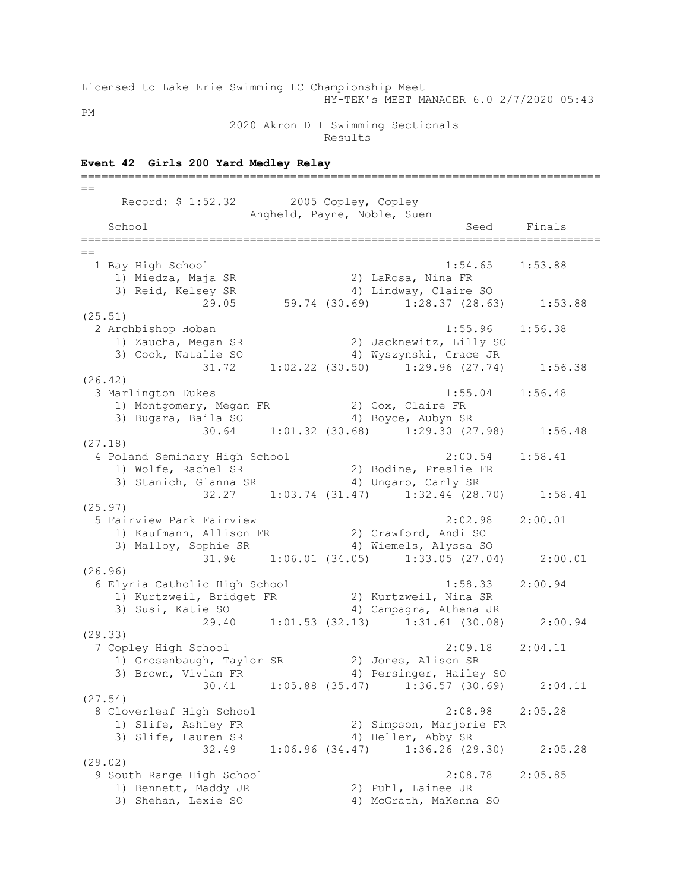Licensed to Lake Erie Swimming LC Championship Meet HY-TEK's MEET MANAGER 6.0 2/7/2020 05:43

PM

## 2020 Akron DII Swimming Sectionals

Results

## **Event 42 Girls 200 Yard Medley Relay** =============================================================================  $=$ Record: \$ 1:52.32 2005 Copley, Copley Angheld, Payne, Noble, Suen School Seed Finals =============================================================================  $-$  1 Bay High School 1:54.65 1:53.88 1) Miedza, Maja SR 2) LaRosa, Nina FR 3) Reid, Kelsey SR 4) Lindway, Claire SO 29.05 59.74 (30.69) 1:28.37 (28.63) 1:53.88 (25.51) 2 Archbishop Hoban 1:55.96 1:56.38 1) Zaucha, Megan SR 2) Jacknewitz, Lilly SO 3) Cook, Natalie SO 4) Wyszynski, Grace JR 31.72 1:02.22 (30.50) 1:29.96 (27.74) 1:56.38 (26.42) 3 Marlington Dukes 1:55.04 1:56.48 1) Montgomery, Megan FR 2) Cox, Claire FR 3) Bugara, Baila SO 4) Boyce, Aubyn SR 30.64 1:01.32 (30.68) 1:29.30 (27.98) 1:56.48 (27.18) 4 Poland Seminary High School 2:00.54 1:58.41 1) Wolfe, Rachel SR 2) Bodine, Preslie FR 3) Stanich, Gianna SR 4) Ungaro, Carly SR 32.27 1:03.74 (31.47) 1:32.44 (28.70) 1:58.41 (25.97) 5 Fairview Park Fairview 2:02.98 2:00.01 1) Kaufmann, Allison FR 2) Crawford, Andi SO 3) Malloy, Sophie SR 4) Wiemels, Alyssa SO 31.96 1:06.01 (34.05) 1:33.05 (27.04) 2:00.01 (26.96) 6 Elyria Catholic High School 1:58.33 2:00.94 1) Kurtzweil, Bridget FR 2) Kurtzweil, Nina SR 3) Susi, Katie SO 4) Campagra, Athena JR 29.40 1:01.53 (32.13) 1:31.61 (30.08) 2:00.94 (29.33) 7 Copley High School 2:09.18 2:04.11 1) Grosenbaugh, Taylor SR 2) Jones, Alison SR 3) Brown, Vivian FR 4) Persinger, Hailey SO 30.41 1:05.88 (35.47) 1:36.57 (30.69) 2:04.11 (27.54) 8 Cloverleaf High School 2:08.98 2:05.28 1) Slife, Ashley FR 2) Simpson, Marjorie FR 3) Slife, Lauren SR 4) Heller, Abby SR 32.49 1:06.96 (34.47) 1:36.26 (29.30) 2:05.28 (29.02) 9 South Range High School 2:08.78 2:05.85 1) Bennett, Maddy JR 2) Puhl, Lainee JR 3) Shehan, Lexie SO 4) McGrath, MaKenna SO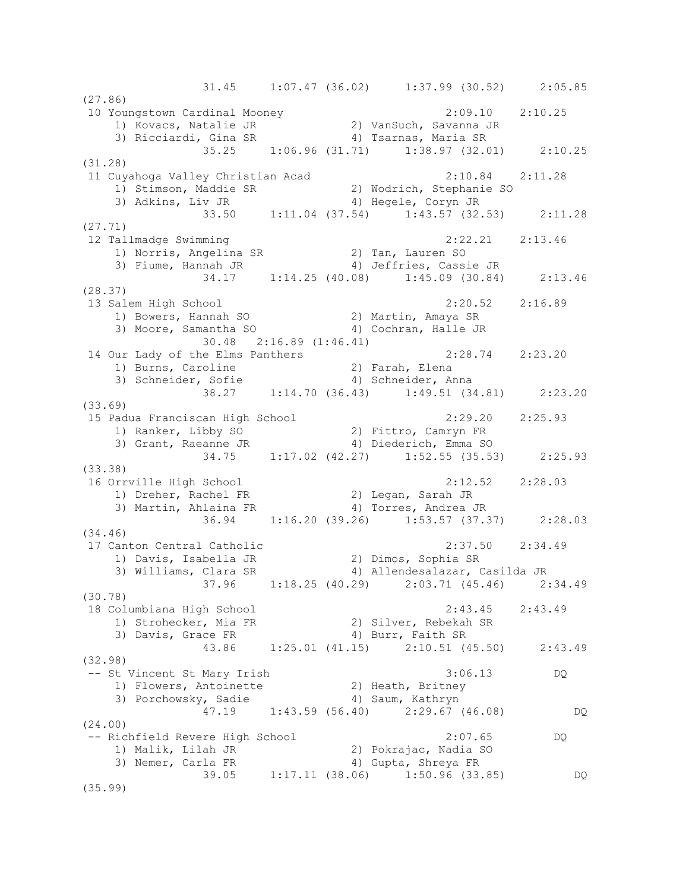31.45 1:07.47 (36.02) 1:37.99 (30.52) 2:05.85 (27.86) 10 Youngstown Cardinal Mooney 2:09.10 2:10.25 1) Kovacs, Natalie JR 2) VanSuch, Savanna JR 3) Ricciardi, Gina SR 4) Tsarnas, Maria SR 35.25 1:06.96 (31.71) 1:38.97 (32.01) 2:10.25 (31.28) 11 Cuyahoga Valley Christian Acad 2:10.84 2:11.28 1) Stimson, Maddie SR 2) Wodrich, Stephanie SO 3) Adkins, Liv JR 4) Hegele, Coryn JR 33.50 1:11.04 (37.54) 1:43.57 (32.53) 2:11.28 (27.71) 12 Tallmadge Swimming 2:22.21 2:13.46 1) Norris, Angelina SR 2) Tan, Lauren SO 3) Fiume, Hannah JR 4) Jeffries, Cassie JR 34.17 1:14.25 (40.08) 1:45.09 (30.84) 2:13.46 (28.37) 13 Salem High School 2:20.52 2:16.89 1) Bowers, Hannah SO 2) Martin, Amaya SR 3) Moore, Samantha SO 4) Cochran, Halle JR 30.48 2:16.89 (1:46.41) 14 Our Lady of the Elms Panthers 2:28.74 2:23.20 1) Burns, Caroline 2) Farah, Elena 3) Schneider, Sofie 4) Schneider, Anna 38.27 1:14.70 (36.43) 1:49.51 (34.81) 2:23.20 (33.69) 15 Padua Franciscan High School 2:29.20 2:25.93 1) Ranker, Libby SO 2) Fittro, Camryn FR 3) Grant, Raeanne JR 4) Diederich, Emma SO 34.75 1:17.02 (42.27) 1:52.55 (35.53) 2:25.93 (33.38)<br>16 Orrville High School 16 Orrville High School 2:12.52 2:28.03 1) Dreher, Rachel FR 2) Legan, Sarah JR 3) Martin, Ahlaina FR 4) Torres, Andrea JR 36.94 1:16.20 (39.26) 1:53.57 (37.37) 2:28.03 (34.46) 17 Canton Central Catholic 2:37.50 2:34.49 1) Davis, Isabella JR 2) Dimos, Sophia SR 3) Williams, Clara SR 4) Allendesalazar, Casilda JR 37.96 1:18.25 (40.29) 2:03.71 (45.46) 2:34.49 (30.78) 18 Columbiana High School 2:43.45 2:43.49 1) Strohecker, Mia FR 2) Silver, Rebekah SR 3) Davis, Grace FR 4) Burr, Faith SR 43.86 1:25.01 (41.15) Burr, Faith SR<br>43.86 1:25.01 (41.15) 2:10.51 (45.50) 2:43.49 (32.98) -- St Vincent St Mary Irish 3:06.13 DQ 1) Flowers, Antoinette 2) Heath, Britney<br>
2) Heath, Britney<br>
3) Porchowsky, Sadie 4) Saum, Kathryn 3) Porchowsky, Sadie (4) Saum, Kathryn 47.19 1:43.59 (56.40) 2:29.67 (46.08) DQ (24.00) -- Richfield Revere High School 2:07.65 DQ 1) Malik, Lilah JR 2) Pokrajac, Nadia SO 3) Nemer, Carla FR 4) Gupta, Shreya FR 1) Franch, 2000<br>39.05 1:17.11 (38.06) 1:50.96 (33.85) DQ<br>39.05 1:17.11 (38.06) 1:50.96 (33.85) (35.99)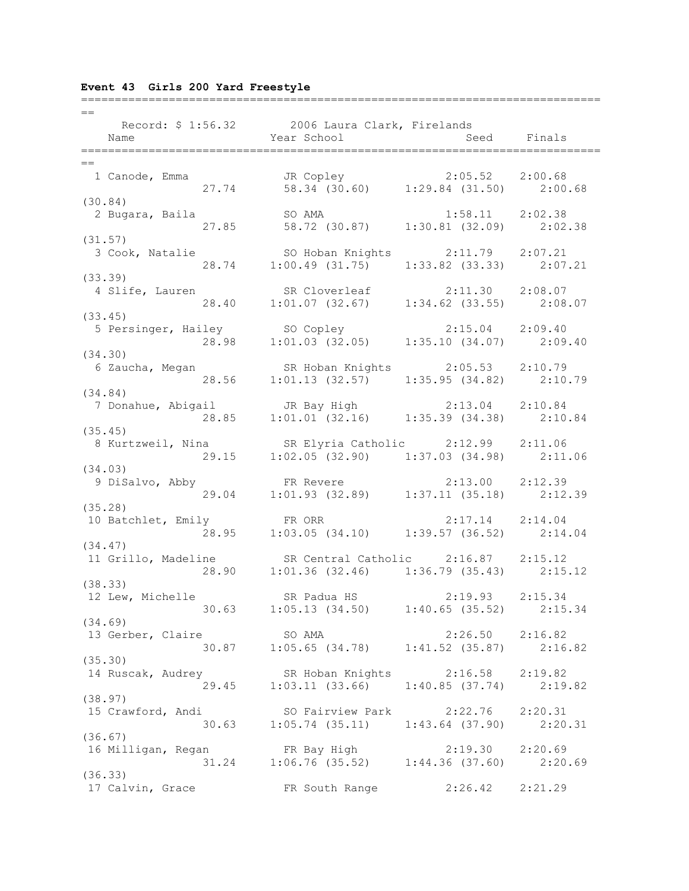# **Event 43 Girls 200 Yard Freestyle**

| $=$                                                                                                   |                                                                                |                     |  |
|-------------------------------------------------------------------------------------------------------|--------------------------------------------------------------------------------|---------------------|--|
| Record: \$ 1:56.32 2006 Laura Clark, Firelands                                                        |                                                                                |                     |  |
|                                                                                                       |                                                                                |                     |  |
| Name                                                                                                  | Year School and Seed Finals                                                    |                     |  |
|                                                                                                       |                                                                                |                     |  |
| $==$                                                                                                  |                                                                                |                     |  |
| 1 Canode, Emma<br>27.74 58.34 (30.60) 1:29.84 (31.50) 2:00.68                                         |                                                                                |                     |  |
|                                                                                                       |                                                                                |                     |  |
| (30.84)                                                                                               |                                                                                |                     |  |
| 2 Bugara, Baila                                                                                       | SO AMA                                                                         |                     |  |
|                                                                                                       | SO AMA<br>27.85 58.72 (30.87) 1:30.81 (32.09) 2:02.38                          |                     |  |
|                                                                                                       |                                                                                |                     |  |
| (31.57)                                                                                               |                                                                                |                     |  |
| 3 Cook, Natalie 50 Hoban Knights 2:11.79 2:07.21<br>28.74 1:00.49 (31.75) 1:33.82 (33.33) 2:07.21     |                                                                                |                     |  |
|                                                                                                       |                                                                                |                     |  |
| (33.39)                                                                                               |                                                                                |                     |  |
| 4 Slife, Lauren                                                                                       | SR Cloverleaf 2:11.30 2:08.07                                                  |                     |  |
|                                                                                                       | 28.40 1:01.07 (32.67) 1:34.62 (33.55) 2:08.07                                  |                     |  |
|                                                                                                       |                                                                                |                     |  |
| (33.45)                                                                                               |                                                                                |                     |  |
| 5 Persinger, Hailey                                                                                   |                                                                                |                     |  |
|                                                                                                       | ley 50 Copley 2:15.04 2:09.40<br>28.98 1:01.03 (32.05) 1:35.10 (34.07) 2:09.40 |                     |  |
| (34.30)                                                                                               |                                                                                |                     |  |
| 6 Zaucha, Megan SR Hoban Knights 2:05.53 2:10.79                                                      |                                                                                |                     |  |
|                                                                                                       | 28.56 1:01.13 (32.57) 1:35.95 (34.82) 2:10.79                                  |                     |  |
| (34.84)                                                                                               |                                                                                |                     |  |
|                                                                                                       |                                                                                |                     |  |
| 7 Donahue, Abigail (JR Bay High (2:13.04 2:10.84)                                                     |                                                                                |                     |  |
| 28.85                                                                                                 | $1:01.01$ (32.16) $1:35.39$ (34.38) $2:10.84$                                  |                     |  |
| (35.45)                                                                                               |                                                                                |                     |  |
| 8 Kurtzweil, Nina SR Elyria Catholic 2:12.99 2:11.06<br>29.15 1:02.05 (32.90) 1:37.03 (34.98) 2:11.06 |                                                                                |                     |  |
|                                                                                                       |                                                                                |                     |  |
| (34.03)                                                                                               |                                                                                |                     |  |
|                                                                                                       |                                                                                |                     |  |
| 9 Disalvo, Abby FR Revere 2:13.00 2:12.39<br>29.04 1:01.93 (32.89) 1:37.11 (35.18) 2:12.39            |                                                                                |                     |  |
|                                                                                                       |                                                                                |                     |  |
| (35.28)                                                                                               |                                                                                |                     |  |
| 10 Batchlet, Emily FR ORR                                                                             |                                                                                | $2:17.14$ $2:14.04$ |  |
|                                                                                                       | 28.95 1:03.05 (34.10) 1:39.57 (36.52) 2:14.04                                  |                     |  |
| (34.47)                                                                                               |                                                                                |                     |  |
| 11 Grillo, Madeline                                                                                   | SR Central Catholic 2:16.87 2:15.12                                            |                     |  |
|                                                                                                       | 28.90 1:01.36 (32.46) 1:36.79 (35.43) 2:15.12                                  |                     |  |
|                                                                                                       |                                                                                |                     |  |
| (38.33)                                                                                               |                                                                                |                     |  |
| 12 Lew, Michelle SR Padua HS 2:19.93 2:15.34<br>30.63 1:05.13 (34.50) 1:40.65 (35.52) 2:15.34         |                                                                                |                     |  |
|                                                                                                       |                                                                                |                     |  |
| (34.69)                                                                                               |                                                                                |                     |  |
|                                                                                                       |                                                                                |                     |  |
| 13 Gerber, Claire 50 AMA 2:26.50 2:16.82<br>30.87 1:05.65 (34.78) 1:41.52 (35.87) 2:16.82             |                                                                                |                     |  |
| (35.30)                                                                                               |                                                                                |                     |  |
|                                                                                                       |                                                                                |                     |  |
| 14 Ruscak, Audrey SR Hoban Knights 2:16.58 2:19.82<br>29.45 1:03.11 (33.66) 1:40.85 (37.74) 2:19.82   |                                                                                |                     |  |
|                                                                                                       |                                                                                |                     |  |
| (38.97)                                                                                               |                                                                                |                     |  |
| 15 Crawford, Andi SO Fairview Park 2:22.76 2:20.31<br>30.63 1:05.74 (35.11) 1:43.64 (37.90) 2:20.31   |                                                                                |                     |  |
|                                                                                                       |                                                                                |                     |  |
| (36.67)                                                                                               |                                                                                |                     |  |
|                                                                                                       |                                                                                |                     |  |
| 16 Milligan, Regan FR Bay High 2:19.30 2:20.69<br>31.24 1:06.76 (35.52) 1:44.36 (37.60) 2:20.69       |                                                                                |                     |  |
|                                                                                                       |                                                                                |                     |  |
| (36.33)                                                                                               |                                                                                |                     |  |
| 17 Calvin, Grace                                                                                      | FR South Range 2:26.42 2:21.29                                                 |                     |  |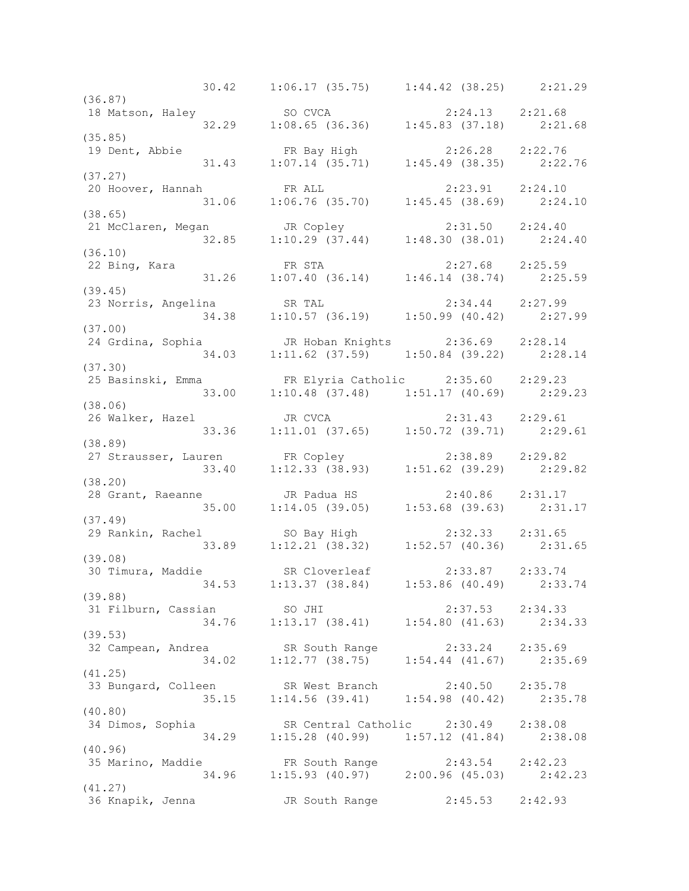30.42 1:06.17 (35.75) 1:44.42 (38.25) 2:21.29 (36.87) 18 Matson, Haley SO CVCA 2:24.13 2:21.68 32.29 1:08.65 (36.36) 1:45.83 (37.18) 2:21.68 (35.85) 19 Dent, Abbie FR Bay High 2:26.28 2:22.76 31.43 1:07.14 (35.71) 1:45.49 (38.35) 2:22.76 (37.27) 20 Hoover, Hannah FR ALL 2:23.91 2:24.10 31.06 1:06.76 (35.70) 1:45.45 (38.69) 2:24.10 (38.65) 21 McClaren, Megan JR Copley 2:31.50 2:24.40 32.85 1:10.29 (37.44) 1:48.30 (38.01) 2:24.40 (36.10) 22 Bing, Kara FR STA 2:27.68 2:25.59 31.26 1:07.40 (36.14) 1:46.14 (38.74) 2:25.59 (39.45) 23 Norris, Angelina SR TAL 2:34.44 2:27.99 34.38 1:10.57 (36.19) 1:50.99 (40.42) 2:27.99 (37.00) 24 Grdina, Sophia JR Hoban Knights 2:36.69 2:28.14 34.03 1:11.62 (37.59) 1:50.84 (39.22) 2:28.14 (37.30) 25 Basinski, Emma FR Elyria Catholic 2:35.60 2:29.23 33.00 1:10.48 (37.48) 1:51.17 (40.69) 2:29.23 (38.06) 26 Walker, Hazel JR CVCA 2:31.43 2:29.61 33.36 1:11.01 (37.65) 1:50.72 (39.71) 2:29.61 (38.89) 27 Strausser, Lauren FR Copley 2:38.89 2:29.82 33.40 1:12.33 (38.93) 1:51.62 (39.29) 2:29.82 (38.20) 28 Grant, Raeanne JR Padua HS 2:40.86 2:31.17 35.00 1:14.05 (39.05) 1:53.68 (39.63) 2:31.17 (37.49) 29 Rankin, Rachel SO Bay High 2:32.33 2:31.65 33.89 1:12.21 (38.32) 1:52.57 (40.36) 2:31.65 (39.08) 30 Timura, Maddie SR Cloverleaf 2:33.87 2:33.74 34.53 1:13.37 (38.84) 1:53.86 (40.49) 2:33.74 (39.88) 31 Filburn, Cassian SO JHI 2:37.53 2:34.33 34.76 1:13.17 (38.41) 1:54.80 (41.63) 2:34.33 (39.53) 32 Campean, Andrea SR South Range 2:33.24 2:35.69 34.02 1:12.77 (38.75) 1:54.44 (41.67) 2:35.69 (41.25) 33 Bungard, Colleen SR West Branch 2:40.50 2:35.78 35.15 1:14.56 (39.41) 1:54.98 (40.42) 2:35.78 (40.80) 34 Dimos, Sophia SR Central Catholic 2:30.49 2:38.08 34.29 1:15.28 (40.99) 1:57.12 (41.84) 2:38.08 (40.96) 35 Marino, Maddie FR South Range 2:43.54 2:42.23 34.96 1:15.93 (40.97) 2:00.96 (45.03) 2:42.23 (41.27) 36 Knapik, Jenna JR South Range 2:45.53 2:42.93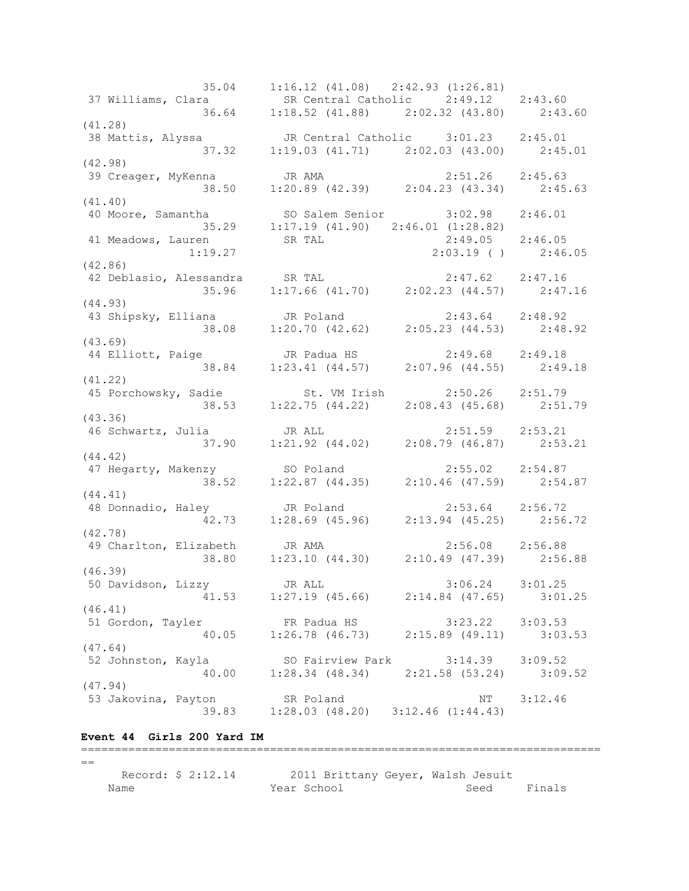35.04 1:16.12 (41.08) 2:42.93 (1:26.81) 37 Williams, Clara SR Central Catholic 2:49.12 2:43.60 36.64 1:18.52 (41.88) 2:02.32 (43.80) 2:43.60 (41.28) 38 Mattis, Alyssa JR Central Catholic 3:01.23 2:45.01 37.32 1:19.03 (41.71) 2:02.03 (43.00) 2:45.01 (42.98) 39 Creager, MyKenna JR AMA 2:51.26 2:45.63 38.50 1:20.89 (42.39) 2:04.23 (43.34) 2:45.63 (41.40) 40 Moore, Samantha SO Salem Senior 3:02.98 2:46.01 35.29 1:17.19 (41.90) 2:46.01 (1:28.82) 41 Meadows, Lauren SR TAL 2:49.05 2:46.05 1:19.27 2:03.19 ( ) 2:46.05 (42.86) 42 Deblasio, Alessandra SR TAL 2:47.62 2:47.16 35.96 1:17.66 (41.70) 2:02.23 (44.57) 2:47.16 (44.93) 43 Shipsky, Elliana JR Poland 2:43.64 2:48.92 38.08 1:20.70 (42.62) 2:05.23 (44.53) 2:48.92 (43.69) 44 Elliott, Paige JR Padua HS 2:49.68 2:49.18 38.84 1:23.41 (44.57) 2:07.96 (44.55) 2:49.18 (41.22) 45 Porchowsky, Sadie St. VM Irish 2:50.26 2:51.79 38.53 1:22.75 (44.22) 2:08.43 (45.68) 2:51.79 (43.36) 46 Schwartz, Julia JR ALL 2:51.59 2:53.21 37.90 1:21.92 (44.02) 2:08.79 (46.87) 2:53.21 (44.42) 47 Hegarty, Makenzy SO Poland 2:55.02 2:54.87 38.52 1:22.87 (44.35) 2:10.46 (47.59) 2:54.87 (44.41) 48 Donnadio, Haley JR Poland 2:53.64 2:56.72 42.73 1:28.69 (45.96) 2:13.94 (45.25) 2:56.72 (42.78) 49 Charlton, Elizabeth JR AMA 2:56.08 2:56.88 38.80 1:23.10 (44.30) 2:10.49 (47.39) 2:56.88 (46.39) 50 Davidson, Lizzy JR ALL 3:06.24 3:01.25 41.53 1:27.19 (45.66) 2:14.84 (47.65) 3:01.25 (46.41) 51 Gordon, Tayler FR Padua HS 3:23.22 3:03.53 40.05 1:26.78 (46.73) 2:15.89 (49.11) 3:03.53 (47.64) 52 Johnston, Kayla SO Fairview Park 3:14.39 3:09.52 40.00 1:28.34 (48.34) 2:21.58 (53.24) 3:09.52 (47.94) 53 Jakovina, Payton SR Poland NT 3:12.46 39.83 1:28.03 (48.20) 3:12.46 (1:44.43)

## **Event 44 Girls 200 Yard IM**

=============================================================================  $=$  Record: \$ 2:12.14 2011 Brittany Geyer, Walsh Jesuit Name Seed Finals (Name Seed Finals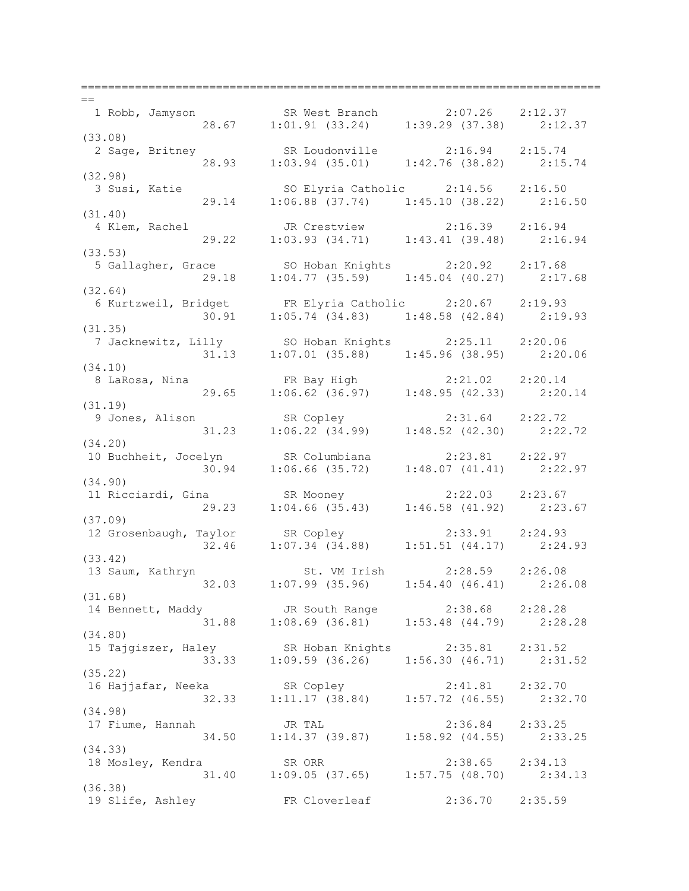=============================================================================  $-$  1 Robb, Jamyson SR West Branch 2:07.26 2:12.37 28.67 1:01.91 (33.24) 1:39.29 (37.38) 2:12.37 (33.08) 2 Sage, Britney SR Loudonville 2:16.94 2:15.74 28.93 1:03.94 (35.01) 1:42.76 (38.82) 2:15.74 (32.98) 3 Susi, Katie SO Elyria Catholic 2:14.56 2:16.50 29.14 1:06.88 (37.74) 1:45.10 (38.22) 2:16.50 (31.40) 4 Klem, Rachel JR Crestview 2:16.39 2:16.94 29.22 1:03.93 (34.71) 1:43.41 (39.48) 2:16.94 (33.53) 5 Gallagher, Grace SO Hoban Knights 2:20.92 2:17.68 29.18 1:04.77 (35.59) 1:45.04 (40.27) 2:17.68 (32.64) 6 Kurtzweil, Bridget FR Elyria Catholic 2:20.67 2:19.93 30.91 1:05.74 (34.83) 1:48.58 (42.84) 2:19.93 (31.35) 7 Jacknewitz, Lilly SO Hoban Knights 2:25.11 2:20.06 31.13 1:07.01 (35.88) 1:45.96 (38.95) 2:20.06 (34.10) 8 LaRosa, Nina FR Bay High 2:21.02 2:20.14 29.65 1:06.62 (36.97) 1:48.95 (42.33) 2:20.14 (31.19) 9 Jones, Alison SR Copley 2:31.64 2:22.72 31.23 1:06.22 (34.99) 1:48.52 (42.30) 2:22.72 (34.20) 10 Buchheit, Jocelyn SR Columbiana 2:23.81 2:22.97 30.94 1:06.66 (35.72) 1:48.07 (41.41) 2:22.97 (34.90) 11 Ricciardi, Gina SR Mooney 2:22.03 2:23.67 29.23 1:04.66 (35.43) 1:46.58 (41.92) 2:23.67 (37.09) 12 Grosenbaugh, Taylor SR Copley 2:33.91 2:24.93 32.46 1:07.34 (34.88) 1:51.51 (44.17) 2:24.93 (33.42) 13 Saum, Kathryn St. VM Irish 2:28.59 2:26.08 32.03 1:07.99 (35.96) 1:54.40 (46.41) 2:26.08 (31.68) 14 Bennett, Maddy JR South Range 2:38.68 2:28.28 31.88 1:08.69 (36.81) 1:53.48 (44.79) 2:28.28 (34.80) 15 Tajgiszer, Haley SR Hoban Knights 2:35.81 2:31.52 33.33 1:09.59 (36.26) 1:56.30 (46.71) 2:31.52 (35.22) 16 Hajjafar, Neeka SR Copley 2:41.81 2:32.70 32.33 1:11.17 (38.84) 1:57.72 (46.55) 2:32.70 (34.98) 17 Fiume, Hannah JR TAL 2:36.84 2:33.25 34.50 1:14.37 (39.87) 1:58.92 (44.55) 2:33.25 (34.33) 18 Mosley, Kendra SR ORR 2:38.65 2:34.13 31.40 1:09.05 (37.65) 1:57.75 (48.70) 2:34.13 (36.38) 19 Slife, Ashley FR Cloverleaf 2:36.70 2:35.59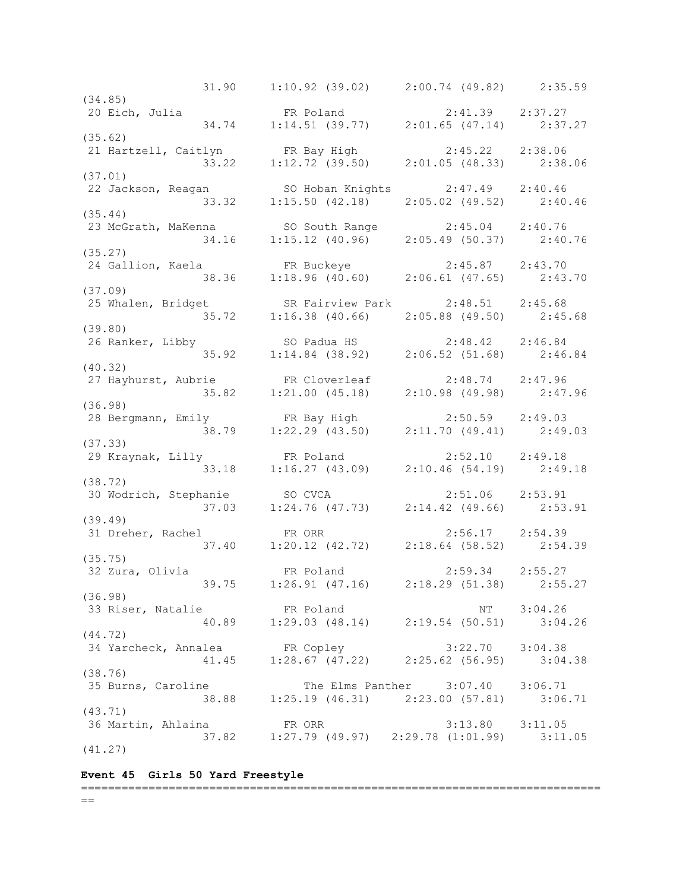31.90 1:10.92 (39.02) 2:00.74 (49.82) 2:35.59 (34.85)<br>20 Eich, Julia 20 Eich, Julia FR Poland 2:41.39 2:37.27 34.74 1:14.51 (39.77) 2:01.65 (47.14) 2:37.27 (35.62) 21 Hartzell, Caitlyn FR Bay High 2:45.22 2:38.06 33.22 1:12.72 (39.50) 2:01.05 (48.33) 2:38.06 (37.01) 22 Jackson, Reagan SO Hoban Knights 2:47.49 2:40.46 33.32 1:15.50 (42.18) 2:05.02 (49.52) 2:40.46 (35.44) 23 McGrath, MaKenna SO South Range 2:45.04 2:40.76 34.16 1:15.12 (40.96) 2:05.49 (50.37) 2:40.76 (35.27) 24 Gallion, Kaela FR Buckeye 2:45.87 2:43.70 38.36 1:18.96 (40.60) 2:06.61 (47.65) 2:43.70 (37.09) 25 Whalen, Bridget SR Fairview Park 2:48.51 2:45.68 35.72 1:16.38 (40.66) 2:05.88 (49.50) 2:45.68 (39.80) 26 Ranker, Libby SO Padua HS 2:48.42 2:46.84 35.92 1:14.84 (38.92) 2:06.52 (51.68) 2:46.84 (40.32) 27 Hayhurst, Aubrie FR Cloverleaf 2:48.74 2:47.96 35.82 1:21.00 (45.18) 2:10.98 (49.98) 2:47.96 (36.98) 28 Bergmann, Emily FR Bay High 2:50.59 2:49.03 38.79 1:22.29 (43.50) 2:11.70 (49.41) 2:49.03 (37.33) 29 Kraynak, Lilly FR Poland 2:52.10 2:49.18 33.18 1:16.27 (43.09) 2:10.46 (54.19) 2:49.18 (38.72) 30 Wodrich, Stephanie SO CVCA 2:51.06 2:53.91 37.03 1:24.76 (47.73) 2:14.42 (49.66) 2:53.91 (39.49)<br>31 Dreher, Rachel 31 Dreher, Rachel FR ORR 2:56.17 2:54.39 37.40 1:20.12 (42.72) 2:18.64 (58.52) 2:54.39 (35.75)<br>32 Zura, Olivia 32 Zura, Olivia FR Poland 2:59.34 2:55.27 39.75 1:26.91 (47.16) 2:18.29 (51.38) 2:55.27 (36.98) 33 Riser, Natalie 1986 FR Poland 1988 NT 3:04.26 40.89 1:29.03 (48.14) 2:19.54 (50.51) 3:04.26 (44.72) 34 Yarcheck, Annalea FR Copley 3:22.70 3:04.38 41.45 1:28.67 (47.22) 2:25.62 (56.95) 3:04.38 (38.76) 35 Burns, Caroline The Elms Panther 3:07.40 3:06.71 38.88 1:25.19 (46.31) 2:23.00 (57.81) 3:06.71 (43.71) 36 Martin, Ahlaina FR ORR 3:13.80 3:11.05 37.82 1:27.79 (49.97) 2:29.78 (1:01.99) 3:11.05 (41.27)

## **Event 45 Girls 50 Yard Freestyle**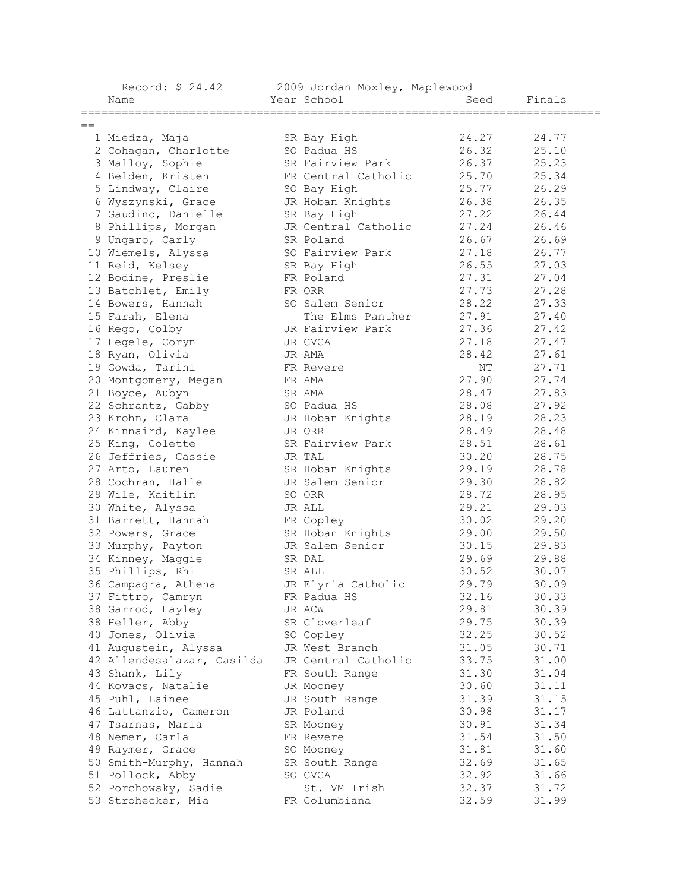| Year School<br>Name<br>Seed<br>Finals<br>$==$<br>SR Bay High<br>24.27<br>24.77<br>1 Miedza, Maja<br>26.32<br>25.10<br>2 Cohagan, Charlotte<br>SO Padua HS<br>26.37<br>3 Malloy, Sophie<br>SR Fairview Park<br>25.23<br>25.70<br>25.34<br>4 Belden, Kristen<br>FR Central Catholic<br>25.77<br>26.29<br>5 Lindway, Claire<br>SO Bay High<br>6 Wyszynski, Grace<br>26.38<br>JR Hoban Knights<br>26.35<br>7 Gaudino, Danielle<br>SR Bay High<br>27.22<br>26.44<br>27.24<br>8 Phillips, Morgan<br>26.46<br>JR Central Catholic<br>26.67<br>26.69<br>9 Ungaro, Carly<br>SR Poland<br>10 Wiemels, Alyssa<br>27.18<br>26.77<br>SO Fairview Park<br>26.55<br>27.03<br>11 Reid, Kelsey<br>SR Bay High<br>12 Bodine, Preslie<br>FR Poland<br>27.31<br>27.04<br>27.73<br>27.28<br>13 Batchlet, Emily<br>FR ORR<br>28.22<br>27.33<br>SO Salem Senior<br>14 Bowers, Hannah<br>27.91<br>15 Farah, Elena<br>The Elms Panther<br>27.40<br>27.36<br>JR Fairview Park<br>27.42<br>16 Rego, Colby<br>27.18<br>17 Hegele, Coryn<br>27.47<br>JR CVCA<br>28.42<br>27.61<br>18 Ryan, Olivia<br>JR AMA<br>19 Gowda, Tarini<br>ΝT<br>27.71<br>FR Revere<br>27.90<br>27.74<br>20 Montgomery, Megan<br>FR AMA<br>28.47<br>27.83<br>21 Boyce, Aubyn<br>SR AMA<br>28.08<br>27.92<br>22 Schrantz, Gabby<br>SO Padua HS<br>28.19<br>28.23<br>23 Krohn, Clara<br>JR Hoban Knights<br>28.49<br>24 Kinnaird, Kaylee<br>28.48<br>JR ORR<br>25 King, Colette<br>SR Fairview Park<br>28.51<br>28.61<br>26 Jeffries, Cassie<br>30.20<br>28.75<br>JR TAL<br>29.19<br>28.78<br>SR Hoban Knights<br>27 Arto, Lauren<br>29.30<br>28.82<br>28 Cochran, Halle<br>JR Salem Senior<br>28.72<br>28.95<br>29 Wile, Kaitlin<br>SO ORR<br>29.21<br>29.03<br>30 White, Alyssa<br>JR ALL<br>30.02<br>29.20<br>31 Barrett, Hannah<br>FR Copley<br>SR Hoban Knights<br>29.00<br>29.50<br>32 Powers, Grace<br>JR Salem Senior<br>30.15<br>29.83<br>33 Murphy, Payton<br>34 Kinney, Maggie<br>29.69<br>29.88<br>SR DAL<br>30.52<br>35 Phillips, Rhi<br>SR ALL<br>30.07<br>29.79<br>JR Elyria Catholic<br>30.09<br>36 Campagra, Athena<br>32.16<br>37 Fittro, Camryn<br>FR Padua HS<br>30.33<br>29.81<br>38 Garrod, Hayley<br>JR ACW<br>30.39<br>29.75<br>30.39<br>38 Heller, Abby<br>SR Cloverleaf<br>40 Jones, Olivia<br>32.25<br>SO Copley<br>30.52<br>41 Augustein, Alyssa<br>JR West Branch<br>31.05<br>30.71<br>33.75<br>42 Allendesalazar, Casilda<br>JR Central Catholic<br>31.00<br>43 Shank, Lily<br>31.30<br>31.04<br>FR South Range<br>30.60<br>44 Kovacs, Natalie<br>JR Mooney<br>31.11<br>45 Puhl, Lainee<br>31.39<br>31.15<br>JR South Range<br>JR Poland<br>30.98<br>31.17<br>46 Lattanzio, Cameron<br>30.91<br>47 Tsarnas, Maria<br>SR Mooney<br>31.34<br>31.54<br>48 Nemer, Carla<br>FR Revere<br>31.50<br>31.81<br>49 Raymer, Grace<br>SO Mooney<br>31.60<br>50 Smith-Murphy, Hannah<br>32.69<br>SR South Range<br>31.65<br>51 Pollock, Abby<br>SO CVCA<br>32.92<br>31.66<br>52 Porchowsky, Sadie<br>St. VM Irish<br>32.37<br>31.72<br>32.59<br>53 Strohecker, Mia<br>31.99<br>FR Columbiana | 2009 Jordan Moxley, Maplewood<br>Record: \$ 24.42 |  |  |  |  |
|--------------------------------------------------------------------------------------------------------------------------------------------------------------------------------------------------------------------------------------------------------------------------------------------------------------------------------------------------------------------------------------------------------------------------------------------------------------------------------------------------------------------------------------------------------------------------------------------------------------------------------------------------------------------------------------------------------------------------------------------------------------------------------------------------------------------------------------------------------------------------------------------------------------------------------------------------------------------------------------------------------------------------------------------------------------------------------------------------------------------------------------------------------------------------------------------------------------------------------------------------------------------------------------------------------------------------------------------------------------------------------------------------------------------------------------------------------------------------------------------------------------------------------------------------------------------------------------------------------------------------------------------------------------------------------------------------------------------------------------------------------------------------------------------------------------------------------------------------------------------------------------------------------------------------------------------------------------------------------------------------------------------------------------------------------------------------------------------------------------------------------------------------------------------------------------------------------------------------------------------------------------------------------------------------------------------------------------------------------------------------------------------------------------------------------------------------------------------------------------------------------------------------------------------------------------------------------------------------------------------------------------------------------------------------------------------------------------------------------------------------------------------------------------------------------------------------------------------------------------------------------------------------------------------------------------------------------------------------------------------------------------------------------------------------------|---------------------------------------------------|--|--|--|--|
|                                                                                                                                                                                                                                                                                                                                                                                                                                                                                                                                                                                                                                                                                                                                                                                                                                                                                                                                                                                                                                                                                                                                                                                                                                                                                                                                                                                                                                                                                                                                                                                                                                                                                                                                                                                                                                                                                                                                                                                                                                                                                                                                                                                                                                                                                                                                                                                                                                                                                                                                                                                                                                                                                                                                                                                                                                                                                                                                                                                                                                                        |                                                   |  |  |  |  |
|                                                                                                                                                                                                                                                                                                                                                                                                                                                                                                                                                                                                                                                                                                                                                                                                                                                                                                                                                                                                                                                                                                                                                                                                                                                                                                                                                                                                                                                                                                                                                                                                                                                                                                                                                                                                                                                                                                                                                                                                                                                                                                                                                                                                                                                                                                                                                                                                                                                                                                                                                                                                                                                                                                                                                                                                                                                                                                                                                                                                                                                        |                                                   |  |  |  |  |
|                                                                                                                                                                                                                                                                                                                                                                                                                                                                                                                                                                                                                                                                                                                                                                                                                                                                                                                                                                                                                                                                                                                                                                                                                                                                                                                                                                                                                                                                                                                                                                                                                                                                                                                                                                                                                                                                                                                                                                                                                                                                                                                                                                                                                                                                                                                                                                                                                                                                                                                                                                                                                                                                                                                                                                                                                                                                                                                                                                                                                                                        |                                                   |  |  |  |  |
|                                                                                                                                                                                                                                                                                                                                                                                                                                                                                                                                                                                                                                                                                                                                                                                                                                                                                                                                                                                                                                                                                                                                                                                                                                                                                                                                                                                                                                                                                                                                                                                                                                                                                                                                                                                                                                                                                                                                                                                                                                                                                                                                                                                                                                                                                                                                                                                                                                                                                                                                                                                                                                                                                                                                                                                                                                                                                                                                                                                                                                                        |                                                   |  |  |  |  |
|                                                                                                                                                                                                                                                                                                                                                                                                                                                                                                                                                                                                                                                                                                                                                                                                                                                                                                                                                                                                                                                                                                                                                                                                                                                                                                                                                                                                                                                                                                                                                                                                                                                                                                                                                                                                                                                                                                                                                                                                                                                                                                                                                                                                                                                                                                                                                                                                                                                                                                                                                                                                                                                                                                                                                                                                                                                                                                                                                                                                                                                        |                                                   |  |  |  |  |
|                                                                                                                                                                                                                                                                                                                                                                                                                                                                                                                                                                                                                                                                                                                                                                                                                                                                                                                                                                                                                                                                                                                                                                                                                                                                                                                                                                                                                                                                                                                                                                                                                                                                                                                                                                                                                                                                                                                                                                                                                                                                                                                                                                                                                                                                                                                                                                                                                                                                                                                                                                                                                                                                                                                                                                                                                                                                                                                                                                                                                                                        |                                                   |  |  |  |  |
|                                                                                                                                                                                                                                                                                                                                                                                                                                                                                                                                                                                                                                                                                                                                                                                                                                                                                                                                                                                                                                                                                                                                                                                                                                                                                                                                                                                                                                                                                                                                                                                                                                                                                                                                                                                                                                                                                                                                                                                                                                                                                                                                                                                                                                                                                                                                                                                                                                                                                                                                                                                                                                                                                                                                                                                                                                                                                                                                                                                                                                                        |                                                   |  |  |  |  |
|                                                                                                                                                                                                                                                                                                                                                                                                                                                                                                                                                                                                                                                                                                                                                                                                                                                                                                                                                                                                                                                                                                                                                                                                                                                                                                                                                                                                                                                                                                                                                                                                                                                                                                                                                                                                                                                                                                                                                                                                                                                                                                                                                                                                                                                                                                                                                                                                                                                                                                                                                                                                                                                                                                                                                                                                                                                                                                                                                                                                                                                        |                                                   |  |  |  |  |
|                                                                                                                                                                                                                                                                                                                                                                                                                                                                                                                                                                                                                                                                                                                                                                                                                                                                                                                                                                                                                                                                                                                                                                                                                                                                                                                                                                                                                                                                                                                                                                                                                                                                                                                                                                                                                                                                                                                                                                                                                                                                                                                                                                                                                                                                                                                                                                                                                                                                                                                                                                                                                                                                                                                                                                                                                                                                                                                                                                                                                                                        |                                                   |  |  |  |  |
|                                                                                                                                                                                                                                                                                                                                                                                                                                                                                                                                                                                                                                                                                                                                                                                                                                                                                                                                                                                                                                                                                                                                                                                                                                                                                                                                                                                                                                                                                                                                                                                                                                                                                                                                                                                                                                                                                                                                                                                                                                                                                                                                                                                                                                                                                                                                                                                                                                                                                                                                                                                                                                                                                                                                                                                                                                                                                                                                                                                                                                                        |                                                   |  |  |  |  |
|                                                                                                                                                                                                                                                                                                                                                                                                                                                                                                                                                                                                                                                                                                                                                                                                                                                                                                                                                                                                                                                                                                                                                                                                                                                                                                                                                                                                                                                                                                                                                                                                                                                                                                                                                                                                                                                                                                                                                                                                                                                                                                                                                                                                                                                                                                                                                                                                                                                                                                                                                                                                                                                                                                                                                                                                                                                                                                                                                                                                                                                        |                                                   |  |  |  |  |
|                                                                                                                                                                                                                                                                                                                                                                                                                                                                                                                                                                                                                                                                                                                                                                                                                                                                                                                                                                                                                                                                                                                                                                                                                                                                                                                                                                                                                                                                                                                                                                                                                                                                                                                                                                                                                                                                                                                                                                                                                                                                                                                                                                                                                                                                                                                                                                                                                                                                                                                                                                                                                                                                                                                                                                                                                                                                                                                                                                                                                                                        |                                                   |  |  |  |  |
|                                                                                                                                                                                                                                                                                                                                                                                                                                                                                                                                                                                                                                                                                                                                                                                                                                                                                                                                                                                                                                                                                                                                                                                                                                                                                                                                                                                                                                                                                                                                                                                                                                                                                                                                                                                                                                                                                                                                                                                                                                                                                                                                                                                                                                                                                                                                                                                                                                                                                                                                                                                                                                                                                                                                                                                                                                                                                                                                                                                                                                                        |                                                   |  |  |  |  |
|                                                                                                                                                                                                                                                                                                                                                                                                                                                                                                                                                                                                                                                                                                                                                                                                                                                                                                                                                                                                                                                                                                                                                                                                                                                                                                                                                                                                                                                                                                                                                                                                                                                                                                                                                                                                                                                                                                                                                                                                                                                                                                                                                                                                                                                                                                                                                                                                                                                                                                                                                                                                                                                                                                                                                                                                                                                                                                                                                                                                                                                        |                                                   |  |  |  |  |
|                                                                                                                                                                                                                                                                                                                                                                                                                                                                                                                                                                                                                                                                                                                                                                                                                                                                                                                                                                                                                                                                                                                                                                                                                                                                                                                                                                                                                                                                                                                                                                                                                                                                                                                                                                                                                                                                                                                                                                                                                                                                                                                                                                                                                                                                                                                                                                                                                                                                                                                                                                                                                                                                                                                                                                                                                                                                                                                                                                                                                                                        |                                                   |  |  |  |  |
|                                                                                                                                                                                                                                                                                                                                                                                                                                                                                                                                                                                                                                                                                                                                                                                                                                                                                                                                                                                                                                                                                                                                                                                                                                                                                                                                                                                                                                                                                                                                                                                                                                                                                                                                                                                                                                                                                                                                                                                                                                                                                                                                                                                                                                                                                                                                                                                                                                                                                                                                                                                                                                                                                                                                                                                                                                                                                                                                                                                                                                                        |                                                   |  |  |  |  |
|                                                                                                                                                                                                                                                                                                                                                                                                                                                                                                                                                                                                                                                                                                                                                                                                                                                                                                                                                                                                                                                                                                                                                                                                                                                                                                                                                                                                                                                                                                                                                                                                                                                                                                                                                                                                                                                                                                                                                                                                                                                                                                                                                                                                                                                                                                                                                                                                                                                                                                                                                                                                                                                                                                                                                                                                                                                                                                                                                                                                                                                        |                                                   |  |  |  |  |
|                                                                                                                                                                                                                                                                                                                                                                                                                                                                                                                                                                                                                                                                                                                                                                                                                                                                                                                                                                                                                                                                                                                                                                                                                                                                                                                                                                                                                                                                                                                                                                                                                                                                                                                                                                                                                                                                                                                                                                                                                                                                                                                                                                                                                                                                                                                                                                                                                                                                                                                                                                                                                                                                                                                                                                                                                                                                                                                                                                                                                                                        |                                                   |  |  |  |  |
|                                                                                                                                                                                                                                                                                                                                                                                                                                                                                                                                                                                                                                                                                                                                                                                                                                                                                                                                                                                                                                                                                                                                                                                                                                                                                                                                                                                                                                                                                                                                                                                                                                                                                                                                                                                                                                                                                                                                                                                                                                                                                                                                                                                                                                                                                                                                                                                                                                                                                                                                                                                                                                                                                                                                                                                                                                                                                                                                                                                                                                                        |                                                   |  |  |  |  |
|                                                                                                                                                                                                                                                                                                                                                                                                                                                                                                                                                                                                                                                                                                                                                                                                                                                                                                                                                                                                                                                                                                                                                                                                                                                                                                                                                                                                                                                                                                                                                                                                                                                                                                                                                                                                                                                                                                                                                                                                                                                                                                                                                                                                                                                                                                                                                                                                                                                                                                                                                                                                                                                                                                                                                                                                                                                                                                                                                                                                                                                        |                                                   |  |  |  |  |
|                                                                                                                                                                                                                                                                                                                                                                                                                                                                                                                                                                                                                                                                                                                                                                                                                                                                                                                                                                                                                                                                                                                                                                                                                                                                                                                                                                                                                                                                                                                                                                                                                                                                                                                                                                                                                                                                                                                                                                                                                                                                                                                                                                                                                                                                                                                                                                                                                                                                                                                                                                                                                                                                                                                                                                                                                                                                                                                                                                                                                                                        |                                                   |  |  |  |  |
|                                                                                                                                                                                                                                                                                                                                                                                                                                                                                                                                                                                                                                                                                                                                                                                                                                                                                                                                                                                                                                                                                                                                                                                                                                                                                                                                                                                                                                                                                                                                                                                                                                                                                                                                                                                                                                                                                                                                                                                                                                                                                                                                                                                                                                                                                                                                                                                                                                                                                                                                                                                                                                                                                                                                                                                                                                                                                                                                                                                                                                                        |                                                   |  |  |  |  |
|                                                                                                                                                                                                                                                                                                                                                                                                                                                                                                                                                                                                                                                                                                                                                                                                                                                                                                                                                                                                                                                                                                                                                                                                                                                                                                                                                                                                                                                                                                                                                                                                                                                                                                                                                                                                                                                                                                                                                                                                                                                                                                                                                                                                                                                                                                                                                                                                                                                                                                                                                                                                                                                                                                                                                                                                                                                                                                                                                                                                                                                        |                                                   |  |  |  |  |
|                                                                                                                                                                                                                                                                                                                                                                                                                                                                                                                                                                                                                                                                                                                                                                                                                                                                                                                                                                                                                                                                                                                                                                                                                                                                                                                                                                                                                                                                                                                                                                                                                                                                                                                                                                                                                                                                                                                                                                                                                                                                                                                                                                                                                                                                                                                                                                                                                                                                                                                                                                                                                                                                                                                                                                                                                                                                                                                                                                                                                                                        |                                                   |  |  |  |  |
|                                                                                                                                                                                                                                                                                                                                                                                                                                                                                                                                                                                                                                                                                                                                                                                                                                                                                                                                                                                                                                                                                                                                                                                                                                                                                                                                                                                                                                                                                                                                                                                                                                                                                                                                                                                                                                                                                                                                                                                                                                                                                                                                                                                                                                                                                                                                                                                                                                                                                                                                                                                                                                                                                                                                                                                                                                                                                                                                                                                                                                                        |                                                   |  |  |  |  |
|                                                                                                                                                                                                                                                                                                                                                                                                                                                                                                                                                                                                                                                                                                                                                                                                                                                                                                                                                                                                                                                                                                                                                                                                                                                                                                                                                                                                                                                                                                                                                                                                                                                                                                                                                                                                                                                                                                                                                                                                                                                                                                                                                                                                                                                                                                                                                                                                                                                                                                                                                                                                                                                                                                                                                                                                                                                                                                                                                                                                                                                        |                                                   |  |  |  |  |
|                                                                                                                                                                                                                                                                                                                                                                                                                                                                                                                                                                                                                                                                                                                                                                                                                                                                                                                                                                                                                                                                                                                                                                                                                                                                                                                                                                                                                                                                                                                                                                                                                                                                                                                                                                                                                                                                                                                                                                                                                                                                                                                                                                                                                                                                                                                                                                                                                                                                                                                                                                                                                                                                                                                                                                                                                                                                                                                                                                                                                                                        |                                                   |  |  |  |  |
|                                                                                                                                                                                                                                                                                                                                                                                                                                                                                                                                                                                                                                                                                                                                                                                                                                                                                                                                                                                                                                                                                                                                                                                                                                                                                                                                                                                                                                                                                                                                                                                                                                                                                                                                                                                                                                                                                                                                                                                                                                                                                                                                                                                                                                                                                                                                                                                                                                                                                                                                                                                                                                                                                                                                                                                                                                                                                                                                                                                                                                                        |                                                   |  |  |  |  |
|                                                                                                                                                                                                                                                                                                                                                                                                                                                                                                                                                                                                                                                                                                                                                                                                                                                                                                                                                                                                                                                                                                                                                                                                                                                                                                                                                                                                                                                                                                                                                                                                                                                                                                                                                                                                                                                                                                                                                                                                                                                                                                                                                                                                                                                                                                                                                                                                                                                                                                                                                                                                                                                                                                                                                                                                                                                                                                                                                                                                                                                        |                                                   |  |  |  |  |
|                                                                                                                                                                                                                                                                                                                                                                                                                                                                                                                                                                                                                                                                                                                                                                                                                                                                                                                                                                                                                                                                                                                                                                                                                                                                                                                                                                                                                                                                                                                                                                                                                                                                                                                                                                                                                                                                                                                                                                                                                                                                                                                                                                                                                                                                                                                                                                                                                                                                                                                                                                                                                                                                                                                                                                                                                                                                                                                                                                                                                                                        |                                                   |  |  |  |  |
|                                                                                                                                                                                                                                                                                                                                                                                                                                                                                                                                                                                                                                                                                                                                                                                                                                                                                                                                                                                                                                                                                                                                                                                                                                                                                                                                                                                                                                                                                                                                                                                                                                                                                                                                                                                                                                                                                                                                                                                                                                                                                                                                                                                                                                                                                                                                                                                                                                                                                                                                                                                                                                                                                                                                                                                                                                                                                                                                                                                                                                                        |                                                   |  |  |  |  |
|                                                                                                                                                                                                                                                                                                                                                                                                                                                                                                                                                                                                                                                                                                                                                                                                                                                                                                                                                                                                                                                                                                                                                                                                                                                                                                                                                                                                                                                                                                                                                                                                                                                                                                                                                                                                                                                                                                                                                                                                                                                                                                                                                                                                                                                                                                                                                                                                                                                                                                                                                                                                                                                                                                                                                                                                                                                                                                                                                                                                                                                        |                                                   |  |  |  |  |
|                                                                                                                                                                                                                                                                                                                                                                                                                                                                                                                                                                                                                                                                                                                                                                                                                                                                                                                                                                                                                                                                                                                                                                                                                                                                                                                                                                                                                                                                                                                                                                                                                                                                                                                                                                                                                                                                                                                                                                                                                                                                                                                                                                                                                                                                                                                                                                                                                                                                                                                                                                                                                                                                                                                                                                                                                                                                                                                                                                                                                                                        |                                                   |  |  |  |  |
|                                                                                                                                                                                                                                                                                                                                                                                                                                                                                                                                                                                                                                                                                                                                                                                                                                                                                                                                                                                                                                                                                                                                                                                                                                                                                                                                                                                                                                                                                                                                                                                                                                                                                                                                                                                                                                                                                                                                                                                                                                                                                                                                                                                                                                                                                                                                                                                                                                                                                                                                                                                                                                                                                                                                                                                                                                                                                                                                                                                                                                                        |                                                   |  |  |  |  |
|                                                                                                                                                                                                                                                                                                                                                                                                                                                                                                                                                                                                                                                                                                                                                                                                                                                                                                                                                                                                                                                                                                                                                                                                                                                                                                                                                                                                                                                                                                                                                                                                                                                                                                                                                                                                                                                                                                                                                                                                                                                                                                                                                                                                                                                                                                                                                                                                                                                                                                                                                                                                                                                                                                                                                                                                                                                                                                                                                                                                                                                        |                                                   |  |  |  |  |
|                                                                                                                                                                                                                                                                                                                                                                                                                                                                                                                                                                                                                                                                                                                                                                                                                                                                                                                                                                                                                                                                                                                                                                                                                                                                                                                                                                                                                                                                                                                                                                                                                                                                                                                                                                                                                                                                                                                                                                                                                                                                                                                                                                                                                                                                                                                                                                                                                                                                                                                                                                                                                                                                                                                                                                                                                                                                                                                                                                                                                                                        |                                                   |  |  |  |  |
|                                                                                                                                                                                                                                                                                                                                                                                                                                                                                                                                                                                                                                                                                                                                                                                                                                                                                                                                                                                                                                                                                                                                                                                                                                                                                                                                                                                                                                                                                                                                                                                                                                                                                                                                                                                                                                                                                                                                                                                                                                                                                                                                                                                                                                                                                                                                                                                                                                                                                                                                                                                                                                                                                                                                                                                                                                                                                                                                                                                                                                                        |                                                   |  |  |  |  |
|                                                                                                                                                                                                                                                                                                                                                                                                                                                                                                                                                                                                                                                                                                                                                                                                                                                                                                                                                                                                                                                                                                                                                                                                                                                                                                                                                                                                                                                                                                                                                                                                                                                                                                                                                                                                                                                                                                                                                                                                                                                                                                                                                                                                                                                                                                                                                                                                                                                                                                                                                                                                                                                                                                                                                                                                                                                                                                                                                                                                                                                        |                                                   |  |  |  |  |
|                                                                                                                                                                                                                                                                                                                                                                                                                                                                                                                                                                                                                                                                                                                                                                                                                                                                                                                                                                                                                                                                                                                                                                                                                                                                                                                                                                                                                                                                                                                                                                                                                                                                                                                                                                                                                                                                                                                                                                                                                                                                                                                                                                                                                                                                                                                                                                                                                                                                                                                                                                                                                                                                                                                                                                                                                                                                                                                                                                                                                                                        |                                                   |  |  |  |  |
|                                                                                                                                                                                                                                                                                                                                                                                                                                                                                                                                                                                                                                                                                                                                                                                                                                                                                                                                                                                                                                                                                                                                                                                                                                                                                                                                                                                                                                                                                                                                                                                                                                                                                                                                                                                                                                                                                                                                                                                                                                                                                                                                                                                                                                                                                                                                                                                                                                                                                                                                                                                                                                                                                                                                                                                                                                                                                                                                                                                                                                                        |                                                   |  |  |  |  |
|                                                                                                                                                                                                                                                                                                                                                                                                                                                                                                                                                                                                                                                                                                                                                                                                                                                                                                                                                                                                                                                                                                                                                                                                                                                                                                                                                                                                                                                                                                                                                                                                                                                                                                                                                                                                                                                                                                                                                                                                                                                                                                                                                                                                                                                                                                                                                                                                                                                                                                                                                                                                                                                                                                                                                                                                                                                                                                                                                                                                                                                        |                                                   |  |  |  |  |
|                                                                                                                                                                                                                                                                                                                                                                                                                                                                                                                                                                                                                                                                                                                                                                                                                                                                                                                                                                                                                                                                                                                                                                                                                                                                                                                                                                                                                                                                                                                                                                                                                                                                                                                                                                                                                                                                                                                                                                                                                                                                                                                                                                                                                                                                                                                                                                                                                                                                                                                                                                                                                                                                                                                                                                                                                                                                                                                                                                                                                                                        |                                                   |  |  |  |  |
|                                                                                                                                                                                                                                                                                                                                                                                                                                                                                                                                                                                                                                                                                                                                                                                                                                                                                                                                                                                                                                                                                                                                                                                                                                                                                                                                                                                                                                                                                                                                                                                                                                                                                                                                                                                                                                                                                                                                                                                                                                                                                                                                                                                                                                                                                                                                                                                                                                                                                                                                                                                                                                                                                                                                                                                                                                                                                                                                                                                                                                                        |                                                   |  |  |  |  |
|                                                                                                                                                                                                                                                                                                                                                                                                                                                                                                                                                                                                                                                                                                                                                                                                                                                                                                                                                                                                                                                                                                                                                                                                                                                                                                                                                                                                                                                                                                                                                                                                                                                                                                                                                                                                                                                                                                                                                                                                                                                                                                                                                                                                                                                                                                                                                                                                                                                                                                                                                                                                                                                                                                                                                                                                                                                                                                                                                                                                                                                        |                                                   |  |  |  |  |
|                                                                                                                                                                                                                                                                                                                                                                                                                                                                                                                                                                                                                                                                                                                                                                                                                                                                                                                                                                                                                                                                                                                                                                                                                                                                                                                                                                                                                                                                                                                                                                                                                                                                                                                                                                                                                                                                                                                                                                                                                                                                                                                                                                                                                                                                                                                                                                                                                                                                                                                                                                                                                                                                                                                                                                                                                                                                                                                                                                                                                                                        |                                                   |  |  |  |  |
|                                                                                                                                                                                                                                                                                                                                                                                                                                                                                                                                                                                                                                                                                                                                                                                                                                                                                                                                                                                                                                                                                                                                                                                                                                                                                                                                                                                                                                                                                                                                                                                                                                                                                                                                                                                                                                                                                                                                                                                                                                                                                                                                                                                                                                                                                                                                                                                                                                                                                                                                                                                                                                                                                                                                                                                                                                                                                                                                                                                                                                                        |                                                   |  |  |  |  |
|                                                                                                                                                                                                                                                                                                                                                                                                                                                                                                                                                                                                                                                                                                                                                                                                                                                                                                                                                                                                                                                                                                                                                                                                                                                                                                                                                                                                                                                                                                                                                                                                                                                                                                                                                                                                                                                                                                                                                                                                                                                                                                                                                                                                                                                                                                                                                                                                                                                                                                                                                                                                                                                                                                                                                                                                                                                                                                                                                                                                                                                        |                                                   |  |  |  |  |
|                                                                                                                                                                                                                                                                                                                                                                                                                                                                                                                                                                                                                                                                                                                                                                                                                                                                                                                                                                                                                                                                                                                                                                                                                                                                                                                                                                                                                                                                                                                                                                                                                                                                                                                                                                                                                                                                                                                                                                                                                                                                                                                                                                                                                                                                                                                                                                                                                                                                                                                                                                                                                                                                                                                                                                                                                                                                                                                                                                                                                                                        |                                                   |  |  |  |  |
|                                                                                                                                                                                                                                                                                                                                                                                                                                                                                                                                                                                                                                                                                                                                                                                                                                                                                                                                                                                                                                                                                                                                                                                                                                                                                                                                                                                                                                                                                                                                                                                                                                                                                                                                                                                                                                                                                                                                                                                                                                                                                                                                                                                                                                                                                                                                                                                                                                                                                                                                                                                                                                                                                                                                                                                                                                                                                                                                                                                                                                                        |                                                   |  |  |  |  |
|                                                                                                                                                                                                                                                                                                                                                                                                                                                                                                                                                                                                                                                                                                                                                                                                                                                                                                                                                                                                                                                                                                                                                                                                                                                                                                                                                                                                                                                                                                                                                                                                                                                                                                                                                                                                                                                                                                                                                                                                                                                                                                                                                                                                                                                                                                                                                                                                                                                                                                                                                                                                                                                                                                                                                                                                                                                                                                                                                                                                                                                        |                                                   |  |  |  |  |
|                                                                                                                                                                                                                                                                                                                                                                                                                                                                                                                                                                                                                                                                                                                                                                                                                                                                                                                                                                                                                                                                                                                                                                                                                                                                                                                                                                                                                                                                                                                                                                                                                                                                                                                                                                                                                                                                                                                                                                                                                                                                                                                                                                                                                                                                                                                                                                                                                                                                                                                                                                                                                                                                                                                                                                                                                                                                                                                                                                                                                                                        |                                                   |  |  |  |  |
|                                                                                                                                                                                                                                                                                                                                                                                                                                                                                                                                                                                                                                                                                                                                                                                                                                                                                                                                                                                                                                                                                                                                                                                                                                                                                                                                                                                                                                                                                                                                                                                                                                                                                                                                                                                                                                                                                                                                                                                                                                                                                                                                                                                                                                                                                                                                                                                                                                                                                                                                                                                                                                                                                                                                                                                                                                                                                                                                                                                                                                                        |                                                   |  |  |  |  |
|                                                                                                                                                                                                                                                                                                                                                                                                                                                                                                                                                                                                                                                                                                                                                                                                                                                                                                                                                                                                                                                                                                                                                                                                                                                                                                                                                                                                                                                                                                                                                                                                                                                                                                                                                                                                                                                                                                                                                                                                                                                                                                                                                                                                                                                                                                                                                                                                                                                                                                                                                                                                                                                                                                                                                                                                                                                                                                                                                                                                                                                        |                                                   |  |  |  |  |
|                                                                                                                                                                                                                                                                                                                                                                                                                                                                                                                                                                                                                                                                                                                                                                                                                                                                                                                                                                                                                                                                                                                                                                                                                                                                                                                                                                                                                                                                                                                                                                                                                                                                                                                                                                                                                                                                                                                                                                                                                                                                                                                                                                                                                                                                                                                                                                                                                                                                                                                                                                                                                                                                                                                                                                                                                                                                                                                                                                                                                                                        |                                                   |  |  |  |  |
|                                                                                                                                                                                                                                                                                                                                                                                                                                                                                                                                                                                                                                                                                                                                                                                                                                                                                                                                                                                                                                                                                                                                                                                                                                                                                                                                                                                                                                                                                                                                                                                                                                                                                                                                                                                                                                                                                                                                                                                                                                                                                                                                                                                                                                                                                                                                                                                                                                                                                                                                                                                                                                                                                                                                                                                                                                                                                                                                                                                                                                                        |                                                   |  |  |  |  |
|                                                                                                                                                                                                                                                                                                                                                                                                                                                                                                                                                                                                                                                                                                                                                                                                                                                                                                                                                                                                                                                                                                                                                                                                                                                                                                                                                                                                                                                                                                                                                                                                                                                                                                                                                                                                                                                                                                                                                                                                                                                                                                                                                                                                                                                                                                                                                                                                                                                                                                                                                                                                                                                                                                                                                                                                                                                                                                                                                                                                                                                        |                                                   |  |  |  |  |
|                                                                                                                                                                                                                                                                                                                                                                                                                                                                                                                                                                                                                                                                                                                                                                                                                                                                                                                                                                                                                                                                                                                                                                                                                                                                                                                                                                                                                                                                                                                                                                                                                                                                                                                                                                                                                                                                                                                                                                                                                                                                                                                                                                                                                                                                                                                                                                                                                                                                                                                                                                                                                                                                                                                                                                                                                                                                                                                                                                                                                                                        |                                                   |  |  |  |  |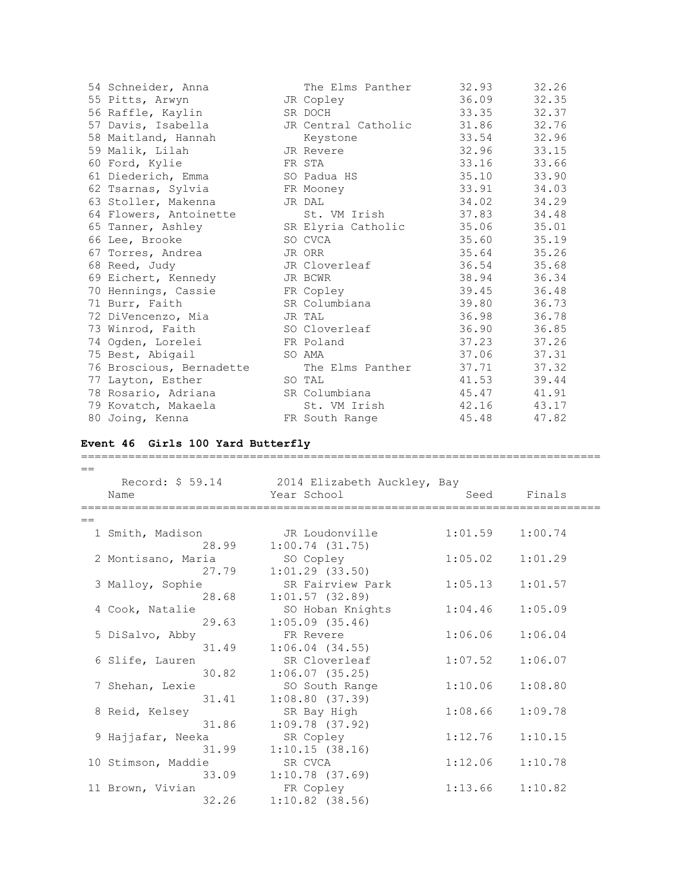| 54 Schneider, Anna       | The Elms Panther    | 32.93       | 32.26 |
|--------------------------|---------------------|-------------|-------|
| 55 Pitts, Arwyn          | JR Copley           | 36.09       | 32.35 |
| 56 Raffle, Kaylin        | SR DOCH             | 33.35       | 32.37 |
| 57 Davis, Isabella       | JR Central Catholic | 31.86       | 32.76 |
| 58 Maitland, Hannah      | Keystone            | 33.54 32.96 |       |
| 59 Malik, Lilah          | JR Revere           | 32.96       | 33.15 |
| 60 Ford, Kylie           | FR STA              | 33.16       | 33.66 |
| 61 Diederich, Emma       | SO Padua HS         | 35.10       | 33.90 |
| 62 Tsarnas, Sylvia       | FR Mooney           | 33.91       | 34.03 |
| 63 Stoller, Makenna      | JR DAL              | 34.02       | 34.29 |
| 64 Flowers, Antoinette   | St. VM Irish        | 37.83 34.48 |       |
| 65 Tanner, Ashley        | SR Elyria Catholic  | 35.06       | 35.01 |
| 66 Lee, Brooke           | SO CVCA             | 35.60       | 35.19 |
| 67 Torres, Andrea        | JR ORR              | 35.64 35.26 |       |
| 68 Reed, Judy            | JR Cloverleaf       | 36.54 35.68 |       |
| 69 Eichert, Kennedy      | JR BCWR             | 38.94       | 36.34 |
| 70 Hennings, Cassie      | FR Copley           | 39.45       | 36.48 |
| 71 Burr, Faith           | SR Columbiana       | 39.80       | 36.73 |
| 72 DiVencenzo, Mia       | JR TAL              | 36.98       | 36.78 |
| 73 Winrod, Faith         | SO Cloverleaf       | 36.90       | 36.85 |
| 74 Ogden, Lorelei        | FR Poland           | 37.23       | 37.26 |
| 75 Best, Abigail         | SO AMA              | 37.06       | 37.31 |
| 76 Broscious, Bernadette | The Elms Panther    | 37.71       | 37.32 |
| 77 Layton, Esther        | SO TAL              | 41.53       | 39.44 |
| 78 Rosario, Adriana      | SR Columbiana       | 45.47       | 41.91 |
| 79 Kovatch, Makaela      | St. VM Irish        | 42.16       | 43.17 |
| 80 Joing, Kenna          | FR South Range      | 45.48       | 47.82 |

## **Event 46 Girls 100 Yard Butterfly**

| $=$  |                    |                                              |                                     |         |
|------|--------------------|----------------------------------------------|-------------------------------------|---------|
|      |                    | Record: \$ 59.14 2014 Elizabeth Auckley, Bay |                                     |         |
|      | Name               | Year School                                  | Seed                                | Finals  |
|      | -----------        | -----------------                            | ----------------------------------- |         |
| $==$ |                    |                                              |                                     |         |
|      | 1 Smith, Madison   | JR Loudonville                               | 1:01.59                             | 1:00.74 |
|      | 28.99              | 1:00.74(31.75)                               |                                     |         |
|      | 2 Montisano, Maria | SO Copley                                    | 1:05.02                             | 1:01.29 |
|      | 27.79              | $1:01.29$ $(33.50)$                          |                                     |         |
|      | 3 Malloy, Sophie   | SR Fairview Park                             | 1:05.13                             | 1:01.57 |
|      | 28.68              | $1:01.57$ (32.89)                            |                                     |         |
|      | 4 Cook, Natalie    | SO Hoban Knights                             | 1:04.46                             | 1:05.09 |
|      | 29.63              | $1:05.09$ $(35.46)$                          |                                     |         |
|      | 5 DiSalvo, Abby    | FR Revere                                    | 1:06.06                             | 1:06.04 |
|      | 31.49              | $1:06.04$ $(34.55)$                          |                                     |         |
|      | 6 Slife, Lauren    | SR Cloverleaf                                | 1:07.52                             | 1:06.07 |
|      | 30.82              | 1:06.07(35.25)                               |                                     |         |
|      | 7 Shehan, Lexie    | SO South Range                               | 1:10.06                             | 1:08.80 |
|      | 31.41              | 1:08.80(37.39)                               |                                     |         |
|      | 8 Reid, Kelsey     | SR Bay High                                  | 1:08.66                             | 1:09.78 |
|      | 31.86              | $1:09.78$ (37.92)                            |                                     |         |
|      | 9 Hajjafar, Neeka  | SR Copley                                    | 1:12.76                             | 1:10.15 |
|      | 31.99              | 1:10.15(38.16)                               |                                     |         |
|      | 10 Stimson, Maddie | SR CVCA                                      | 1:12.06                             | 1:10.78 |
|      | 33.09              | $1:10.78$ (37.69)                            |                                     |         |
|      | 11 Brown, Vivian   | FR Copley                                    | 1:13.66                             | 1:10.82 |
|      | 32.26              | $1:10.82$ (38.56)                            |                                     |         |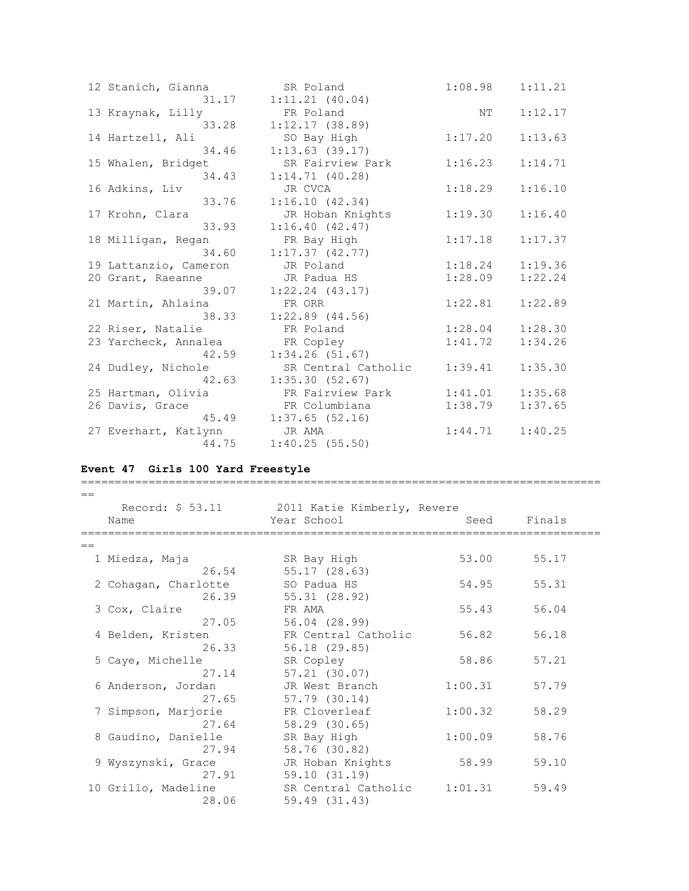| 12 Stanich, Gianna    | SR Poland           | 1:08.98 | 1:11.21 |
|-----------------------|---------------------|---------|---------|
| 31.17                 | 1:11.21(40.04)      |         |         |
| 13 Kraynak, Lilly     | FR Poland           | NΤ      | 1:12.17 |
| 33.28                 | 1:12.17(38.89)      |         |         |
| 14 Hartzell, Ali      | SO Bay High         | 1:17.20 | 1:13.63 |
| 34.46                 | $1:13.63$ (39.17)   |         |         |
| 15 Whalen, Bridget    | SR Fairview Park    | 1:16.23 | 1:14.71 |
| 34.43                 | 1:14.71(40.28)      |         |         |
| 16 Adkins, Liv        | JR CVCA             | 1:18.29 | 1:16.10 |
| 33.76                 | 1:16.10(42.34)      |         |         |
| 17 Krohn, Clara       | JR Hoban Knights    | 1:19.30 | 1:16.40 |
| 33.93                 | 1:16.40(42.47)      |         |         |
| 18 Milligan, Regan    | FR Bay High         | 1:17.18 | 1:17.37 |
| 34.60                 | 1:17.37(42.77)      |         |         |
| 19 Lattanzio, Cameron | JR Poland           | 1:18.24 | 1:19.36 |
| 20 Grant, Raeanne     | JR Padua HS         | 1:28.09 | 1:22.24 |
| 39.07                 | $1:22.24$ $(43.17)$ |         |         |
| 21 Martin, Ahlaina    | FR ORR              | 1:22.81 | 1:22.89 |
| 38.33                 | $1:22.89$ $(44.56)$ |         |         |
| 22 Riser, Natalie     | FR Poland           | 1:28.04 | 1:28.30 |
| 23 Yarcheck, Annalea  | FR Copley           | 1:41.72 | 1:34.26 |
| 42.59                 | 1:34.26(51.67)      |         |         |
| 24 Dudley, Nichole    | SR Central Catholic | 1:39.41 | 1:35.30 |
| 42.63                 | 1:35.30(52.67)      |         |         |
| 25 Hartman, Olivia    | FR Fairview Park    | 1:41.01 | 1:35.68 |
| 26 Davis, Grace       | FR Columbiana       | 1:38.79 | 1:37.65 |
| 45.49                 | $1:37.65$ (52.16)   |         |         |
| 27 Everhart, Katlynn  | JR AMA              | 1:44.71 | 1:40.25 |
| 44.75                 | 1:40.25(55.50)      |         |         |

# **Event 47 Girls 100 Yard Freestyle**

| $=$ |                      |                                              |         |        |
|-----|----------------------|----------------------------------------------|---------|--------|
|     |                      | Record: \$ 53.11 2011 Katie Kimberly, Revere |         |        |
|     | Name                 | Year School                                  | Seed    | Finals |
|     |                      |                                              |         |        |
| $=$ |                      |                                              |         |        |
|     | 1 Miedza, Maja       | SR Bay High                                  | 53.00   | 55.17  |
|     | 26.54                | 55.17 (28.63)                                |         |        |
|     | 2 Cohagan, Charlotte | SO Padua HS                                  | 54.95   | 55.31  |
|     | 26.39                | 55.31 (28.92)                                |         |        |
|     | 3 Cox, Claire        | FR AMA                                       | 55.43   | 56.04  |
|     | 27.05                | 56.04 (28.99)                                |         |        |
|     | 4 Belden, Kristen    | FR Central Catholic                          | 56.82   | 56.18  |
|     | 26.33                | 56.18 (29.85)                                |         |        |
|     | 5 Caye, Michelle     | SR Copley                                    | 58.86   | 57.21  |
|     | 27.14                | 57.21 (30.07)                                |         |        |
|     | 6 Anderson, Jordan   | JR West Branch                               | 1:00.31 | 57.79  |
|     | 27.65                | 57.79 (30.14)                                |         |        |
|     | 7 Simpson, Marjorie  | FR Cloverleaf                                | 1:00.32 | 58.29  |
|     | 27.64                | 58.29 (30.65)                                |         |        |
|     | 8 Gaudino, Danielle  | SR Bay High                                  | 1:00.09 | 58.76  |
|     | 27.94                | 58.76 (30.82)                                |         |        |
|     | 9 Wyszynski, Grace   | JR Hoban Knights                             | 58.99   | 59.10  |
|     | 27.91                | 59.10(31.19)                                 |         |        |
|     | 10 Grillo, Madeline  | SR Central Catholic                          | 1:01.31 | 59.49  |
|     | 28.06                | 59.49 (31.43)                                |         |        |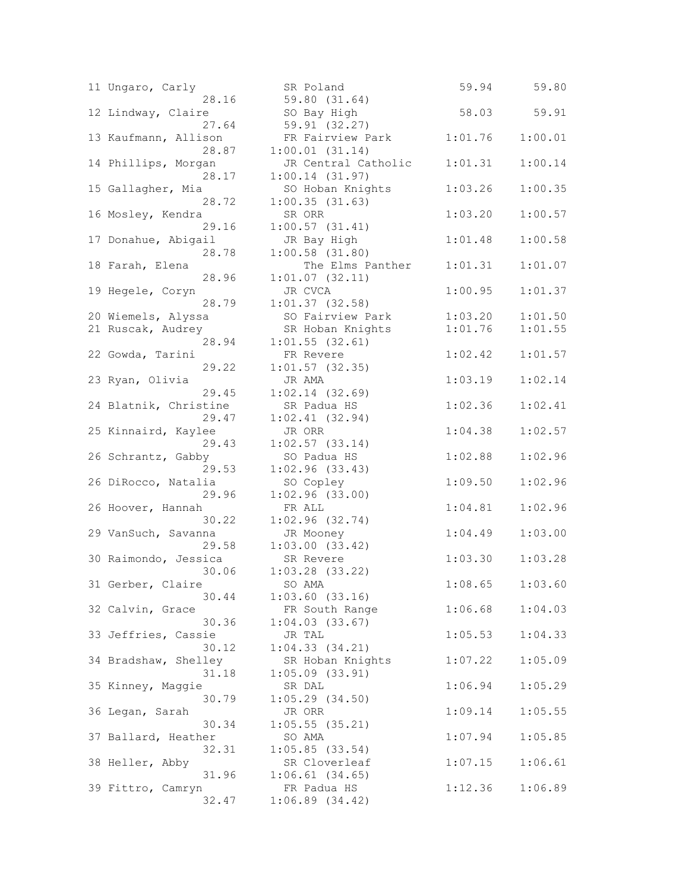| 11 Ungaro, Carly               | SR Poland                           |
|--------------------------------|-------------------------------------|
| 28.16<br>12 Lindway, Claire    | 59.80 (31.64)<br>SO Bay High        |
| 27.64<br>13 Kaufmann, Allison  | 59.91 (32.27)<br>FR Fairview Pa     |
| 28.87                          | 1:00.01(31.14)                      |
| 14 Phillips, Morgan<br>28.17   | JR Central Cat<br>1:00.14(31.97)    |
| 15 Gallagher, Mia              | SO Hoban Knigh                      |
| 28.72                          | 1:00.35(31.63)                      |
| 16 Mosley, Kendra<br>29.16     | SR ORR<br>1:00.57(31.41)            |
| 17 Donahue, Abigail            | JR Bay High                         |
| 28.78<br>18 Farah, Elena       | $1:00.58$ $(31.80)$<br>The Elms Pa  |
| 28.96                          | $1:01.07$ $(32.11)$                 |
| 19 Hegele, Coryn               | JR CVCA                             |
| 28.79<br>20 Wiemels, Alyssa    | $1:01.37$ (32.58)<br>SO Fairview Pa |
| 21 Ruscak, Audrey              | SR Hoban Knigh                      |
| 28.94<br>22 Gowda, Tarini      | 1:01.55(32.61)<br>FR Revere         |
| 29.22                          | $1:01.57$ (32.35)                   |
| 23 Ryan, Olivia                | JR AMA                              |
| 29.45<br>24 Blatnik, Christine | $1:02.14$ $(32.69)$<br>SR Padua HS  |
| 29.47                          | $1:02.41$ (32.94)                   |
| 25 Kinnaird, Kaylee<br>29.43   | JR ORR<br>$1:02.57$ (33.14)         |
| 26 Schrantz, Gabby             | SO Padua HS                         |
| 29.53<br>26 DiRocco, Natalia   | 1:02.96(33.43)<br>SO Copley         |
| 29.96                          | 1:02.96(33.00)                      |
| 26 Hoover, Hannah              | FR ALL                              |
| 30.22<br>29 VanSuch, Savanna   | 1:02.96(32.74)<br>JR Mooney         |
| 29.58                          | 1:03.00(33.42)                      |
| 30 Raimondo, Jessica<br>30.06  | SR Revere<br>$1:03.28$ $(33.22)$    |
| 31 Gerber, Claire              | SO AMA                              |
| 30.44<br>32 Calvin, Grace      | 1:03.60(33.16)<br>FR South Range    |
| 30.36                          | 1:04.03(33.67)                      |
| 33 Jeffries, Cassie<br>30.12   | JR TAL<br>1:04.33(34.21)            |
| 34 Bradshaw, Shelley           | SR Hoban Knigh                      |
| 31.18                          | $1:05.09$ $(33.91)$                 |
| 35 Kinney, Maggie<br>30.79     | SR DAL<br>$1:05.29$ $(34.50)$       |
| 36 Legan, Sarah                | JR ORR                              |
| 30.34<br>37 Ballard, Heather   | $1:05.55$ (35.21)<br>SO AMA         |
| 32.31                          | $1:05.85$ (33.54)                   |
| 38 Heller, Abby<br>31.96       | SR Cloverleaf<br>1:06.61(34.65)     |
| 39 Fittro, Camryn              | FR Padua HS                         |
| 32.47                          | 1:06.89(34.42)                      |

| 11 Ungaro, Carly      | SR Poland           | 59.94   | 59.80               |
|-----------------------|---------------------|---------|---------------------|
| 28.16                 | 59.80 (31.64)       |         |                     |
| 12 Lindway, Claire    | SO Bay High         | 58.03   | 59.91               |
| 27.64                 | 59.91 (32.27)       |         |                     |
| 13 Kaufmann, Allison  | FR Fairview Park    | 1:01.76 | 1:00.01             |
| 28.87                 | 1:00.01(31.14)      |         |                     |
| 14 Phillips, Morgan   | JR Central Catholic | 1:01.31 | 1:00.14             |
| 28.17                 | 1:00.14(31.97)      |         |                     |
| 15 Gallagher, Mia     | SO Hoban Knights    | 1:03.26 | 1:00.35             |
| 28.72                 | 1:00.35(31.63)      |         |                     |
| 16 Mosley, Kendra     | SR ORR              | 1:03.20 | 1:00.57             |
| 29.16                 | 1:00.57(31.41)      |         |                     |
| 17 Donahue, Abigail   | JR Bay High         | 1:01.48 | 1:00.58             |
| 28.78                 | $1:00.58$ $(31.80)$ |         |                     |
| 18 Farah, Elena       | The Elms Panther    | 1:01.31 | 1:01.07             |
| 28.96                 | 1:01.07(32.11)      |         |                     |
| 19 Hegele, Coryn      | JR CVCA             | 1:00.95 | 1:01.37             |
| 28.79                 | $1:01.37$ (32.58)   |         |                     |
| 20 Wiemels, Alyssa    | SO Fairview Park    | 1:03.20 | 1:01.50             |
| 21 Ruscak, Audrey     | SR Hoban Knights    | 1:01.76 | 1:01.55             |
| 28.94                 | $1:01.55$ (32.61)   |         |                     |
| 22 Gowda, Tarini      | FR Revere           | 1:02.42 | 1:01.57             |
| 29.22                 | $1:01.57$ (32.35)   |         |                     |
| 23 Ryan, Olivia       | JR AMA              | 1:03.19 | 1:02.14             |
| 29.45                 | 1:02.14(32.69)      |         |                     |
| 24 Blatnik, Christine | SR Padua HS         | 1:02.36 | 1:02.41             |
| 29.47                 | 1:02.41(32.94)      |         |                     |
| 25 Kinnaird, Kaylee   | JR ORR              | 1:04.38 | 1:02.57             |
| 29.43                 | $1:02.57$ (33.14)   |         |                     |
| 26 Schrantz, Gabby    | SO Padua HS         | 1:02.88 | 1:02.96             |
| 29.53                 | 1:02.96(33.43)      |         |                     |
| 26 DiRocco, Natalia   | SO Copley           | 1:09.50 | 1:02.96             |
| 29.96                 | 1:02.96(33.00)      |         |                     |
| 26 Hoover, Hannah     | FR ALL              | 1:04.81 | 1:02.96             |
| 30.22                 | $1:02.96$ (32.74)   |         |                     |
| 29 VanSuch, Savanna   | JR Mooney           | 1:04.49 | 1:03.00             |
| 29.58                 | 1:03.00(33.42)      |         |                     |
| 30 Raimondo, Jessica  | SR Revere           | 1:03.30 | 1:03.28             |
| 30.06                 | $1:03.28$ (33.22)   |         |                     |
| 31 Gerber, Claire     | SO AMA              |         | $1:08.65$ $1:03.60$ |
| 30.44                 | $1:03.60$ $(33.16)$ |         |                     |
| 32 Calvin, Grace      | FR South Range      | 1:06.68 | 1:04.03             |
| 30.36                 | 1:04.03(33.67)      |         |                     |
| 33 Jeffries, Cassie   | JR TAL              | 1:05.53 | 1:04.33             |
| 30.12                 | 1:04.33(34.21)      |         |                     |
| 34 Bradshaw, Shelley  | SR Hoban Knights    | 1:07.22 | 1:05.09             |
| 31.18                 | $1:05.09$ $(33.91)$ |         |                     |
| 35 Kinney, Maggie     | SR DAL              | 1:06.94 | 1:05.29             |
| 30.79                 | 1:05.29(34.50)      |         |                     |
| 36 Legan, Sarah       | JR ORR              | 1:09.14 | 1:05.55             |
| 30.34                 | $1:05.55$ (35.21)   |         |                     |
| 37 Ballard, Heather   | SO AMA              | 1:07.94 | 1:05.85             |
| 32.31                 | 1:05.85(33.54)      |         |                     |
| 38 Heller, Abby       | SR Cloverleaf       | 1:07.15 | 1:06.61             |
| 31.96                 | $1:06.61$ (34.65)   |         |                     |
| 39 Fittro, Camryn     | FR Padua HS         | 1:12.36 | 1:06.89             |
| 32.47                 | 1:06.89(34.42)      |         |                     |
|                       |                     |         |                     |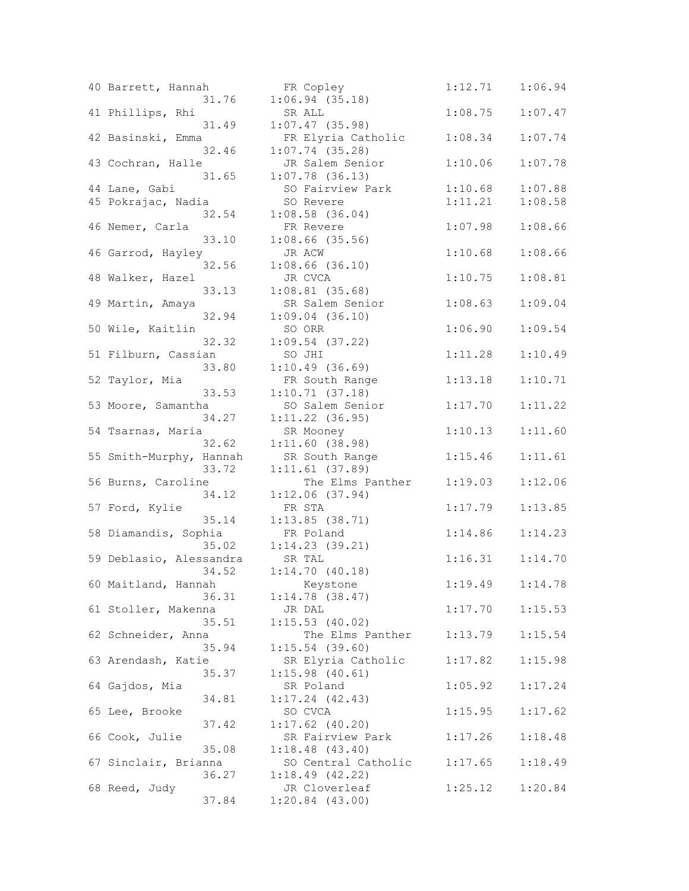|  | 40 Barrett, Hannah      |       | FR Copley                        |
|--|-------------------------|-------|----------------------------------|
|  |                         | 31.76 | 1:06.94(35.18)                   |
|  | 41 Phillips, Rhi        |       | SR ALL                           |
|  |                         | 31.49 | $1:07.47$ (35.98)                |
|  | 42 Basinski, Emma       |       | FR Elyria Cath                   |
|  |                         | 32.46 | $1:07.74$ (35.28)                |
|  | 43 Cochran, Halle       |       | JR Salem Senio                   |
|  |                         | 31.65 | $1:07.78$ (36.13)                |
|  | 44 Lane, Gabi           |       | SO Fairview Pa                   |
|  | 45 Pokrajac, Nadia      | 32.54 | SO Revere<br>$1:08.58$ $(36.04)$ |
|  |                         |       | FR Revere                        |
|  | 46 Nemer, Carla         | 33.10 | $1:08.66$ (35.56)                |
|  | 46 Garrod, Hayley       |       | JR ACW                           |
|  |                         | 32.56 | $1:08.66$ (36.10)                |
|  | 48 Walker, Hazel        |       | JR CVCA                          |
|  |                         | 33.13 | $1:08.81$ (35.68)                |
|  | 49 Martin, Amaya        |       | SR Salem Senio                   |
|  |                         | 32.94 | $1:09.04$ $(36.10)$              |
|  | 50 Wile, Kaitlin        |       | SO ORR                           |
|  |                         | 32.32 | $1:09.54$ (37.22)                |
|  | 51 Filburn, Cassian     |       | SO JHI                           |
|  |                         | 33.80 | 1:10.49(36.69)                   |
|  | 52 Taylor, Mia          |       | FR South Range                   |
|  |                         | 33.53 | 1:10.71(37.18)                   |
|  | 53 Moore, Samantha      |       | SO Salem Senio                   |
|  |                         | 34.27 | $1:11.22$ (36.95)                |
|  | 54 Tsarnas, Maria       |       | SR Mooney                        |
|  |                         | 32.62 | 1:11.60(38.98)                   |
|  | 55 Smith-Murphy, Hannah |       | SR South Range                   |
|  |                         | 33.72 | 1:11.61(37.89)                   |
|  | 56 Burns, Caroline      |       | The Elms Pa                      |
|  |                         | 34.12 | 1:12.06(37.94)                   |
|  | 57 Ford, Kylie          |       | FR STA                           |
|  |                         | 35.14 | 1:13.85(38.71)                   |
|  | 58 Diamandis, Sophia    |       | FR Poland                        |
|  |                         | 35.02 | 1:14.23(39.21)                   |
|  | 59 Deblasio, Alessandra |       | SR TAL<br>1:14.70(40.18)         |
|  |                         | 34.52 |                                  |
|  | 60 Maitland, Hannah     | 36.31 | Keystone<br>$1:14.78$ (38.47)    |
|  | 61 Stoller, Makenna     |       | JR DAL                           |
|  |                         | 35.51 | 1:15.53(40.02)                   |
|  | 62 Schneider, Anna      |       | The Elms Pa                      |
|  |                         | 35.94 | $1:15.54$ (39.60)                |
|  | 63 Arendash, Katie      |       | SR Elyria Cath                   |
|  |                         | 35.37 | 1:15.98(40.61)                   |
|  | 64 Gajdos, Mia          |       | SR Poland                        |
|  |                         | 34.81 | 1:17.24(42.43)                   |
|  | 65 Lee, Brooke          |       | SO CVCA                          |
|  |                         | 37.42 | $1:17.62$ (40.20)                |
|  | 66 Cook, Julie          |       | SR Fairview Pa                   |
|  |                         | 35.08 | 1:18.48(43.40)                   |
|  | 67 Sinclair, Brianna    |       | SO Central Cat                   |
|  |                         | 36.27 | $1:18.49$ $(42.22)$              |
|  | 68 Reed, Judy           |       | JR Cloverleaf                    |
|  |                         | 37.84 | $1:20.84$ $(43.00)$              |
|  |                         |       |                                  |

| 40 Barrett, Hannah<br>31.76 | FR Copley<br>1:06.94(35.18)             | 1:12.71             | 1:06.94 |
|-----------------------------|-----------------------------------------|---------------------|---------|
| 41 Phillips, Rhi<br>31.49   | SR ALL<br>$1:07.47$ (35.98)             | 1:08.75             | 1:07.47 |
| 42 Basinski, Emma<br>32.46  | FR Elyria Catholic<br>$1:07.74$ (35.28) | 1:08.34             | 1:07.74 |
| 43 Cochran, Halle<br>31.65  | JR Salem Senior<br>$1:07.78$ (36.13)    | 1:10.06             | 1:07.78 |
| 44 Lane, Gabi               | SO Fairview Park                        | 1:10.68             | 1:07.88 |
| 45 Pokrajac, Nadia          | SO Revere                               | 1:11.21             | 1:08.58 |
| 32.54                       | $1:08.58$ $(36.04)$                     |                     |         |
| 46 Nemer, Carla             | FR Revere                               | 1:07.98             | 1:08.66 |
| 33.10                       | $1:08.66$ (35.56)                       |                     |         |
| 46 Garrod, Hayley           | JR ACW                                  | 1:10.68             | 1:08.66 |
| 32.56                       | $1:08.66$ (36.10)                       |                     |         |
| 48 Walker, Hazel            | JR CVCA                                 | 1:10.75             | 1:08.81 |
| 33.13                       | $1:08.81$ (35.68)                       |                     |         |
| 49 Martin, Amaya            | SR Salem Senior                         | 1:08.63             | 1:09.04 |
| 32.94                       | $1:09.04$ (36.10)                       |                     |         |
| 50 Wile, Kaitlin            | SO ORR                                  | 1:06.90             | 1:09.54 |
| 32.32                       | $1:09.54$ (37.22)                       |                     |         |
| 51 Filburn, Cassian         | SO JHI                                  | 1:11.28             | 1:10.49 |
| 33.80                       | 1:10.49(36.69)                          |                     |         |
| 52 Taylor, Mia              | FR South Range                          | 1:13.18             | 1:10.71 |
| 33.53                       | 1:10.71(37.18)                          |                     |         |
| 53 Moore, Samantha          | SO Salem Senior                         | 1:17.70             | 1:11.22 |
| 34.27                       | $1:11.22$ (36.95)                       |                     |         |
| 54 Tsarnas, Maria           | SR Mooney                               | 1:10.13             | 1:11.60 |
| 32.62                       | 1:11.60(38.98)                          |                     |         |
| 55 Smith-Murphy, Hannah     | SR South Range                          | 1:15.46             | 1:11.61 |
| 33.72                       | $1:11.61$ (37.89)                       |                     |         |
| 56 Burns, Caroline          | The Elms Panther                        | 1:19.03             | 1:12.06 |
| 34.12                       | 1:12.06(37.94)                          |                     |         |
| 57 Ford, Kylie              | FR STA                                  | 1:17.79             | 1:13.85 |
| 35.14                       | $1:13.85$ (38.71)                       |                     |         |
| 58 Diamandis, Sophia        | FR Poland                               | 1:14.86             | 1:14.23 |
| 35.02                       | 1:14.23(39.21)                          |                     |         |
| 59 Deblasio, Alessandra     | SR TAL                                  | 1:16.31             | 1:14.70 |
| 34.52                       | 1:14.70(40.18)                          |                     |         |
| 60 Maitland, Hannah         | Keystone                                | $1:19.49$ $1:14.78$ |         |
| 36.31                       | $1:14.78$ (38.47)                       |                     |         |
| 61 Stoller, Makenna         | JR DAL                                  | 1:17.70             | 1:15.53 |
| 35.51                       | $1:15.53$ (40.02)                       |                     |         |
| 62 Schneider, Anna          | The Elms Panther                        | 1:13.79             | 1:15.54 |
| 35.94                       | $1:15.54$ (39.60)                       |                     |         |
| 63 Arendash, Katie          | SR Elyria Catholic                      | 1:17.82             | 1:15.98 |
| 35.37                       | 1:15.98(40.61)                          |                     |         |
| 64 Gajdos, Mia              | SR Poland                               | 1:05.92             | 1:17.24 |
| 34.81                       | $1:17.24$ $(42.43)$                     |                     |         |
| 65 Lee, Brooke              | SO CVCA                                 | 1:15.95             | 1:17.62 |
| 37.42                       | $1:17.62$ (40.20)                       |                     |         |
| 66 Cook, Julie              | SR Fairview Park                        | 1:17.26             | 1:18.48 |
| 35.08                       | 1:18.48(43.40)                          |                     |         |
| 67 Sinclair, Brianna        | SO Central Catholic                     | 1:17.65             | 1:18.49 |
| 36.27                       | 1:18.49(42.22)                          |                     |         |
| 68 Reed, Judy               | JR Cloverleaf                           | 1:25.12             | 1:20.84 |
| 37.84                       | $1:20.84$ $(43.00)$                     |                     |         |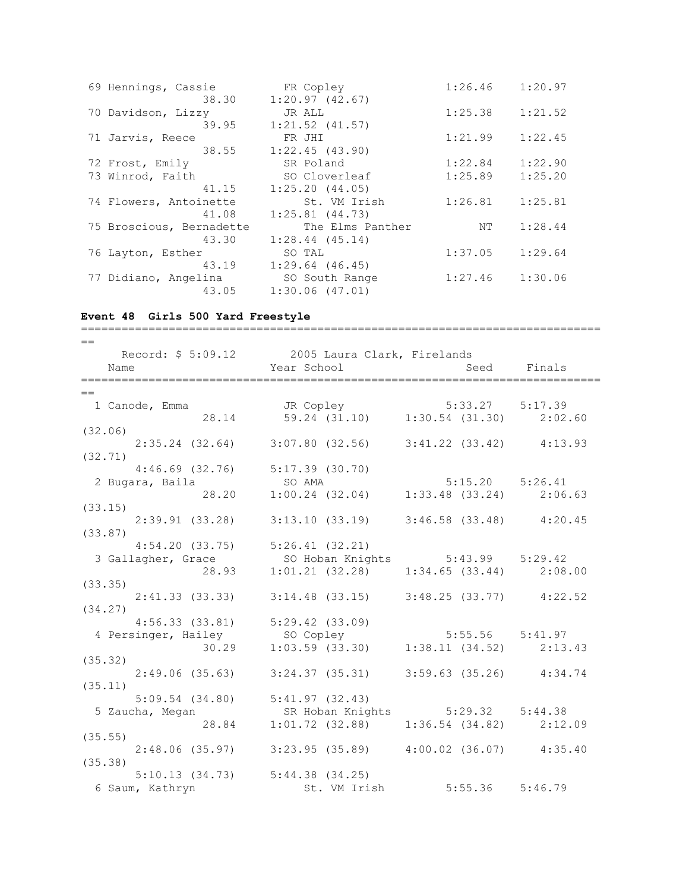| 69 Hennings, Cassie      | FR Copley           | 1:26.46 | 1:20.97 |
|--------------------------|---------------------|---------|---------|
| 38.30                    | 1:20.97(42.67)      |         |         |
| 70 Davidson, Lizzy       | JR ALL              | 1:25.38 | 1:21.52 |
| 39.95                    | $1:21.52$ $(41.57)$ |         |         |
| 71 Jarvis, Reece         | FR JHI              | 1:21.99 | 1:22.45 |
| 38.55                    | 1:22.45(43.90)      |         |         |
| 72 Frost, Emily          | SR Poland           | 1:22.84 | 1:22.90 |
| 73 Winrod, Faith         | SO Cloverleaf       | 1:25.89 | 1:25.20 |
| 41.15                    | 1:25.20(44.05)      |         |         |
| 74 Flowers, Antoinette   | St. VM Irish        | 1:26.81 | 1:25.81 |
| 41.08                    | $1:25.81$ $(44.73)$ |         |         |
| 75 Broscious, Bernadette | The Elms Panther    | NΤ      | 1:28.44 |
| 43.30                    | $1:28.44$ $(45.14)$ |         |         |
| 76 Layton, Esther        | SO TAL              | 1:37.05 | 1:29.64 |
| 43.19                    | $1:29.64$ (46.45)   |         |         |
| 77 Didiano, Angelina     | SO South Range      | 1:27.46 | 1:30.06 |
| 43.05                    | 1:30.06(47.01)      |         |         |

#### **Event 48 Girls 500 Yard Freestyle**

============================================================================= == Record: \$ 5:09.12 2005 Laura Clark, Firelands Name Seed Finals (Name Seed Finals =============================================================================  $=$  1 Canode, Emma JR Copley 5:33.27 5:17.39 28.14 59.24 (31.10) 1:30.54 (31.30) 2:02.60 (32.06) 2:35.24 (32.64) 3:07.80 (32.56) 3:41.22 (33.42) 4:13.93 (32.71) 4:46.69 (32.76) 5:17.39 (30.70) 2 Bugara, Baila SO AMA 5:15.20 5:26.41 28.20 1:00.24 (32.04) 1:33.48 (33.24) 2:06.63 (33.15) 2:39.91 (33.28) 3:13.10 (33.19) 3:46.58 (33.48) 4:20.45 (33.87) 4:54.20 (33.75) 5:26.41 (32.21) 3 Gallagher, Grace SO Hoban Knights 5:43.99 5:29.42 28.93 1:01.21 (32.28) 1:34.65 (33.44) 2:08.00 (33.35) 2:41.33 (33.33) 3:14.48 (33.15) 3:48.25 (33.77) 4:22.52 (34.27) 4:56.33 (33.81) 5:29.42 (33.09) 4 Persinger, Hailey SO Copley 5:55.56 5:41.97 30.29 1:03.59 (33.30) 1:38.11 (34.52) 2:13.43 (35.32) 2:49.06 (35.63) 3:24.37 (35.31) 3:59.63 (35.26) 4:34.74 (35.11) 5:09.54 (34.80) 5:41.97 (32.43) 5 Zaucha, Megan SR Hoban Knights 5:29.32 5:44.38 28.84 1:01.72 (32.88) 1:36.54 (34.82) 2:12.09 (35.55) 2:48.06 (35.97) 3:23.95 (35.89) 4:00.02 (36.07) 4:35.40 (35.38) 5:10.13 (34.73) 5:44.38 (34.25) 6 Saum, Kathryn St. VM Irish 5:55.36 5:46.79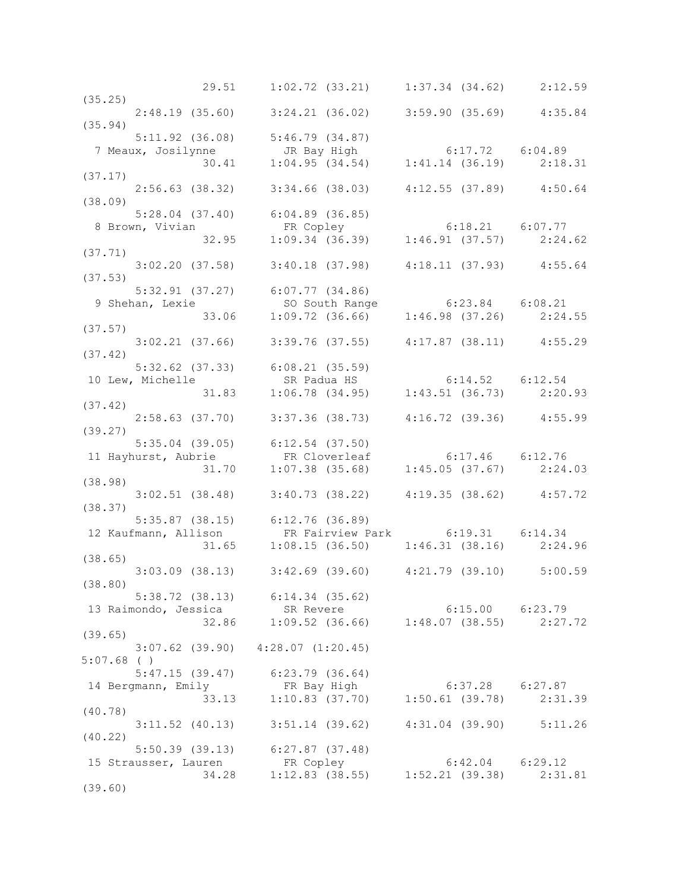|                                                                                                                                       | 29.51   1:02.72   (33.21)   1:37.34   (34.62)   2:12.59                                                              |                     |  |
|---------------------------------------------------------------------------------------------------------------------------------------|----------------------------------------------------------------------------------------------------------------------|---------------------|--|
| (35.25)                                                                                                                               |                                                                                                                      |                     |  |
|                                                                                                                                       | 2:48.19 (35.60) 3:24.21 (36.02) 3:59.90 (35.69) 4:35.84                                                              |                     |  |
| (35.94)                                                                                                                               |                                                                                                                      |                     |  |
|                                                                                                                                       | $5:11.92$ (36.08) $5:46.79$ (34.87)                                                                                  |                     |  |
| 7 Meaux, Josilynne 1 (1997)<br>30.41 1:04.95 (34.54) 1:41.14 (36.19) 2:18.31                                                          |                                                                                                                      |                     |  |
|                                                                                                                                       |                                                                                                                      |                     |  |
|                                                                                                                                       |                                                                                                                      |                     |  |
| (37.17)                                                                                                                               |                                                                                                                      |                     |  |
|                                                                                                                                       | 2:56.63 (38.32) 3:34.66 (38.03) 4:12.55 (37.89) 4:50.64                                                              |                     |  |
| (38.09)                                                                                                                               |                                                                                                                      |                     |  |
|                                                                                                                                       | $5:28.04$ (37.40) 6:04.89 (36.85)                                                                                    |                     |  |
|                                                                                                                                       |                                                                                                                      |                     |  |
| 3:28.04 (37.40) 6:04.89 (36.85)<br>8 Brown, Vivian FR Copley 6:18.21 6:07.77<br>32.95 1:09.34 (36.39) 1:46.91 (37.57) 2:24.62         |                                                                                                                      |                     |  |
| (37.71)                                                                                                                               |                                                                                                                      |                     |  |
|                                                                                                                                       | $3:02.20$ (37.58) $3:40.18$ (37.98) $4:18.11$ (37.93) $4:55.64$                                                      |                     |  |
| (37.53)                                                                                                                               |                                                                                                                      |                     |  |
|                                                                                                                                       |                                                                                                                      |                     |  |
|                                                                                                                                       |                                                                                                                      |                     |  |
| 9 Shehan, Lexie                                                                                                                       | 5:32.91 (37.27) 6:07.77 (34.86)<br>1.09.72 (36.66) 6:23.84 6:08.21<br>33.06 1:09.72 (36.66) 1:46.98 (37.26) 2:24.55  |                     |  |
|                                                                                                                                       |                                                                                                                      |                     |  |
| (37.57)                                                                                                                               |                                                                                                                      |                     |  |
|                                                                                                                                       | $3:02.21$ (37.66) $3:39.76$ (37.55) $4:17.87$ (38.11) $4:55.29$                                                      |                     |  |
| (37.42)                                                                                                                               |                                                                                                                      |                     |  |
| 5:32.62 (37.33) 6:08.21 (35.59)<br>10 Lew, Michelle SR Padua HS 6:14.52 6:12.54<br>31.83 1:06.78 (34.95) 1:43.51 (36.73) 2:20.93      |                                                                                                                      |                     |  |
|                                                                                                                                       |                                                                                                                      |                     |  |
|                                                                                                                                       |                                                                                                                      |                     |  |
| (37.42)                                                                                                                               |                                                                                                                      |                     |  |
| $2:58.63$ (37.70) $3:37.36$ (38.73) $4:16.72$ (39.36) $4:55.99$                                                                       |                                                                                                                      |                     |  |
| (39.27)                                                                                                                               |                                                                                                                      |                     |  |
|                                                                                                                                       |                                                                                                                      |                     |  |
| 5:35.04 (39.05) 6:12.54 (37.50)<br>11 Hayhurst, Aubrie FR Cloverleaf 6:17.46 6:12.76<br>31.70 1:07.38 (35.68) 1:45.05 (37.67) 2:24.03 |                                                                                                                      |                     |  |
|                                                                                                                                       |                                                                                                                      |                     |  |
|                                                                                                                                       |                                                                                                                      |                     |  |
| (38.98)                                                                                                                               |                                                                                                                      |                     |  |
|                                                                                                                                       | $3:02.51$ (38.48) $3:40.73$ (38.22) $4:19.35$ (38.62) $4:57.72$                                                      |                     |  |
| (38.37)                                                                                                                               |                                                                                                                      |                     |  |
| 5:35.87 (38.15) 6:12.76 (36.89)<br>12 Kaufmann, Allison FR Fairview Pa                                                                |                                                                                                                      |                     |  |
|                                                                                                                                       | 11ison FR Fairview Park 6:19.31 6:14.34<br>31.65 1:08.15 (36.50) 1:46.31 (38.16) 2:24.96                             |                     |  |
|                                                                                                                                       |                                                                                                                      |                     |  |
| (38.65)                                                                                                                               |                                                                                                                      |                     |  |
|                                                                                                                                       | $3:03.09$ (38.13) $3:42.69$ (39.60) $4:21.79$ (39.10) $5:00.59$                                                      |                     |  |
| (38.80)                                                                                                                               |                                                                                                                      |                     |  |
|                                                                                                                                       |                                                                                                                      |                     |  |
|                                                                                                                                       | $5:38.72$ (38.13) $6:14.34$ (35.62)                                                                                  |                     |  |
| 13 Raimondo, Jessica SR Revere                                                                                                        | ica = 52.14.34 (33.62)<br>ica = 5R Revere = 6:15.00 = 6:23.79<br>32.86 = 1:09.52 (36.66) = 1:48.07 (38.55) = 2:27.72 |                     |  |
|                                                                                                                                       |                                                                                                                      |                     |  |
| (39.65)                                                                                                                               |                                                                                                                      |                     |  |
|                                                                                                                                       | $3:07.62$ (39.90) $4:28.07$ (1:20.45)                                                                                |                     |  |
| $5:07.68$ ()                                                                                                                          |                                                                                                                      |                     |  |
|                                                                                                                                       | $5:47.15$ (39.47) $6:23.79$ (36.64)                                                                                  |                     |  |
| 14 Bergmann, Emily FR Bay High                                                                                                        |                                                                                                                      |                     |  |
| 33.13                                                                                                                                 | FR Bay High 6:37.28 6:27.87<br>1:10.83 (37.70) 1:50.61 (39.78) 2:31.39                                               |                     |  |
| (40.78)                                                                                                                               |                                                                                                                      |                     |  |
|                                                                                                                                       | $3:11.52$ (40.13) $3:51.14$ (39.62) $4:31.04$ (39.90) $5:11.26$                                                      |                     |  |
| (40.22)                                                                                                                               |                                                                                                                      |                     |  |
|                                                                                                                                       |                                                                                                                      |                     |  |
|                                                                                                                                       | 5:50.39 (39.13) 6:27.87 (37.48)                                                                                      |                     |  |
| 15 Strausser, Lauren                                                                                                                  | iren FR Copley 6:42.04 6:29.12<br>34.28 1:12.83 (38.55) 1:52.21 (39.38) 2:31.81                                      | $6:42.04$ $6:29.12$ |  |
|                                                                                                                                       |                                                                                                                      |                     |  |
| (39.60)                                                                                                                               |                                                                                                                      |                     |  |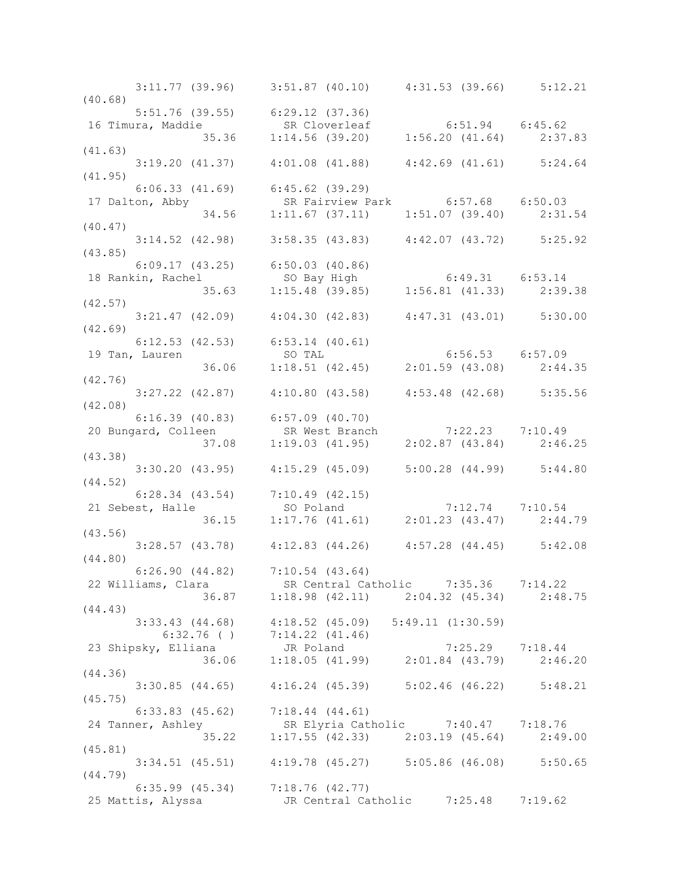|                                            | $3:11.77$ (39.96) $3:51.87$ (40.10) $4:31.53$ (39.66) $5:12.21$                                                                                |  |
|--------------------------------------------|------------------------------------------------------------------------------------------------------------------------------------------------|--|
| (40.68)<br>5:51.76 (39.55) 6:29.12 (37.36) |                                                                                                                                                |  |
|                                            | 16 Timura, Maddie SR Cloverleaf 6:51.94 6:45.62<br>35.36 1:14.56 (39.20) 1:56.20 (41.64) 2:37.83<br>(41.63)                                    |  |
|                                            |                                                                                                                                                |  |
|                                            |                                                                                                                                                |  |
|                                            | $3:19.20$ (41.37) $4:01.08$ (41.88) $4:42.69$ (41.61) $5:24.64$                                                                                |  |
| (41.95)                                    |                                                                                                                                                |  |
| $6:06.33$ $(41.69)$ $6:45.62$ $(39.29)$    |                                                                                                                                                |  |
|                                            | 17 Dalton, Abby SR Fairview Park 6:57.68 6:50.03<br>34.56 1:11.67 (37.11) 1:51.07 (39.40) 2:31.54                                              |  |
|                                            |                                                                                                                                                |  |
|                                            |                                                                                                                                                |  |
| (43.85)                                    | $3:14.52$ (42.98) $3:58.35$ (43.83) $4:42.07$ (43.72) $5:25.92$                                                                                |  |
|                                            |                                                                                                                                                |  |
|                                            |                                                                                                                                                |  |
|                                            | 6:09.17 (43.25) 6:50.03 (40.86)<br>18 Rankin, Rachel so Bay High 6:49.31 6:53.14<br>35.63 1:15.48 (39.85) 1:56.81 (41.33) 2:39.38              |  |
| (42.57)                                    |                                                                                                                                                |  |
|                                            | $3:21.47$ (42.09) $4:04.30$ (42.83) $4:47.31$ (43.01) $5:30.00$                                                                                |  |
| (42.69)                                    |                                                                                                                                                |  |
|                                            | 6:12.53 (42.53) 6:53.14 (40.61)<br>19 Tan, Lauren SO TAL 6:56.53 6:57.09<br>36.06 1:18.51 (42.45) 2:01.59 (43.08) 2:44.35                      |  |
|                                            |                                                                                                                                                |  |
|                                            |                                                                                                                                                |  |
| (42.76)                                    |                                                                                                                                                |  |
|                                            | 3:27.22 (42.87) 4:10.80 (43.58) 4:53.48 (42.68) 5:35.56                                                                                        |  |
|                                            |                                                                                                                                                |  |
|                                            |                                                                                                                                                |  |
|                                            |                                                                                                                                                |  |
|                                            | 6:16.39 (40.83) 6:57.09 (40.70)<br>20 Bungard, Colleen SR West Branch 7:22.23 7:10.49<br>(43.38) 37.08 1:19.03 (41.95) 2:02.87 (43.84) 2:46.25 |  |
|                                            | $3:30.20$ (43.95) $4:15.29$ (45.09) $5:00.28$ (44.99) $5:44.80$                                                                                |  |
| (44.52)                                    |                                                                                                                                                |  |
|                                            | 6:28.34 (43.54) 7:10.49 (42.15)<br>21 Sebest, Halle so Poland 7:12.74 7:10.54<br>36.15 1:17.76 (41.61) 2:01.23 (43.47) 2:44.79                 |  |
| 21 Sebest, Halle                           |                                                                                                                                                |  |
|                                            |                                                                                                                                                |  |
| (43.56)                                    |                                                                                                                                                |  |
| (44.80)                                    | $3:28.57$ (43.78) $4:12.83$ (44.26) $4:57.28$ (44.45) $5:42.08$                                                                                |  |
|                                            | $6:26.90(44.82)$ $7:10.54(43.64)$                                                                                                              |  |
|                                            | 22 Williams, Clara SR Central Catholic 7:35.36 7:14.22                                                                                         |  |
|                                            | 36.87 1:18.98 (42.11) 2:04.32 (45.34) 2:48.75                                                                                                  |  |
| (44.43)                                    |                                                                                                                                                |  |
|                                            | $3:33.43$ (44.68) $4:18.52$ (45.09) $5:49.11$ (1:30.59)                                                                                        |  |
|                                            | 6:32.76 () 7:14.22 (41.46)<br>23 Shipsky, Elliana JR Poland 7:25.29 7:18.44<br>36.06 1:18.05 (41.99) 2:01.84 (43.79) 2:46.20                   |  |
|                                            |                                                                                                                                                |  |
|                                            |                                                                                                                                                |  |
| (44.36)                                    |                                                                                                                                                |  |
| (45.75)                                    | 3:30.85 (44.65) 4:16.24 (45.39) 5:02.46 (46.22) 5:48.21                                                                                        |  |
|                                            | $6:33.83$ (45.62) $7:18.44$ (44.61)                                                                                                            |  |
|                                            |                                                                                                                                                |  |
|                                            | 24 Tanner, Ashley SR Elyria Catholic 7:40.47 7:18.76<br>35.22 1:17.55 (42.33) 2:03.19 (45.64) 2:49.00                                          |  |
| (45.81)                                    |                                                                                                                                                |  |
|                                            | 3:34.51 (45.51) 4:19.78 (45.27) 5:05.86 (46.08) 5:50.65                                                                                        |  |
| (44.79)                                    |                                                                                                                                                |  |
|                                            | $6:35.99$ (45.34) $7:18.76$ (42.77)                                                                                                            |  |
| 25 Mattis, Alyssa                          | JR Central Catholic 7:25.48 7:19.62                                                                                                            |  |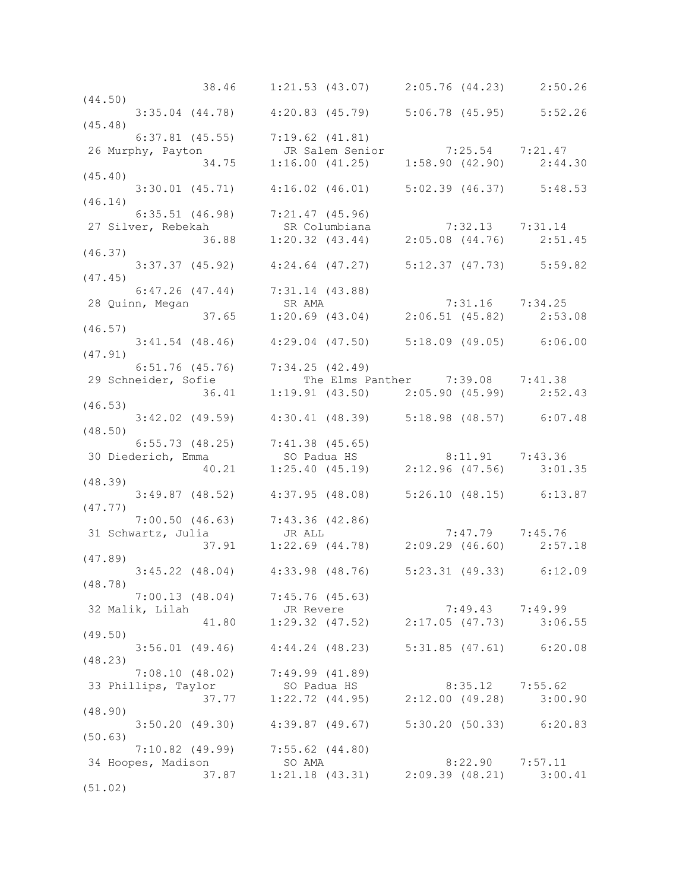|                                                                                                                                          | 38.46 1:21.53 (43.07) 2:05.76 (44.23) 2:50.26                              |                     |  |
|------------------------------------------------------------------------------------------------------------------------------------------|----------------------------------------------------------------------------|---------------------|--|
| (44.50)                                                                                                                                  |                                                                            |                     |  |
| $3:35.04$ (44.78) $4:20.83$ (45.79) $5:06.78$ (45.95) $5:52.26$                                                                          |                                                                            |                     |  |
| (45.48)                                                                                                                                  |                                                                            |                     |  |
| 6:37.81 (45.55) 7:19.62 (41.81)                                                                                                          |                                                                            |                     |  |
|                                                                                                                                          |                                                                            |                     |  |
| 26 Murphy, Payton JR Salem Senior 7:25.54 7:21.47<br>34.75 1:16.00 (41.25) 1:58.90 (42.90) 2:44.30                                       |                                                                            |                     |  |
|                                                                                                                                          |                                                                            |                     |  |
| (45.40)                                                                                                                                  |                                                                            |                     |  |
| $3:30.01$ (45.71) $4:16.02$ (46.01) $5:02.39$ (46.37) $5:48.53$                                                                          |                                                                            |                     |  |
| (46.14)                                                                                                                                  |                                                                            |                     |  |
| $6:35.51$ (46.98) $7:21.47$ (45.96)                                                                                                      |                                                                            |                     |  |
|                                                                                                                                          |                                                                            |                     |  |
| 6:35.51 (46.98) 7:21.47 (45.96)<br>27 Silver, Rebekah SR Columbiana 7:32.13 7:31.14<br>36.88 1:20.32 (43.44) 2:05.08 (44.76) 2:51.45     |                                                                            |                     |  |
| (46.37)                                                                                                                                  |                                                                            |                     |  |
|                                                                                                                                          | 3:37.37 (45.92) 4:24.64 (47.27) 5:12.37 (47.73) 5:59.82                    |                     |  |
|                                                                                                                                          |                                                                            |                     |  |
|                                                                                                                                          |                                                                            |                     |  |
|                                                                                                                                          |                                                                            |                     |  |
|                                                                                                                                          |                                                                            |                     |  |
|                                                                                                                                          |                                                                            |                     |  |
| 6:47.26 (47.44) 7:31.14 (43.88)<br>28 Quinn, Megan SR AMA 7:31.16 7:34.25<br>37.65 1:20.69 (43.04) 2:06.51 (45.82) 2:53.08<br>(46.57)    |                                                                            |                     |  |
| $3:41.54$ (48.46) $4:29.04$ (47.50) $5:18.09$ (49.05) 6:06.00                                                                            |                                                                            |                     |  |
| (47.91)                                                                                                                                  |                                                                            |                     |  |
| $6:51.76$ (45.76) $7:34.25$ (42.49)                                                                                                      |                                                                            |                     |  |
| 29 Schneider, Sofie The Elms Panther 7:39.08 7:41.38                                                                                     |                                                                            |                     |  |
|                                                                                                                                          |                                                                            |                     |  |
| (46.53)                                                                                                                                  | 36.41 1:19.91 (43.50) 2:05.90 (45.99) 2:52.43                              |                     |  |
|                                                                                                                                          |                                                                            |                     |  |
| 3:42.02 (49.59)  4:30.41 (48.39)  5:18.98 (48.57)  6:07.48                                                                               |                                                                            |                     |  |
| (48.50)                                                                                                                                  |                                                                            |                     |  |
|                                                                                                                                          |                                                                            |                     |  |
|                                                                                                                                          |                                                                            |                     |  |
| 6:55.73 (48.25) 7:41.38 (45.65)<br>30 Diederich, Emma so Padua HS 8:11.91 7:43.36<br>40.21 1:25.40 (45.19) 2:12.96 (47.56) 3:01.35       |                                                                            |                     |  |
| (48.39)                                                                                                                                  |                                                                            |                     |  |
|                                                                                                                                          | $3:49.87$ (48.52) $4:37.95$ (48.08) $5:26.10$ (48.15) $6:13.87$            |                     |  |
| (47.77)                                                                                                                                  |                                                                            |                     |  |
| 7:00.50 (46.63) 7:43.36 (42.86)<br>31 Schwartz, Julia JR ALL 7:47.79 7:45.76<br>37.91 1:22.69 (44.78) 2:09.29 (46.60) 2:57.18<br>(47.89) |                                                                            |                     |  |
|                                                                                                                                          |                                                                            |                     |  |
|                                                                                                                                          |                                                                            |                     |  |
|                                                                                                                                          |                                                                            |                     |  |
|                                                                                                                                          |                                                                            |                     |  |
| $3:45.22$ (48.04) $4:33.98$ (48.76) $5:23.31$ (49.33) $6:12.09$                                                                          |                                                                            |                     |  |
| (48.78)                                                                                                                                  |                                                                            |                     |  |
| $7:00.13$ (48.04) $7:45.76$ (45.63)                                                                                                      |                                                                            |                     |  |
| 32 Malik, Lilah                                                                                                                          | JR Revere 7:49.43 7:49.99<br>41.80 1:29.32 (47.52) 2:17.05 (47.73) 3:06.55 |                     |  |
|                                                                                                                                          |                                                                            |                     |  |
| (49.50)                                                                                                                                  |                                                                            |                     |  |
|                                                                                                                                          | 3:56.01 (49.46) 4:44.24 (48.23) 5:31.85 (47.61) 6:20.08                    |                     |  |
| (48.23)                                                                                                                                  |                                                                            |                     |  |
| $7:08.10$ (48.02) $7:49.99$ (41.89)                                                                                                      |                                                                            |                     |  |
|                                                                                                                                          | SO Padua HS                                                                |                     |  |
| 33 Phillips, Taylor                                                                                                                      |                                                                            | $8:35.12$ 7:55.62   |  |
| 37.77                                                                                                                                    | $1:22.72$ (44.95) $2:12.00$ (49.28) $3:00.90$                              |                     |  |
| (48.90)                                                                                                                                  |                                                                            |                     |  |
|                                                                                                                                          | 3:50.20 (49.30) 4:39.87 (49.67) 5:30.20 (50.33) 6:20.83                    |                     |  |
| (50.63)                                                                                                                                  |                                                                            |                     |  |
| 7:10.82 (49.99) 7:55.62 (44.80)                                                                                                          |                                                                            |                     |  |
| 34 Hoopes, Madison                                                                                                                       | SO AMA                                                                     | $8:22.90$ $7:57.11$ |  |
| 37.87                                                                                                                                    | $1:21.18$ (43.31) $2:09.39$ (48.21) $3:00.41$                              |                     |  |
| (51.02)                                                                                                                                  |                                                                            |                     |  |
|                                                                                                                                          |                                                                            |                     |  |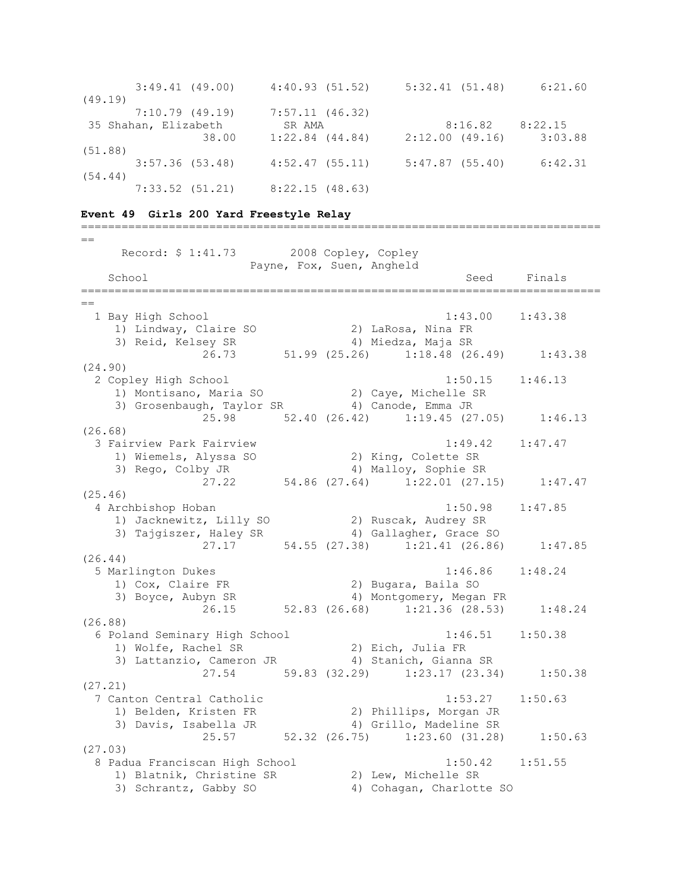| $3:49.41$ $(49.00)$  | 4:40.93(51.52)               | 5:32.41(51.48) | 6:21.60 |
|----------------------|------------------------------|----------------|---------|
| (49.19)              |                              |                |         |
| 7:10.79(49.19)       | 7:57.11(46.32)               |                |         |
| 35 Shahan, Elizabeth | SR AMA                       | 8:16.82        | 8:22.15 |
|                      | $1:22.84$ $(44.84)$<br>38.00 | 2:12.00(49.16) | 3:03.88 |
| (51, 88)             |                              |                |         |
| $3:57.36$ (53.48)    | 4:52.47(55.11)               | 5:47.87(55.40) | 6:42.31 |
| (54.44)              |                              |                |         |
| $7:33.52$ $(51.21)$  | 8:22.15(48.63)               |                |         |

=============================================================================

## **Event 49 Girls 200 Yard Freestyle Relay**

 $=$  Record: \$ 1:41.73 2008 Copley, Copley Payne, Fox, Suen, Angheld School Seed Finals ============================================================================= == 1 Bay High School 1:43.00 1:43.38 1) Lindway, Claire SO 2) LaRosa, Nina FR 3) Reid, Kelsey SR 4) Miedza, Maja SR 26.73 51.99 (25.26) 1:18.48 (26.49) 1:43.38 (24.90) 2 Copley High School 1:50.15 1:46.13 1) Montisano, Maria SO 2) Caye, Michelle SR 3) Grosenbaugh, Taylor SR (4) Canode, Emma JR 25.98 52.40 (26.42) 1:19.45 (27.05) 1:46.13 (26.68) 3 Fairview Park Fairview 1:49.42 1:47.47 1) Wiemels, Alyssa SO 2) King, Colette SR 3) Rego, Colby JR 4) Malloy, Sophie SR 27.22 54.86 (27.64) 1:22.01 (27.15) 1:47.47 (25.46) 4 Archbishop Hoban 1:50.98 1:47.85 1) Jacknewitz, Lilly SO 2) Ruscak, Audrey SR 3) Tajgiszer, Haley SR 4) Gallagher, Grace SO 27.17 54.55 (27.38) 1:21.41 (26.86) 1:47.85 (26.44) 5 Marlington Dukes 1:46.86 1:48.24 1) Cox, Claire FR 2) Bugara, Baila SO 3) Boyce, Aubyn SR 4) Montgomery, Megan FR  $26.15$  52.83 (26.68) 1:21.36 (28.53) 1:48.24 (26.88) 6 Poland Seminary High School 1:46.51 1:50.38 1) Wolfe, Rachel SR 2) Eich, Julia FR 3) Lattanzio, Cameron JR 4) Stanich, Gianna SR 27.54 59.83 (32.29) 1:23.17 (23.34) 1:50.38 (27.21) 7 Canton Central Catholic 1:53.27 1:50.63 1) Belden, Kristen FR 2) Phillips, Morgan JR 3) Davis, Isabella JR 4) Grillo, Madeline SR 25.57 52.32 (26.75) 1:23.60 (31.28) 1:50.63 (27.03) 8 Padua Franciscan High School 1:50.42 1:51.55 1) Blatnik, Christine SR 2) Lew, Michelle SR 3) Schrantz, Gabby SO 4) Cohagan, Charlotte SO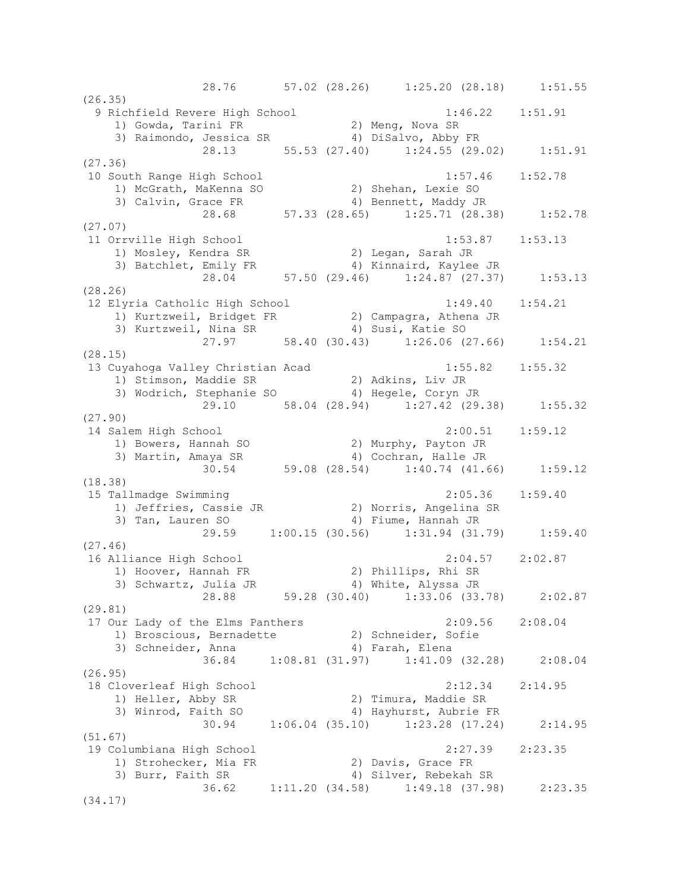28.76 57.02 (28.26) 1:25.20 (28.18) 1:51.55 (26.35) 9 Richfield Revere High School 1:46.22 1:51.91 1) Gowda, Tarini FR 2) Meng, Nova SR 3) Raimondo, Jessica SR 4) DiSalvo, Abby FR 28.13 55.53 (27.40) 1:24.55 (29.02) 1:51.91 (27.36) 10 South Range High School 1:57.46 1:52.78 1) McGrath, MaKenna SO 2) Shehan, Lexie SO 3) Calvin, Grace FR 4) Bennett, Maddy JR 28.68 57.33 (28.65) 1:25.71 (28.38) 1:52.78 (27.07) 11 Orrville High School 1:53.87 1:53.13 1) Mosley, Kendra SR 2) Legan, Sarah JR 3) Batchlet, Emily FR 4) Kinnaird, Kaylee JR 28.04 57.50 (29.46) 1:24.87 (27.37) 1:53.13 (28.26) 12 Elyria Catholic High School 1:49.40 1:54.21 1) Kurtzweil, Bridget FR 2) Campagra, Athena JR 3) Kurtzweil, Nina SR 4) Susi, Katie SO 27.97 58.40 (30.43) 1:26.06 (27.66) 1:54.21 (28.15) 13 Cuyahoga Valley Christian Acad 1:55.82 1:55.32 1) Stimson, Maddie SR 2) Adkins, Liv JR 3) Wodrich, Stephanie SO 4) Hegele, Coryn JR 29.10 58.04 (28.94) 1:27.42 (29.38) 1:55.32 (27.90) 14 Salem High School 2:00.51 1:59.12 1) Bowers, Hannah SO 2) Murphy, Payton JR 3) Martin, Amaya SR 4) Cochran, Halle JR 30.54 59.08 (28.54) 1:40.74 (41.66) 1:59.12 (18.38) 15 Tallmadge Swimming 2:05.36 1:59.40 1) Jeffries, Cassie JR 2) Norris, Angelina SR 3) Tan, Lauren SO 64) Fiume, Hannah JR 29.59 1:00.15 (30.56) 1:31.94 (31.79) 1:59.40 (27.46) 16 Alliance High School 2:04.57 2:02.87 1) Hoover, Hannah FR 2) Phillips, Rhi SR 3) Schwartz, Julia JR 4) White, Alyssa JR 28.88 59.28 (30.40) 1:33.06 (33.78) 2:02.87 (29.81) 17 Our Lady of the Elms Panthers 2:09.56 2:08.04 1) Broscious, Bernadette 2) Schneider, Sofie 3) Schneider, Anna (4) Farah, Elena 36.84 1:08.81 (31.97) 1:41.09 (32.28) 2:08.04 (26.95) 18 Cloverleaf High School 2:12.34 2:14.95 1) Heller, Abby SR 2) Timura, Maddie SR 3) Winrod, Faith SO 4) Hayhurst, Aubrie FR 30.94 1:06.04 (35.10) 1:23.28 (17.24) 2:14.95 (51.67) 19 Columbiana High School 2:27.39 2:23.35 1) Strohecker, Mia FR 2) Davis, Grace FR 3) Burr, Faith SR 4) Silver, Rebekah SR 36.62 1:11.20 (34.58) 1:49.18 (37.98) 2:23.35 (34.17)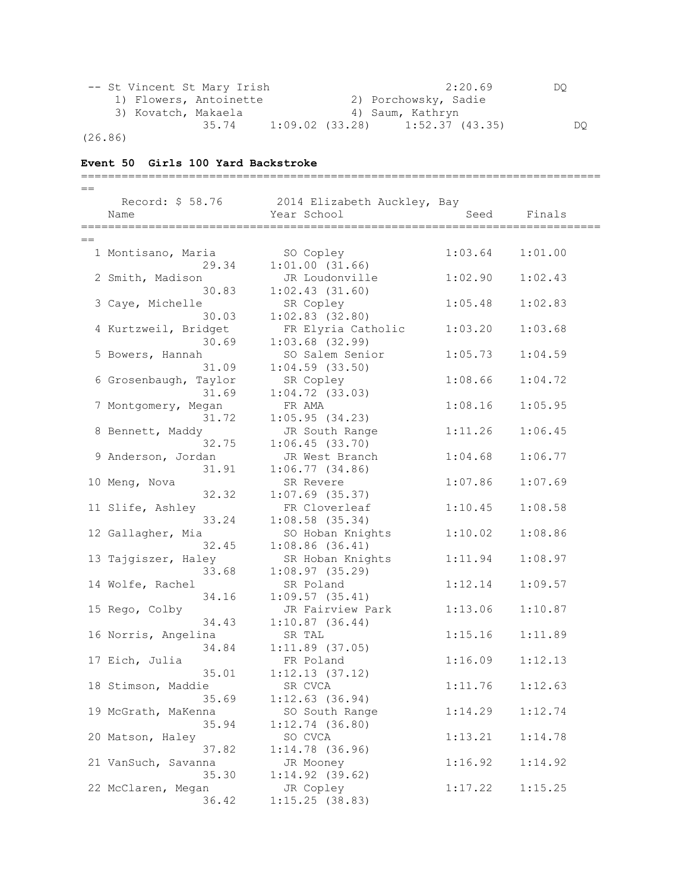| -- St Vincent St Mary Irish |                        |                   | 2:20.69              | DO  |
|-----------------------------|------------------------|-------------------|----------------------|-----|
|                             | 1) Flowers, Antoinette |                   | 2) Porchowsky, Sadie |     |
| 3) Kovatch, Makaela         |                        |                   | 4) Saum, Kathryn     |     |
|                             | 35.74                  | $1:09.02$ (33.28) | $1:52.37$ (43.35)    | DO. |

(26.86)

# **Event 50 Girls 100 Yard Backstroke**

| $=$ $=$ |                              |                                              |         |         |
|---------|------------------------------|----------------------------------------------|---------|---------|
|         |                              | Record: \$ 58.76 2014 Elizabeth Auckley, Bay |         |         |
|         | Name                         | Year School                                  | Seed    | Finals  |
|         |                              |                                              |         |         |
| $=$     |                              |                                              |         |         |
|         | 1 Montisano, Maria           | SO Copley                                    | 1:03.64 | 1:01.00 |
|         | 29.34                        | $1:01.00$ $(31.66)$                          |         |         |
|         | 2 Smith, Madison             | JR Loudonville                               | 1:02.90 | 1:02.43 |
|         | 30.83                        | $1:02.43$ $(31.60)$                          |         |         |
|         | 3 Caye, Michelle             | SR Copley                                    | 1:05.48 | 1:02.83 |
|         | 30.03                        | $1:02.83$ $(32.80)$                          |         |         |
|         | 4 Kurtzweil, Bridget         | FR Elyria Catholic                           | 1:03.20 | 1:03.68 |
|         | 30.69                        | $1:03.68$ (32.99)                            |         |         |
|         | 5 Bowers, Hannah             | SO Salem Senior                              | 1:05.73 | 1:04.59 |
|         | 31.09                        | $1:04.59$ $(33.50)$                          |         |         |
|         | 6 Grosenbaugh, Taylor        | SR Copley                                    | 1:08.66 | 1:04.72 |
|         | 31.69                        | $1:04.72$ (33.03)                            |         |         |
|         | 7 Montgomery, Megan          | FR AMA                                       | 1:08.16 | 1:05.95 |
|         | 31.72                        | 1:05.95(34.23)                               |         |         |
|         | 8 Bennett, Maddy             | JR South Range                               | 1:11.26 | 1:06.45 |
|         | 32.75                        | 1:06.45(33.70)                               |         |         |
|         | 9 Anderson, Jordan           | JR West Branch                               | 1:04.68 | 1:06.77 |
|         | 31.91                        | $1:06.77$ (34.86)                            |         |         |
|         | 10 Meng, Nova                | SR Revere                                    | 1:07.86 | 1:07.69 |
|         | 32.32                        | $1:07.69$ (35.37)                            |         |         |
|         | 11 Slife, Ashley             | FR Cloverleaf                                | 1:10.45 | 1:08.58 |
|         | 33.24                        | $1:08.58$ (35.34)                            |         |         |
|         | 12 Gallagher, Mia            | SO Hoban Knights                             | 1:10.02 | 1:08.86 |
|         | 32.45<br>13 Tajgiszer, Haley | $1:08.86$ $(36.41)$                          | 1:11.94 | 1:08.97 |
|         | 33.68                        | SR Hoban Knights<br>1:08.97(35.29)           |         |         |
|         | 14 Wolfe, Rachel             | SR Poland                                    | 1:12.14 | 1:09.57 |
|         | 34.16                        | $1:09.57$ (35.41)                            |         |         |
|         | 15 Rego, Colby               | JR Fairview Park                             | 1:13.06 | 1:10.87 |
|         | 34.43                        | $1:10.87$ (36.44)                            |         |         |
|         | 16 Norris, Angelina          | SR TAL                                       | 1:15.16 | 1:11.89 |
|         | 34.84                        | $1:11.89$ (37.05)                            |         |         |
|         | 17 Eich, Julia               | FR Poland                                    | 1:16.09 | 1:12.13 |
|         | 35.01                        | 1:12.13(37.12)                               |         |         |
|         | 18 Stimson, Maddie           | SR CVCA                                      | 1:11.76 | 1:12.63 |
|         | 35.69                        | 1:12.63(36.94)                               |         |         |
|         | 19 McGrath, MaKenna          | SO South Range                               | 1:14.29 | 1:12.74 |
|         | 35.94                        | $1:12.74$ (36.80)                            |         |         |
|         | 20 Matson, Haley             | SO CVCA                                      | 1:13.21 | 1:14.78 |
|         | 37.82                        | $1:14.78$ (36.96)                            |         |         |
|         | 21 VanSuch, Savanna          | JR Mooney                                    | 1:16.92 | 1:14.92 |
|         | 35.30                        | 1:14.92(39.62)                               |         |         |
|         | 22 McClaren, Megan           | JR Copley                                    | 1:17.22 | 1:15.25 |
|         | 36.42                        | 1:15.25(38.83)                               |         |         |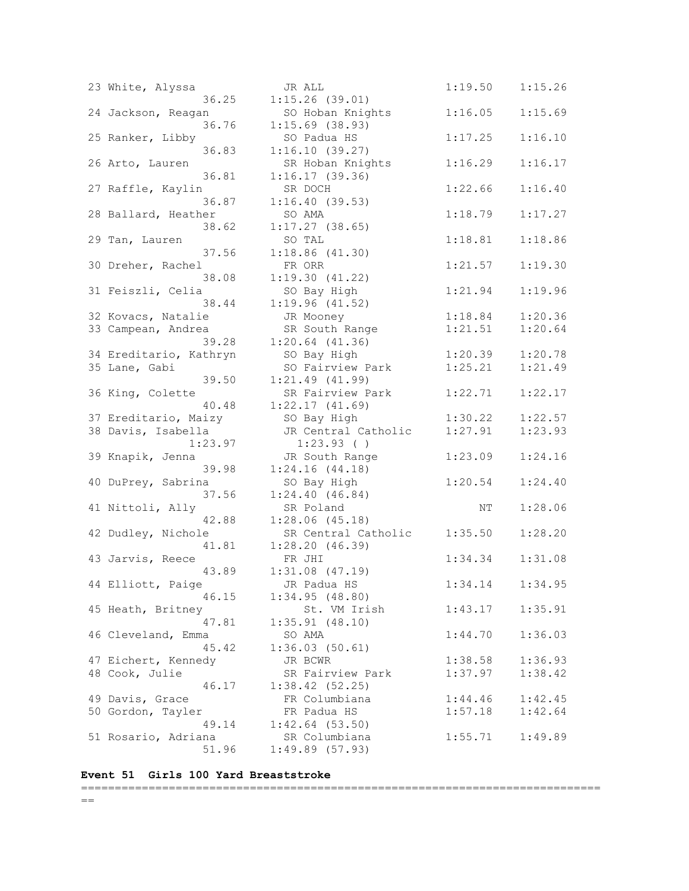| 23 White, Alyssa<br>36.25     | JR ALL<br>1:15.26(39.01)                | 1:19.50 | 1:15.26 |
|-------------------------------|-----------------------------------------|---------|---------|
| 24 Jackson, Reagan<br>36.76   | SO Hoban Knights<br>$1:15.69$ (38.93)   | 1:16.05 | 1:15.69 |
| 25 Ranker, Libby<br>36.83     | SO Padua HS<br>1:16.10(39.27)           | 1:17.25 | 1:16.10 |
| 26 Arto, Lauren<br>36.81      | SR Hoban Knights<br>1:16.17(39.36)      | 1:16.29 | 1:16.17 |
| 27 Raffle, Kaylin<br>36.87    | SR DOCH<br>1:16.40(39.53)               | 1:22.66 | 1:16.40 |
| 28 Ballard, Heather<br>38.62  | SO AMA<br>$1:17.27$ (38.65)             | 1:18.79 | 1:17.27 |
| 29 Tan, Lauren<br>37.56       | SO TAL<br>1:18.86(41.30)                | 1:18.81 | 1:18.86 |
| 30 Dreher, Rachel<br>38.08    | FR ORR<br>1:19.30(41.22)                | 1:21.57 | 1:19.30 |
| 31 Feiszli, Celia<br>38.44    | SO Bay High<br>1:19.96(41.52)           | 1:21.94 | 1:19.96 |
| 32 Kovacs, Natalie            | JR Mooney                               | 1:18.84 | 1:20.36 |
| 33 Campean, Andrea<br>39.28   | SR South Range<br>$1:20.64$ $(41.36)$   | 1:21.51 | 1:20.64 |
| 34 Ereditario, Kathryn        | SO Bay High                             | 1:20.39 | 1:20.78 |
| 35 Lane, Gabi<br>39.50        | SO Fairview Park<br>$1:21.49$ $(41.99)$ | 1:25.21 | 1:21.49 |
| 36 King, Colette<br>40.48     | SR Fairview Park<br>1:22.17(41.69)      | 1:22.71 | 1:22.17 |
| 37 Ereditario, Maizy          | SO Bay High                             | 1:30.22 | 1:22.57 |
| 38 Davis, Isabella<br>1:23.97 | JR Central Catholic<br>1:23.93( )       | 1:27.91 | 1:23.93 |
| 39 Knapik, Jenna<br>39.98     | JR South Range<br>1:24.16(44.18)        | 1:23.09 | 1:24.16 |
| 40 DuPrey, Sabrina<br>37.56   | SO Bay High<br>1:24.40(46.84)           | 1:20.54 | 1:24.40 |
| 41 Nittoli, Ally<br>42.88     | SR Poland<br>$1:28.06$ $(45.18)$        | ΝT      | 1:28.06 |
| 42 Dudley, Nichole<br>41.81   | SR Central Catholic<br>1:28.20(46.39)   | 1:35.50 | 1:28.20 |
| 43 Jarvis, Reece<br>43.89     | FR JHI<br>$1:31.08$ $(47.19)$           | 1:34.34 | 1:31.08 |
| 44 Elliott, Paige<br>46.15    | JR Padua HS<br>1:34.95(48.80)           | 1:34.14 | 1:34.95 |
| 45 Heath, Britney<br>47.81    | St. VM Irish<br>1:35.91(48.10)          | 1:43.17 | 1:35.91 |
| 46 Cleveland, Emma<br>45.42   | SO AMA<br>1:36.03(50.61)                | 1:44.70 | 1:36.03 |
| 47 Eichert, Kennedy           | JR BCWR                                 | 1:38.58 | 1:36.93 |
| 48 Cook, Julie<br>46.17       | SR Fairview Park<br>1:38.42(52.25)      | 1:37.97 | 1:38.42 |
| 49 Davis, Grace               | FR Columbiana                           | 1:44.46 | 1:42.45 |
| 50 Gordon, Tayler<br>49.14    | FR Padua HS<br>$1:42.64$ (53.50)        | 1:57.18 | 1:42.64 |
| 51 Rosario, Adriana<br>51.96  | SR Columbiana<br>1:49.89(57.93)         | 1:55.71 | 1:49.89 |

## **Event 51 Girls 100 Yard Breaststroke**

# =============================================================================

 $=$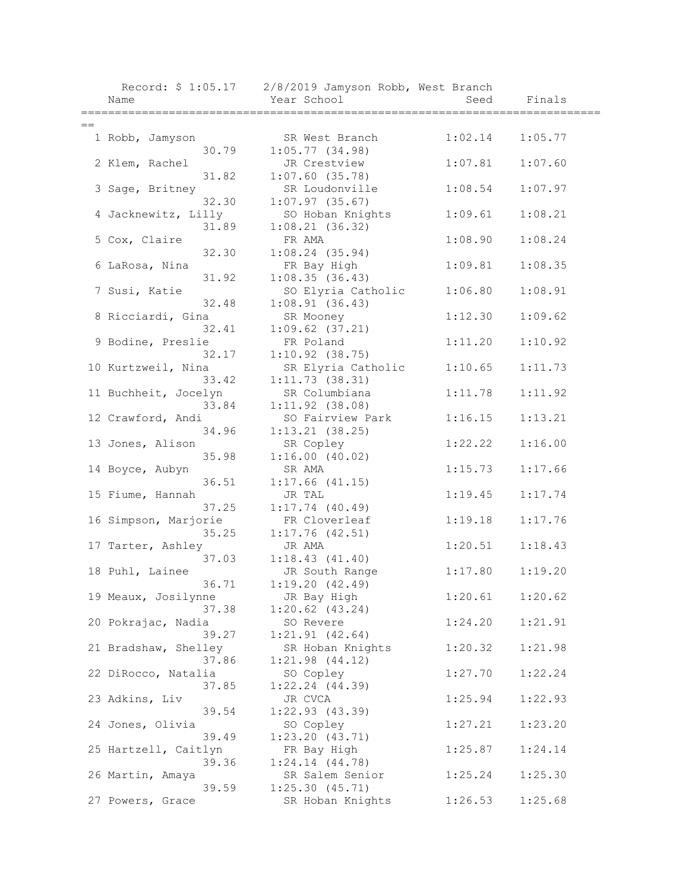|      | Name                              | Record: \$ 1:05.17 2/8/2019 Jamyson Robb, West Branch<br>Year School | Seed    | Finals  |
|------|-----------------------------------|----------------------------------------------------------------------|---------|---------|
| $==$ |                                   |                                                                      |         |         |
|      | 1 Robb, Jamyson<br>30.79          | SR West Branch<br>1:05.77(34.98)                                     | 1:02.14 | 1:05.77 |
|      | 2 Klem, Rachel                    | JR Crestview                                                         | 1:07.81 | 1:07.60 |
|      | 31.82<br>3 Sage, Britney<br>32.30 | $1:07.60$ (35.78)<br>SR Loudonville                                  | 1:08.54 | 1:07.97 |
|      | 4 Jacknewitz, Lilly<br>31.89      | $1:07.97$ (35.67)<br>SO Hoban Knights<br>1:08.21(36.32)              | 1:09.61 | 1:08.21 |
|      | 5 Cox, Claire<br>32.30            | FR AMA<br>1:08.24(35.94)                                             | 1:08.90 | 1:08.24 |
|      | 6 LaRosa, Nina<br>31.92           | FR Bay High<br>1:08.35(36.43)                                        | 1:09.81 | 1:08.35 |
|      | 7 Susi, Katie<br>32.48            | SO Elyria Catholic<br>1:08.91(36.43)                                 | 1:06.80 | 1:08.91 |
|      | 8 Ricciardi, Gina<br>32.41        | SR Mooney<br>$1:09.62$ $(37.21)$                                     | 1:12.30 | 1:09.62 |
|      | 9 Bodine, Preslie<br>32.17        | FR Poland<br>$1:10.92$ (38.75)                                       | 1:11.20 | 1:10.92 |
|      | 10 Kurtzweil, Nina<br>33.42       | SR Elyria Catholic<br>1:11.73(38.31)                                 | 1:10.65 | 1:11.73 |
|      | 11 Buchheit, Jocelyn<br>33.84     | SR Columbiana<br>$1:11.92$ (38.08)                                   | 1:11.78 | 1:11.92 |
|      | 12 Crawford, Andi<br>34.96        | SO Fairview Park<br>$1:13.21$ (38.25)                                | 1:16.15 | 1:13.21 |
|      | 13 Jones, Alison<br>35.98         | SR Copley<br>1:16.00(40.02)                                          | 1:22.22 | 1:16.00 |
|      | 14 Boyce, Aubyn<br>36.51          | SR AMA<br>$1:17.66$ $(41.15)$                                        | 1:15.73 | 1:17.66 |
|      | 15 Fiume, Hannah<br>37.25         | JR TAL<br>$1:17.74$ (40.49)                                          | 1:19.45 | 1:17.74 |
|      | 16 Simpson, Marjorie<br>35.25     | FR Cloverleaf<br>1:17.76(42.51)                                      | 1:19.18 | 1:17.76 |
|      | 17 Tarter, Ashley<br>37.03        | JR AMA<br>1:18.43(41.40)                                             | 1:20.51 | 1:18.43 |
|      | 18 Puhl, Lainee<br>36.71          | JR South Range<br>1:19.20(42.49)                                     | 1:17.80 | 1:19.20 |
|      | 19 Meaux, Josilynne<br>37.38      | JR Bay High<br>$1:20.62$ $(43.24)$                                   | 1:20.61 | 1:20.62 |
|      | 20 Pokrajac, Nadia<br>39.27       | SO Revere<br>1:21.91(42.64)                                          | 1:24.20 | 1:21.91 |
|      | 21 Bradshaw, Shelley<br>37.86     | SR Hoban Knights<br>$1:21.98$ $(44.12)$                              | 1:20.32 | 1:21.98 |
|      | 22 DiRocco, Natalia<br>37.85      | SO Copley<br>$1:22.24$ $(44.39)$                                     | 1:27.70 | 1:22.24 |
|      | 23 Adkins, Liv<br>39.54           | JR CVCA<br>1:22.93(43.39)                                            | 1:25.94 | 1:22.93 |
|      | 24 Jones, Olivia<br>39.49         | SO Copley<br>1:23.20(43.71)                                          | 1:27.21 | 1:23.20 |
|      | 25 Hartzell, Caitlyn<br>39.36     | FR Bay High<br>1:24.14(44.78)                                        | 1:25.87 | 1:24.14 |
|      | 26 Martin, Amaya<br>39.59         | SR Salem Senior<br>1:25.30(45.71)                                    | 1:25.24 | 1:25.30 |
|      | 27 Powers, Grace                  | SR Hoban Knights                                                     | 1:26.53 | 1:25.68 |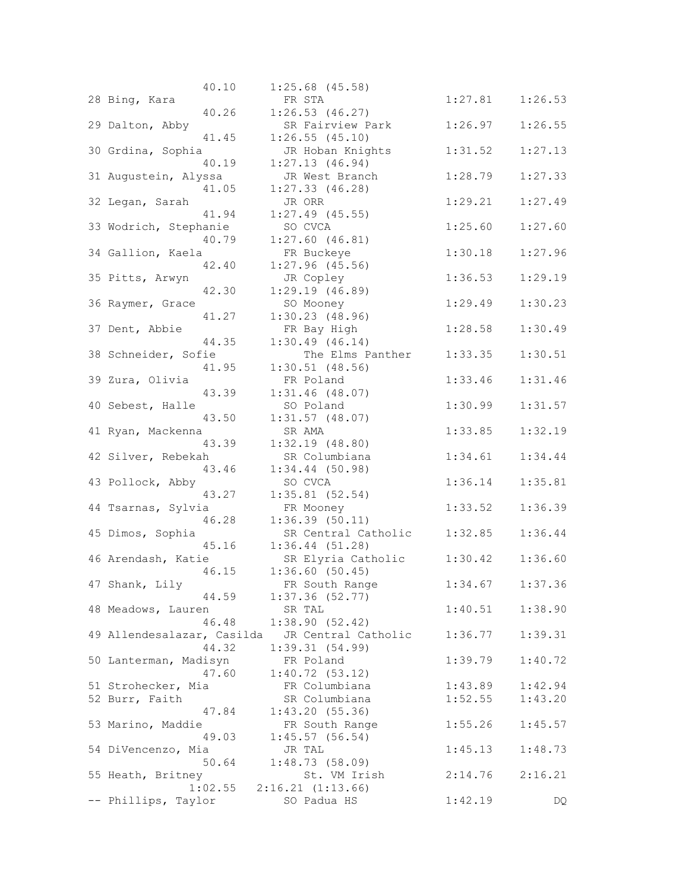|                                                | 40.10 | $1:25.68$ (45.58)               |                     |         |         |
|------------------------------------------------|-------|---------------------------------|---------------------|---------|---------|
| 28 Bing, Kara                                  |       | FR STA                          |                     | 1:27.81 | 1:26.53 |
|                                                | 40.26 | 1:26.53(46.27)                  |                     |         |         |
| 29 Dalton, Abby                                |       | SR Fairview Park                |                     | 1:26.97 | 1:26.55 |
|                                                |       |                                 |                     |         |         |
|                                                | 41.45 | $1:26.55$ (45.10)               |                     |         |         |
| 30 Grdina, Sophia                              |       | JR Hoban Knights                |                     | 1:31.52 | 1:27.13 |
|                                                | 40.19 | 1:27.13(46.94)                  |                     |         |         |
| 31 Augustein, Alyssa                           |       | JR West Branch                  |                     | 1:28.79 | 1:27.33 |
|                                                | 41.05 | $1:27.33$ $(46.28)$             |                     |         |         |
| 32 Legan, Sarah                                |       | JR ORR                          |                     | 1:29.21 | 1:27.49 |
|                                                | 41.94 | $1:27.49$ (45.55)               |                     |         |         |
| 33 Wodrich, Stephanie                          |       | SO CVCA                         |                     | 1:25.60 | 1:27.60 |
|                                                | 40.79 | 1:27.60(46.81)                  |                     |         |         |
| 34 Gallion, Kaela                              |       | FR Buckeye                      |                     | 1:30.18 | 1:27.96 |
|                                                |       | $1:27.96$ (45.56)               |                     |         |         |
|                                                | 42.40 |                                 |                     |         |         |
| 35 Pitts, Arwyn                                |       | JR Copley                       |                     | 1:36.53 | 1:29.19 |
|                                                | 42.30 | 1:29.19(46.89)                  |                     |         |         |
| 36 Raymer, Grace                               |       | SO Mooney                       |                     | 1:29.49 | 1:30.23 |
|                                                | 41.27 | 1:30.23(48.96)                  |                     |         |         |
| 37 Dent, Abbie                                 |       | FR Bay High                     |                     | 1:28.58 | 1:30.49 |
|                                                | 44.35 | 1:30.49(46.14)                  |                     |         |         |
| 38 Schneider, Sofie                            |       |                                 | The Elms Panther    | 1:33.35 | 1:30.51 |
|                                                | 41.95 | $1:30.51$ (48.56)               |                     |         |         |
| 39 Zura, Olivia                                |       | FR Poland                       |                     | 1:33.46 | 1:31.46 |
|                                                | 43.39 | $1:31.46$ (48.07)               |                     |         |         |
| 40 Sebest, Halle                               |       |                                 |                     | 1:30.99 | 1:31.57 |
|                                                |       | SO Poland                       |                     |         |         |
|                                                | 43.50 | $1:31.57$ (48.07)               |                     |         |         |
| 41 Ryan, Mackenna                              |       | SR AMA                          |                     | 1:33.85 | 1:32.19 |
|                                                | 43.39 | 1:32.19(48.80)                  |                     |         |         |
| 42 Silver, Rebekah                             |       | SR Columbiana                   |                     | 1:34.61 | 1:34.44 |
|                                                | 43.46 | $1:34.44$ (50.98)               |                     |         |         |
| 43 Pollock, Abby                               |       | SO CVCA                         |                     | 1:36.14 | 1:35.81 |
|                                                | 43.27 | $1:35.81$ (52.54)               |                     |         |         |
| 44 Tsarnas, Sylvia                             |       | FR Mooney                       |                     | 1:33.52 | 1:36.39 |
|                                                | 46.28 | 1:36.39(50.11)                  |                     |         |         |
| 45 Dimos, Sophia                               |       |                                 | SR Central Catholic | 1:32.85 | 1:36.44 |
|                                                | 45.16 | 1:36.44(51.28)                  |                     |         |         |
| 46 Arendash, Katie                             |       | SR Elyria Catholic              |                     | 1:30.42 | 1:36.60 |
|                                                |       |                                 |                     |         |         |
|                                                | 46.15 | 1:36.60(50.45)                  |                     |         |         |
| 47 Shank, Lily                                 |       | FR South Range                  |                     | 1:34.67 | 1:37.36 |
|                                                |       | 44.59 1:37.36 (52.77)           |                     |         |         |
| 48 Meadows, Lauren                             |       | SR TAL                          |                     | 1:40.51 | 1:38.90 |
|                                                | 46.48 | 1:38.90(52.42)                  |                     |         |         |
| 49 Allendesalazar, Casilda JR Central Catholic |       |                                 |                     | 1:36.77 | 1:39.31 |
|                                                | 44.32 | 1:39.31(54.99)                  |                     |         |         |
| 50 Lanterman, Madisyn                          |       | FR Poland                       |                     | 1:39.79 | 1:40.72 |
|                                                | 47.60 | 1:40.72(53.12)                  |                     |         |         |
| 51 Strohecker, Mia                             |       | FR Columbiana                   |                     | 1:43.89 | 1:42.94 |
| 52 Burr, Faith                                 |       | SR Columbiana                   |                     | 1:52.55 | 1:43.20 |
|                                                | 47.84 | 1:43.20(55.36)                  |                     |         |         |
|                                                |       |                                 |                     |         |         |
| 53 Marino, Maddie                              |       | FR South Range                  |                     | 1:55.26 | 1:45.57 |
|                                                | 49.03 | 1:45.57(56.54)                  |                     |         |         |
| 54 DiVencenzo, Mia                             |       | JR TAL                          |                     | 1:45.13 | 1:48.73 |
|                                                | 50.64 | 1:48.73(58.09)                  |                     |         |         |
| 55 Heath, Britney                              |       | St. VM Irish                    |                     | 2:14.76 | 2:16.21 |
|                                                |       | $1:02.55$ $2:16.21$ $(1:13.66)$ |                     |         |         |
| -- Phillips, Taylor                            |       | SO Padua HS                     |                     | 1:42.19 | DQ      |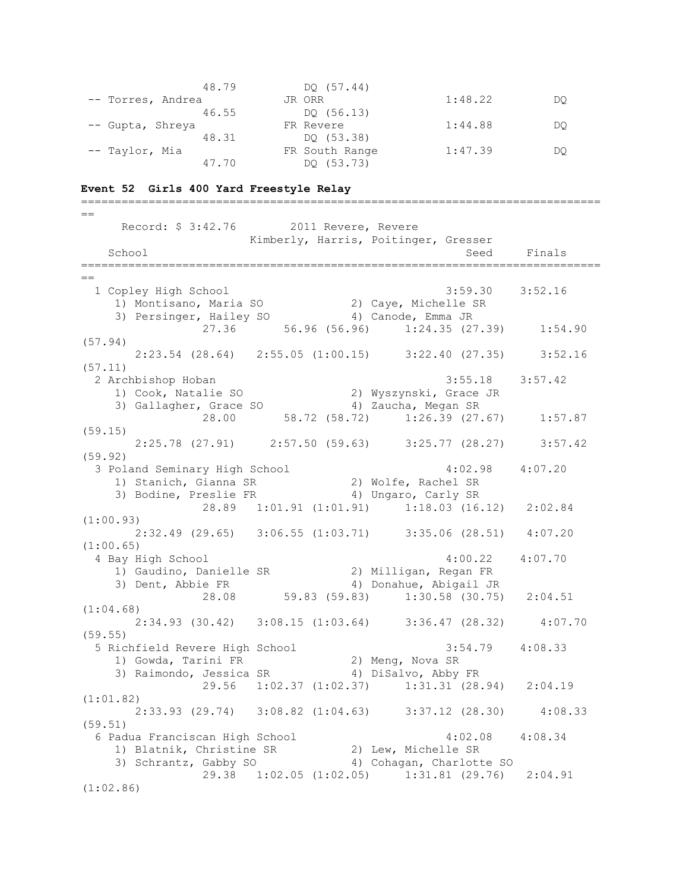| 48.79             | DO (57.44)     |         |    |
|-------------------|----------------|---------|----|
| -- Torres, Andrea | JR ORR         | 1:48.22 | DO |
| 46.55             | DO (56.13)     |         |    |
| -- Gupta, Shreya  | FR Revere      | 1:44.88 | DO |
| 48.31             | DO (53.38)     |         |    |
| -- Taylor, Mia    | FR South Range | 1:47.39 | DO |
| 47.70             | DO (53.73)     |         |    |

#### **Event 52 Girls 400 Yard Freestyle Relay**

============================================================================= == Record: \$ 3:42.76 2011 Revere, Revere Kimberly, Harris, Poitinger, Gresser School School Seed Finals =============================================================================  $=$  1 Copley High School 3:59.30 3:52.16 1) Montisano, Maria SO 2) Caye, Michelle SR 3) Persinger, Hailey SO 4) Canode, Emma JR 27.36 56.96 (56.96) 1:24.35 (27.39) 1:54.90 (57.94) 2:23.54 (28.64) 2:55.05 (1:00.15) 3:22.40 (27.35) 3:52.16 (57.11) 2 Archbishop Hoban 3:55.18 3:57.42 1) Cook, Natalie SO 2) Wyszynski, Grace JR 3) Gallagher, Grace SO 4) Zaucha, Megan SR 28.00 58.72 (58.72) 1:26.39 (27.67) 1:57.87 (59.15) 2:25.78 (27.91) 2:57.50 (59.63) 3:25.77 (28.27) 3:57.42 (59.92) 3 Poland Seminary High School 4:02.98 4:07.20 1) Stanich, Gianna SR 2) Wolfe, Rachel SR 3) Bodine, Preslie FR 4) Ungaro, Carly SR 28.89 1:01.91 (1:01.91) 1:18.03 (16.12) 2:02.84 (1:00.93) 2:32.49 (29.65) 3:06.55 (1:03.71) 3:35.06 (28.51) 4:07.20 (1:00.65) 4 Bay High School 4:00.22 4:07.70 1) Gaudino, Danielle SR 2) Milligan, Regan FR 3) Dent, Abbie FR 4) Donahue, Abigail JR 28.08 59.83 (59.83) 1:30.58 (30.75) 2:04.51 (1:04.68) 2:34.93 (30.42) 3:08.15 (1:03.64) 3:36.47 (28.32) 4:07.70 (59.55) 5 Richfield Revere High School 3:54.79 4:08.33 1) Gowda, Tarini FR 2) Meng, Nova SR 3) Raimondo, Jessica SR 4) DiSalvo, Abby FR 29.56 1:02.37 (1:02.37) 1:31.31 (28.94) 2:04.19 (1:01.82) 2:33.93 (29.74) 3:08.82 (1:04.63) 3:37.12 (28.30) 4:08.33 (59.51) 6 Padua Franciscan High School 4:02.08 4:08.34 1) Blatnik, Christine SR 2) Lew, Michelle SR 3) Schrantz, Gabby SO 4) Cohagan, Charlotte SO 29.38 1:02.05 (1:02.05) 1:31.81 (29.76) 2:04.91 (1:02.86)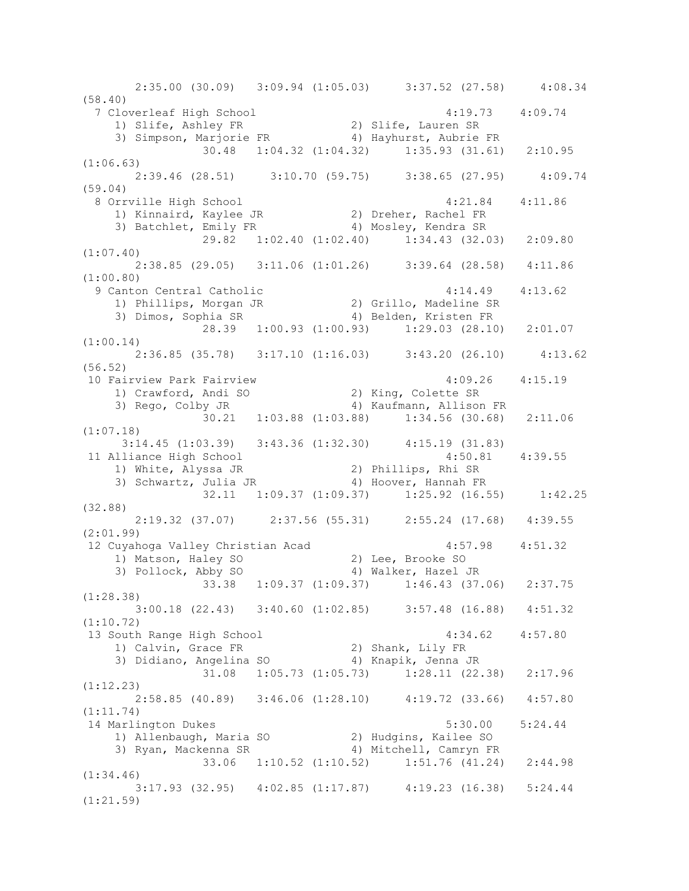2:35.00 (30.09) 3:09.94 (1:05.03) 3:37.52 (27.58) 4:08.34 (58.40) 7 Cloverleaf High School 4:19.73 4:09.74 1) Slife, Ashley FR 2) Slife, Lauren SR 3) Simpson, Marjorie FR 4) Hayhurst, Aubrie FR 30.48 1:04.32 (1:04.32) 1:35.93 (31.61) 2:10.95 (1:06.63) 2:39.46 (28.51) 3:10.70 (59.75) 3:38.65 (27.95) 4:09.74 (59.04) 8 Orrville High School 4:21.84 4:11.86 1) Kinnaird, Kaylee JR 2) Dreher, Rachel FR 3) Batchlet, Emily FR 4) Mosley, Kendra SR 29.82 1:02.40 (1:02.40) 1:34.43 (32.03) 2:09.80 (1:07.40) 2:38.85 (29.05) 3:11.06 (1:01.26) 3:39.64 (28.58) 4:11.86 (1:00.80) 9 Canton Central Catholic 4:14.49 4:13.62 1) Phillips, Morgan JR 2) Grillo, Madeline SR 3) Dimos, Sophia SR 4) Belden, Kristen FR 28.39 1:00.93 (1:00.93) 1:29.03 (28.10) 2:01.07 (1:00.14) 2:36.85 (35.78) 3:17.10 (1:16.03) 3:43.20 (26.10) 4:13.62 (56.52) 10 Fairview Park Fairview 4:09.26 4:15.19 1) Crawford, Andi SO 2) King, Colette SR 3) Rego, Colby JR 4) Kaufmann, Allison FR 30.21 1:03.88 (1:03.88) 1:34.56 (30.68) 2:11.06 (1:07.18) 3:14.45 (1:03.39) 3:43.36 (1:32.30) 4:15.19 (31.83)<br>11ance High School 4:50.81 4:39.55 11 Alliance High School 4:50.81 4:39.55 1) White, Alyssa JR 2) Phillips, Rhi SR 3) Schwartz, Julia JR 4) Hoover, Hannah FR 32.11 1:09.37 (1:09.37) 1:25.92 (16.55) 1:42.25 (32.88) 2:19.32 (37.07) 2:37.56 (55.31) 2:55.24 (17.68) 4:39.55 (2:01.99) 12 Cuyahoga Valley Christian Acad 4:57.98 4:51.32 1) Matson, Haley SO 2) Lee, Brooke SO 3) Pollock, Abby SO 4) Walker, Hazel JR 33.38 1:09.37 (1:09.37) 1:46.43 (37.06) 2:37.75 (1:28.38) 3:00.18 (22.43) 3:40.60 (1:02.85) 3:57.48 (16.88) 4:51.32 (1:10.72) 13 South Range High School 4:34.62 4:57.80 1) Calvin, Grace FR 2) Shank, Lily FR 3) Didiano, Angelina SO 4) Knapik, Jenna JR 31.08 1:05.73 (1:05.73) 1:28.11 (22.38) 2:17.96 (1:12.23) 2:58.85 (40.89) 3:46.06 (1:28.10) 4:19.72 (33.66) 4:57.80 (1:11.74) 14 Marlington Dukes 5:30.00 5:24.44 1) Allenbaugh, Maria SO 2) Hudgins, Kailee SO 3) Ryan, Mackenna SR 4) Mitchell, Camryn FR 33.06 1:10.52 (1:10.52) 1:51.76 (41.24) 2:44.98 (1:34.46) 3:17.93 (32.95) 4:02.85 (1:17.87) 4:19.23 (16.38) 5:24.44 (1:21.59)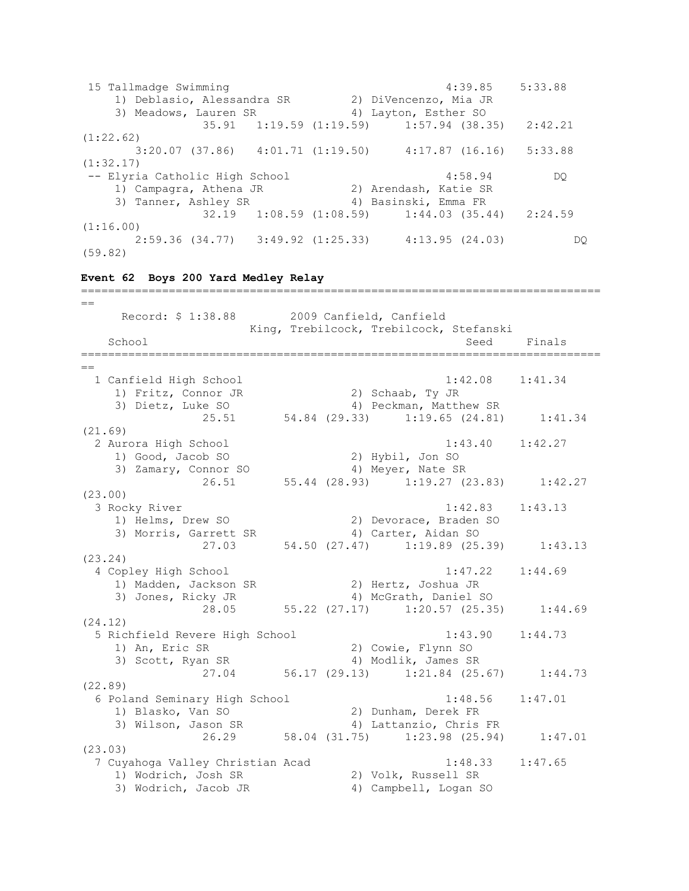15 Tallmadge Swimming 4:39.85 5:33.88 1) Deblasio, Alessandra SR 2) DiVencenzo, Mia JR 3) Meadows, Lauren SR 4) Layton, Esther SO 35.91 1:19.59 (1:19.59) 1:57.94 (38.35) 2:42.21 (1:22.62) 3:20.07 (37.86) 4:01.71 (1:19.50) 4:17.87 (16.16) 5:33.88 (1:32.17) -- Elyria Catholic High School 4:58.94 DQ 1) Campagra, Athena JR 2) Arendash, Katie SR 3) Tanner, Ashley SR 4) Basinski, Emma FR 32.19 1:08.59 (1:08.59) 1:44.03 (35.44) 2:24.59 (1:16.00) 2:59.36 (34.77) 3:49.92 (1:25.33) 4:13.95 (24.03) DQ (59.82) **Event 62 Boys 200 Yard Medley Relay** =============================================================================  $=$  Record: \$ 1:38.88 2009 Canfield, Canfield King, Trebilcock, Trebilcock, Stefanski School Seed Finals =============================================================================  $-$  1 Canfield High School 1:42.08 1:41.34 1) Fritz, Connor JR 2) Schaab, Ty JR 3) Dietz, Luke SO 4) Peckman, Matthew SR 25.51 54.84 (29.33) 1:19.65 (24.81) 1:41.34 (21.69) 2 Aurora High School 1:43.40 1:42.27 1) Good, Jacob SO 2) Hybil, Jon SO 3) Zamary, Connor SO 4) Meyer, Nate SR 26.51 55.44 (28.93) 1:19.27 (23.83) 1:42.27 (23.00) 3 Rocky River 1:42.83 1:43.13 1) Helms, Drew SO 2) Devorace, Braden SO 3) Morris, Garrett SR 4) Carter, Aidan SO 27.03 54.50 (27.47) 1:19.89 (25.39) 1:43.13 (23.24) 4 Copley High School 1:47.22 1:44.69 1) Madden, Jackson SR 2) Hertz, Joshua JR 3) Jones, Ricky JR 4) McGrath, Daniel SO  $28.05$  55.22 (27.17) 1:20.57 (25.35) 1:44.69 (24.12) 5 Richfield Revere High School 1:43.90 1:44.73 1) An, Eric SR 2) Cowie, Flynn SO 3) Scott, Ryan SR 4) Modlik, James SR yan SK<br>27.04 56.17 (29.13) 1:21.84 (25.67) 1:44.73 (22.89) 6 Poland Seminary High School 1:48.56 1:47.01 1) Blasko, Van SO 2) Dunham, Derek FR 3) Wilson, Jason SR 4) Lattanzio, Chris FR 26.29 58.04 (31.75) 1:23.98 (25.94) 1:47.01 (23.03) 7 Cuyahoga Valley Christian Acad 1:48.33 1:47.65 1) Wodrich, Josh SR 2) Volk, Russell SR 3) Wodrich, Jacob JR 4) Campbell, Logan SO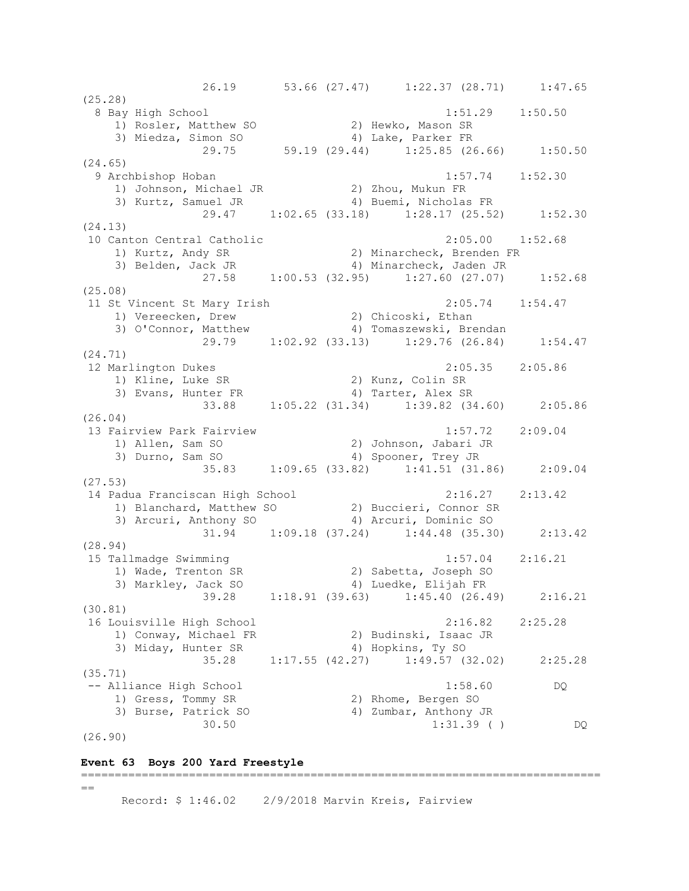26.19 53.66 (27.47) 1:22.37 (28.71) 1:47.65 (25.28) 8 Bay High School 1:51.29 1:50.50 1) Rosler, Matthew SO 2) Hewko, Mason SR 3) Miedza, Simon SO 4) Lake, Parker FR 29.75 59.19 (29.44) 1:25.85 (26.66) 1:50.50 (24.65) 9 Archbishop Hoban 1:57.74 1:52.30 1) Johnson, Michael JR 2) Zhou, Mukun FR 3) Kurtz, Samuel JR 4) Buemi, Nicholas FR 29.47 1:02.65 (33.18) 1:28.17 (25.52) 1:52.30 (24.13) 10 Canton Central Catholic 2:05.00 1:52.68 1) Kurtz, Andy SR 2) Minarcheck, Brenden FR 3) Belden, Jack JR 4) Minarcheck, Jaden JR 27.58 1:00.53 (32.95) 1:27.60 (27.07) 1:52.68 (25.08) 11 St Vincent St Mary Irish 2:05.74 1:54.47 1) Vereecken, Drew 2) Chicoski, Ethan 3) O'Connor, Matthew 4) Tomaszewski, Brendan 29.79 1:02.92 (33.13) 1:29.76 (26.84) 1:54.47 (24.71) 12 Marlington Dukes 2:05.35 2:05.86 1) Kline, Luke SR 2) Kunz, Colin SR 3) Evans, Hunter FR 4) Tarter, Alex SR 33.88 1:05.22 (31.34) 1:39.82 (34.60) 2:05.86 (26.04) 13 Fairview Park Fairview 1:57.72 2:09.04 1) Allen, Sam SO 2) Johnson, Jabari JR 3) Durno, Sam SO 4) Spooner, Trey JR  $35.83$  1:09.65 (33.82) 1:41.51 (31.86) 2:09.04 (27.53) 14 Padua Franciscan High School 2:16.27 2:13.42 1) Blanchard, Matthew SO 2) Buccieri, Connor SR 3) Arcuri, Anthony SO 4) Arcuri, Dominic SO 31.94 1:09.18 (37.24) 1:44.48 (35.30) 2:13.42 (28.94) 15 Tallmadge Swimming 1:57.04 2:16.21 1) Wade, Trenton SR 2) Sabetta, Joseph SO 3) Markley, Jack SO 4) Luedke, Elijah FR 39.28 1:18.91 (39.63) 1:45.40 (26.49) 2:16.21 (30.81) 16 Louisville High School 2:16.82 2:25.28 1) Conway, Michael FR 2) Budinski, Isaac JR 3) Miday, Hunter SR 4) Hopkins, Ty SO 35.28 1:17.55 (42.27) 1:49.57 (32.02) 2:25.28 (35.71) -- Alliance High School 1:58.60 DQ 1) Gress, Tommy SR 2) Rhome, Bergen SO 3) Burse, Patrick SO 4) Zumbar, Anthony JR  $30.50$   $1:31.39$  ( ) DQ (26.90)

#### **Event 63 Boys 200 Yard Freestyle**

 $=$ 

Record: \$ 1:46.02 2/9/2018 Marvin Kreis, Fairview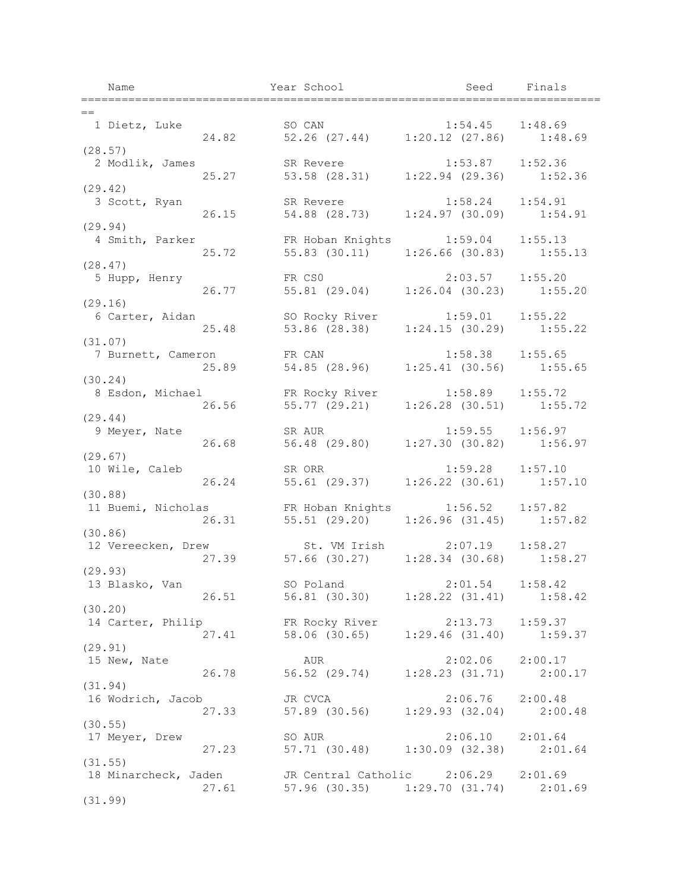Name Year School Seed Finals ============================================================================= == 1 Dietz, Luke SO CAN 1:54.45 1:48.69 24.82 52.26 (27.44) 1:20.12 (27.86) 1:48.69 (28.57) 2 Modlik, James SR Revere 1:53.87 1:52.36<br>25.27 53.58 (28.31) 1:22.94 (29.36) 1:52. 25.27 53.58 (28.31) 1:22.94 (29.36) 1:52.36 (29.42) 3 Scott, Ryan SR Revere 1:58.24 1:54.91 26.15 54.88 (28.73) 1:24.97 (30.09) 1:54.91 (29.94) 4 Smith, Parker FR Hoban Knights 1:59.04 1:55.13 25.72 55.83 (30.11) 1:26.66 (30.83) 1:55.13 (28.47) 5 Hupp, Henry FR CS0 2:03.57 1:55.20 26.77 55.81 (29.04) 1:26.04 (30.23) 1:55.20  $(29.16)$ <br>6 Carter, Aidan 6 Carter, Aidan SO Rocky River 1:59.01 1:55.22 25.48 53.86 (28.38) 1:24.15 (30.29) 1:55.22 (31.07) 7 Burnett, Cameron FR CAN 1:58.38 1:55.65<br>25.89 54.85 (28.96) 1:25.41 (30.56) 1:55. 25.89 54.85 (28.96) 1:25.41 (30.56) 1:55.65 (30.24) 8 Esdon, Michael FR Rocky River 1:58.89 1:55.72 26.56 55.77 (29.21) 1:26.28 (30.51) 1:55.72 (29.44) 9 Meyer, Nate SR AUR 1:59.55 1:56.97 26.68 56.48 (29.80) 1:27.30 (30.82) 1:56.97 (29.67) 10 Wile, Caleb SR ORR 1:59.28 1:57.10 26.24 55.61 (29.37) 1:26.22 (30.61) 1:57.10 (30.88) 11 Buemi, Nicholas FR Hoban Knights 1:56.52 1:57.82 26.31 55.51 (29.20) 1:26.96 (31.45) 1:57.82 (30.86)<br>12 Vereecken, Drew 12 Vereecken, Drew St. VM Irish 2:07.19 1:58.27 27.39 57.66 (30.27) 1:28.34 (30.68) 1:58.27 (29.93) 13 Blasko, Van SO Poland 2:01.54 1:58.42 26.51 56.81 (30.30) 1:28.22 (31.41) 1:58.42 (30.20) 14 Carter, Philip FR Rocky River 2:13.73 1:59.37 27.41 58.06 (30.65) 1:29.46 (31.40) 1:59.37 (29.91) 15 New, Nate AUR 2:02.06 2:00.17 26.78 56.52 (29.74) 1:28.23 (31.71) 2:00.17 (31.94) 16 Wodrich, Jacob JR CVCA 2:06.76 2:00.48<br>27.33 57.89 (30.56) 1:29.93 (32.04) 2:00. 27.33 57.89 (30.56) 1:29.93 (32.04) 2:00.48 (30.55)<br>17 Meyer, Drew 17 Meyer, 2:06.10 2:01.64 27.23 57.71 (30.48) 1:30.09 (32.38) 2:01.64 (31.55) 18 Minarcheck, Jaden JR Central Catholic 2:06.29 2:01.69 27.61 57.96 (30.35) 1:29.70 (31.74) 2:01.69 (31.99)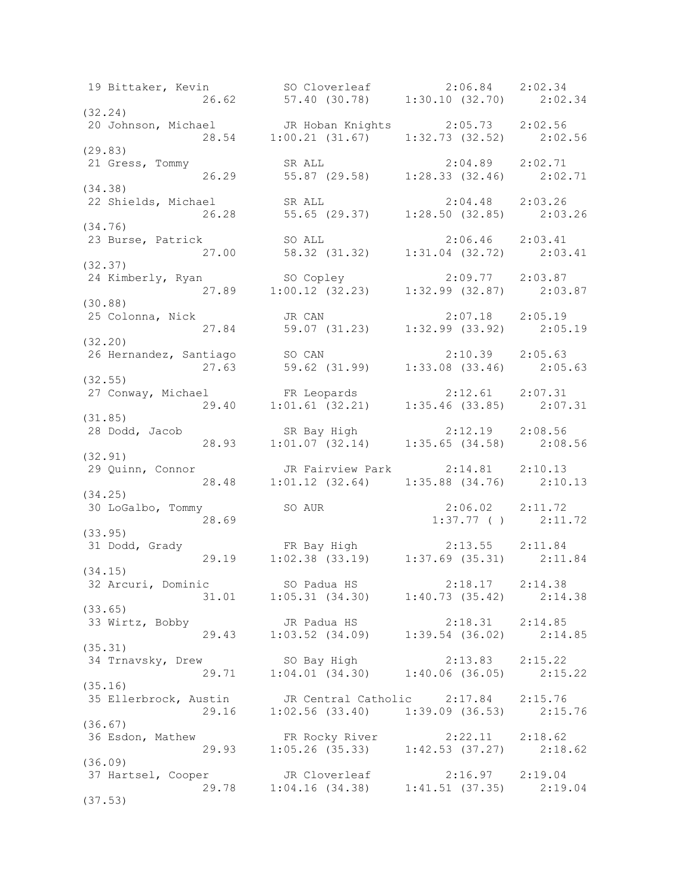19 Bittaker, Kevin SO Cloverleaf 2:06.84 2:02.34 26.62 57.40 (30.78) 1:30.10 (32.70) 2:02.34 (32.24) 20 Johnson, Michael JR Hoban Knights 2:05.73 2:02.56 28.54 1:00.21 (31.67) 1:32.73 (32.52) 2:02.56 (29.83) 21 Gress, Tommy SR ALL 2:04.89 2:02.71 26.29 55.87 (29.58) 1:28.33 (32.46) 2:02.71 (34.38) 22 Shields, Michael SR ALL 2:04.48 2:03.26 26.28 55.65 (29.37) 1:28.50 (32.85) 2:03.26 (34.76) 23 Burse, Patrick SO ALL 2:06.46 2:03.41 27.00 58.32 (31.32) 1:31.04 (32.72) 2:03.41 (32.37) 24 Kimberly, Ryan SO Copley 2:09.77 2:03.87 27.89 1:00.12 (32.23) 1:32.99 (32.87) 2:03.87 (30.88) 25 Colonna, Nick JR CAN 2:07.18 2:05.19 27.84 59.07 (31.23) 1:32.99 (33.92) 2:05.19 (32.20) 26 Hernandez, Santiago SO CAN 2:10.39 2:05.63 27.63 59.62 (31.99) 1:33.08 (33.46) 2:05.63 (32.55) 27 Conway, Michael FR Leopards 2:12.61 2:07.31 29.40 1:01.61 (32.21) 1:35.46 (33.85) 2:07.31 (31.85) 28 Dodd, Jacob SR Bay High 2:12.19 2:08.56 28.93 1:01.07 (32.14) 1:35.65 (34.58) 2:08.56 (32.91) 29 Quinn, Connor JR Fairview Park 2:14.81 2:10.13 28.48 1:01.12 (32.64) 1:35.88 (34.76) 2:10.13 (34.25) 30 LoGalbo, Tommy SO AUR 2:06.02 2:11.72<br>28.69 2:11.72<br>2:11.72 1:37.77 ( ) 2:11.72 (33.95) 31 Dodd, Grady FR Bay High 2:13.55 2:11.84 29.19 1:02.38 (33.19) 1:37.69 (35.31) 2:11.84 (34.15) 32 Arcuri, Dominic SO Padua HS 2:18.17 2:14.38 31.01 1:05.31 (34.30) 1:40.73 (35.42) 2:14.38 (33.65) 33 Wirtz, Bobby JR Padua HS 2:18.31 2:14.85 29.43 1:03.52 (34.09) 1:39.54 (36.02) 2:14.85 (35.31) 34 Trnavsky, Drew SO Bay High 2:13.83 2:15.22 29.71 1:04.01 (34.30) 1:40.06 (36.05) 2:15.22 (35.16) 35 Ellerbrock, Austin JR Central Catholic 2:17.84 2:15.76 29.16 1:02.56 (33.40) 1:39.09 (36.53) 2:15.76 (36.67) 36 Esdon, Mathew FR Rocky River 2:22.11 2:18.62 29.93 1:05.26 (35.33) 1:42.53 (37.27) 2:18.62 (36.09) 37 Hartsel, Cooper JR Cloverleaf 2:16.97 2:19.04 29.78 1:04.16 (34.38) 1:41.51 (37.35) 2:19.04 (37.53)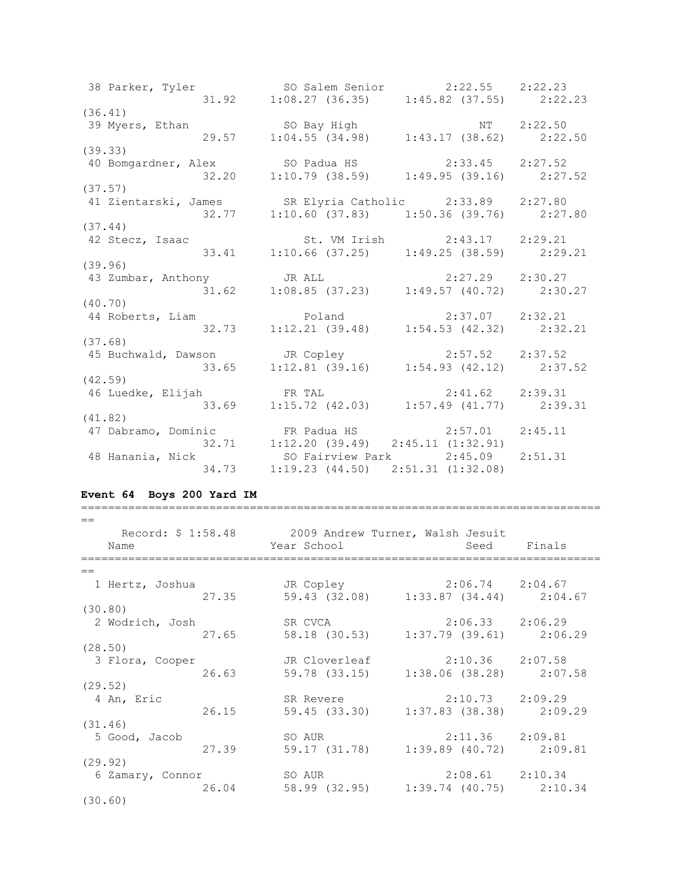38 Parker, Tyler SO Salem Senior 2:22.55 2:22.23 31.92 1:08.27 (36.35) 1:45.82 (37.55) 2:22.23 (36.41) 39 Myers, Ethan SO Bay High NT 2:22.50 29.57 1:04.55 (34.98) 1:43.17 (38.62) 2:22.50 (39.33) 40 Bomgardner, Alex SO Padua HS 2:33.45 2:27.52 32.20 1:10.79 (38.59) 1:49.95 (39.16) 2:27.52 (37.57) 41 Zientarski, James SR Elyria Catholic 2:33.89 2:27.80 32.77 1:10.60 (37.83) 1:50.36 (39.76) 2:27.80 (37.44) 42 Stecz, Isaac St. VM Irish 2:43.17 2:29.21 33.41 1:10.66 (37.25) 1:49.25 (38.59) 2:29.21 (39.96) 43 Zumbar, Anthony JR ALL 2:27.29 2:30.27 31.62 1:08.85 (37.23) 1:49.57 (40.72) 2:30.27 (40.70) 44 Roberts, Liam Poland 2:37.07 2:32.21 32.73 1:12.21 (39.48) 1:54.53 (42.32) 2:32.21 (37.68) 45 Buchwald, Dawson JR Copley 2:57.52 2:37.52 33.65 1:12.81 (39.16) 1:54.93 (42.12) 2:37.52 (42.59) 46 Luedke, Elijah FR TAL 2:41.62 2:39.31 33.69 1:15.72 (42.03) 1:57.49 (41.77) 2:39.31 (41.82) 47 Dabramo, Dominic FR Padua HS 2:57.01 2:45.11 32.71 1:12.20 (39.49) 2:45.11 (1:32.91) 48 Hanania, Nick SO Fairview Park 2:45.09 2:51.31 34.73 1:19.23 (44.50) 2:51.31 (1:32.08)

#### **Event 64 Boys 200 Yard IM**

| $=$<br>Name      |       | Record: \$ 1:58.48 2009 Andrew Turner, Walsh Jesuit<br>Year School | Seed                                               | Finals |
|------------------|-------|--------------------------------------------------------------------|----------------------------------------------------|--------|
|                  |       |                                                                    |                                                    |        |
| $=$              |       |                                                                    |                                                    |        |
| 1 Hertz, Joshua  | 27.35 | JR Copley<br>59.43 (32.08) 1:33.87 (34.44) 2:04.67                 | 2:06.74 2:04.67                                    |        |
| (30.80)          |       |                                                                    |                                                    |        |
| 2 Wodrich, Josh  | 27.65 | SR CVCA<br>58.18 (30.53)                                           | $2:06.33$ $2:06.29$<br>$1:37.79$ (39.61) $2:06.29$ |        |
| (28.50)          |       |                                                                    |                                                    |        |
| 3 Flora, Cooper  | 26.63 | JR Cloverleaf<br>59.78 (33.15)                                     | $2:10.36$ $2:07.58$<br>$1:38.06$ (38.28) $2:07.58$ |        |
| (29.52)          |       |                                                                    |                                                    |        |
| 4 An, Eric       | 26.15 | SR Revere<br>59.45 (33.30) 1:37.83 (38.38) 2:09.29                 | $2:10.73$ $2:09.29$                                |        |
| (31.46)          |       |                                                                    |                                                    |        |
| 5 Good, Jacob    | 27.39 | SO AUR<br>59.17 (31.78)                                            | $2:11.36$ $2:09.81$<br>$1:39.89$ (40.72) $2:09.81$ |        |
| (29.92)          |       |                                                                    |                                                    |        |
| 6 Zamary, Connor | 26.04 | SO AUR<br>58.99 (32.95)                                            | 2:08.61 2:10.34<br>$1:39.74$ (40.75) 2:10.34       |        |
| (30.60)          |       |                                                                    |                                                    |        |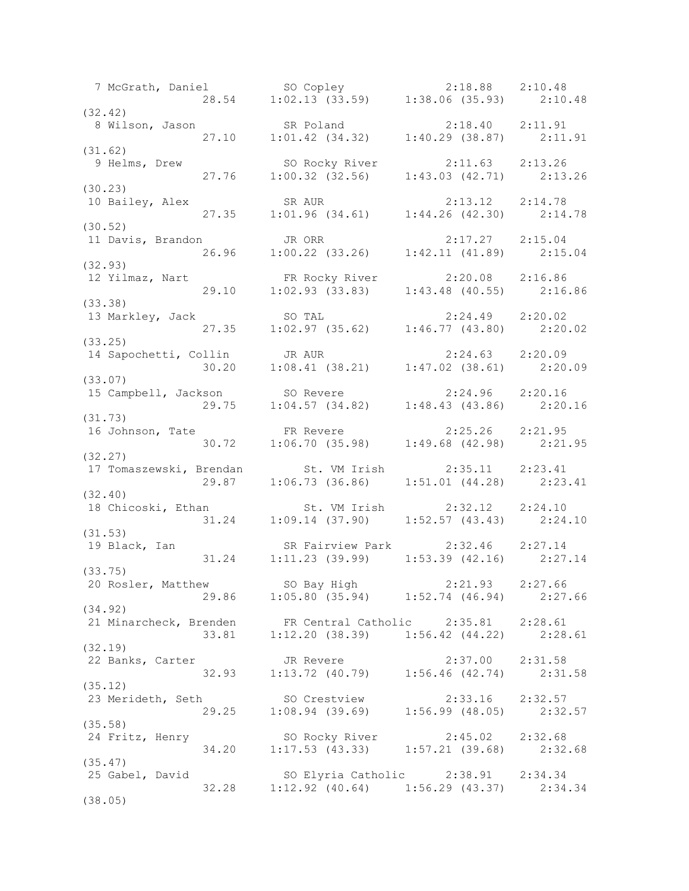7 McGrath, Daniel SO Copley 2:18.88 2:10.48 28.54 1:02.13 (33.59) 1:38.06 (35.93) 2:10.48 (32.42) 8 Wilson, Jason SR Poland 2:18.40 2:11.91 27.10 1:01.42 (34.32) 1:40.29 (38.87) 2:11.91 (31.62) 9 Helms, Drew SO Rocky River 2:11.63 2:13.26 27.76 1:00.32 (32.56) 1:43.03 (42.71) 2:13.26 (30.23) 10 Bailey, Alex SR AUR 2:13.12 2:14.78 27.35 1:01.96 (34.61) 1:44.26 (42.30) 2:14.78 (30.52) 11 Davis, Brandon JR ORR 2:17.27 2:15.04 26.96 1:00.22 (33.26) 1:42.11 (41.89) 2:15.04 (32.93) 12 Yilmaz, Nart FR Rocky River 2:20.08 2:16.86 29.10 1:02.93 (33.83) 1:43.48 (40.55) 2:16.86 (33.38) 13 Markley, Jack SO TAL 2:24.49 2:20.02 27.35 1:02.97 (35.62) 1:46.77 (43.80) 2:20.02 (33.25) 14 Sapochetti, Collin JR AUR 2:24.63 2:20.09 30.20 1:08.41 (38.21) 1:47.02 (38.61) 2:20.09 (33.07) 15 Campbell, Jackson SO Revere 2:24.96 2:20.16 29.75 1:04.57 (34.82) 1:48.43 (43.86) 2:20.16 (31.73) 16 Johnson, Tate FR Revere 2:25.26 2:21.95 30.72 1:06.70 (35.98) 1:49.68 (42.98) 2:21.95 (32.27) 17 Tomaszewski, Brendan St. VM Irish 2:35.11 2:23.41 29.87 1:06.73 (36.86) 1:51.01 (44.28) 2:23.41 (32.40) 18 Chicoski, Ethan St. VM Irish 2:32.12 2:24.10 31.24 1:09.14 (37.90) 1:52.57 (43.43) 2:24.10 (31.53) 19 Black, Ian SR Fairview Park 2:32.46 2:27.14 31.24 1:11.23 (39.99) 1:53.39 (42.16) 2:27.14 (33.75) 20 Rosler, Matthew SO Bay High 2:21.93 2:27.66 29.86 1:05.80 (35.94) 1:52.74 (46.94) 2:27.66 (34.92) 21 Minarcheck, Brenden FR Central Catholic 2:35.81 2:28.61 33.81 1:12.20 (38.39) 1:56.42 (44.22) 2:28.61 (32.19) 22 Banks, Carter JR Revere 2:37.00 2:31.58 32.93 1:13.72 (40.79) 1:56.46 (42.74) 2:31.58 (35.12) 23 Merideth, Seth SO Crestview 2:33.16 2:32.57 29.25 1:08.94 (39.69) 1:56.99 (48.05) 2:32.57 (35.58)<br>24 Fritz, Henry 24 Fritz, Henry SO Rocky River 2:45.02 2:32.68 34.20 1:17.53 (43.33) 1:57.21 (39.68) 2:32.68 (35.47) 25 Gabel, David SO Elyria Catholic 2:38.91 2:34.34 32.28 1:12.92 (40.64) 1:56.29 (43.37) 2:34.34 (38.05)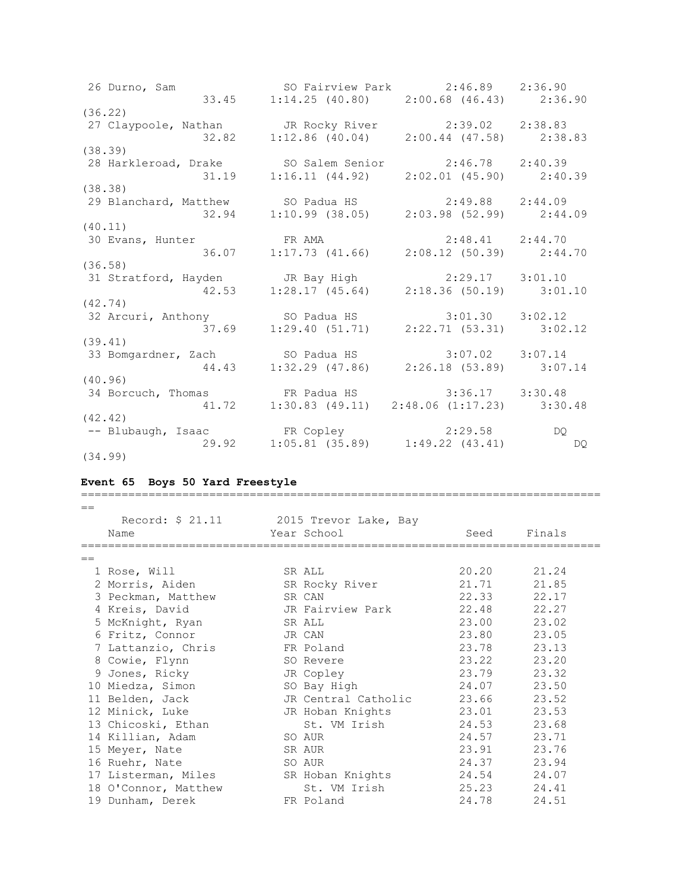26 Durno, Sam SO Fairview Park 2:46.89 2:36.90 33.45 1:14.25 (40.80) 2:00.68 (46.43) 2:36.90 (36.22) 27 Claypoole, Nathan JR Rocky River 2:39.02 2:38.83 32.82 1:12.86 (40.04) 2:00.44 (47.58) 2:38.83 (38.39) 28 Harkleroad, Drake SO Salem Senior 2:46.78 2:40.39 31.19 1:16.11 (44.92) 2:02.01 (45.90) 2:40.39 (38.38) 29 Blanchard, Matthew SO Padua HS 2:49.88 2:44.09 32.94 1:10.99 (38.05) 2:03.98 (52.99) 2:44.09 (40.11) 30 Evans, Hunter FR AMA 2:48.41 2:44.70 36.07 1:17.73 (41.66) 2:08.12 (50.39) 2:44.70 (36.58) 31 Stratford, Hayden JR Bay High 2:29.17 3:01.10 42.53 1:28.17 (45.64) 2:18.36 (50.19) 3:01.10 (42.74) 32 Arcuri, Anthony SO Padua HS 3:01.30 3:02.12 37.69 1:29.40 (51.71) 2:22.71 (53.31) 3:02.12 (39.41) 33 Bomgardner, Zach SO Padua HS 3:07.02 3:07.14 44.43 1:32.29 (47.86) 2:26.18 (53.89) 3:07.14 (40.96) 34 Borcuch, Thomas FR Padua HS 3:36.17 3:30.48 41.72 1:30.83 (49.11) 2:48.06 (1:17.23) 3:30.48 (42.42) -- Blubaugh, Isaac FR Copley 2:29.58 DQ 29.92 1:05.81 (35.89) 1:49.22 (43.41) DQ (34.99)

#### **Event 65 Boys 50 Yard Freestyle**

| $==$ |                                        |        |                     |             |        |
|------|----------------------------------------|--------|---------------------|-------------|--------|
|      | Record: \$ 21.11 2015 Trevor Lake, Bay |        |                     |             |        |
|      | Name                                   |        | Year School         | Seed        | Finals |
|      |                                        |        |                     |             |        |
| $==$ |                                        |        |                     |             |        |
|      | 1 Rose, Will                           |        | SR ALL              | 20.20 21.24 |        |
|      | 2 Morris, Aiden                        |        | SR Rocky River      | 21.71       | 21.85  |
|      | 3 Peckman, Matthew                     |        | SR CAN              | 22.33       | 22.17  |
|      | 4 Kreis, David                         |        | JR Fairview Park    | 22.48       | 22.27  |
|      | 5 McKnight, Ryan                       |        | SR ALL              | 23.00       | 23.02  |
|      | 6 Fritz, Connor                        | JR CAN |                     | 23.80       | 23.05  |
|      | 7 Lattanzio, Chris                     |        | FR Poland           | 23.78       | 23.13  |
|      | 8 Cowie, Flynn                         |        | SO Revere           | 23.22       | 23.20  |
|      | 9 Jones, Ricky                         |        | JR Copley           | 23.79       | 23.32  |
|      | 10 Miedza, Simon                       |        | SO Bay High         | 24.07       | 23.50  |
|      | 11 Belden, Jack                        |        | JR Central Catholic | 23.66       | 23.52  |
|      | 12 Minick, Luke                        |        | JR Hoban Knights    | 23.01       | 23.53  |
|      | 13 Chicoski, Ethan                     |        | St. VM Irish        | 24.53       | 23.68  |
|      | 14 Killian, Adam                       |        | SO AUR              | 24.57       | 23.71  |
|      | 15 Meyer, Nate                         |        | SR AUR              | 23.91       | 23.76  |
|      | 16 Ruehr, Nate                         |        | SO AUR              | 24.37       | 23.94  |
|      | 17 Listerman, Miles                    |        | SR Hoban Knights    | 24.54 24.07 |        |
|      | 18 O'Connor, Matthew                   |        | St. VM Irish        | 25.23       | 24.41  |
|      | 19 Dunham, Derek                       |        | FR Poland           | 24.78       | 24.51  |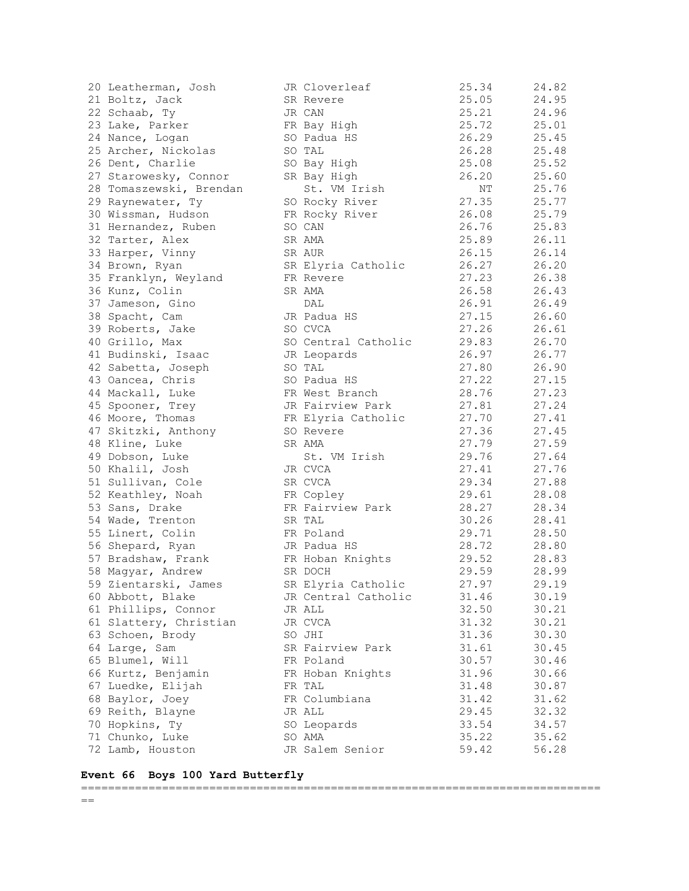| 20 Leatherman, Josh     | JR Cloverleaf       | 25.34 | 24.82 |
|-------------------------|---------------------|-------|-------|
| 21 Boltz, Jack          | SR Revere           | 25.05 | 24.95 |
| 22 Schaab, Ty           | JR CAN              | 25.21 | 24.96 |
| 23 Lake, Parker         | FR Bay High         | 25.72 | 25.01 |
| 24 Nance, Logan         | SO Padua HS         | 26.29 | 25.45 |
| 25 Archer, Nickolas     | SO TAL              | 26.28 | 25.48 |
| 26 Dent, Charlie        | SO Bay High         | 25.08 | 25.52 |
| 27 Starowesky, Connor   | SR Bay High         | 26.20 | 25.60 |
| 28 Tomaszewski, Brendan | St. VM Irish        | NΤ    | 25.76 |
| 29 Raynewater, Ty       | SO Rocky River      | 27.35 | 25.77 |
| 30 Wissman, Hudson      | FR Rocky River      | 26.08 | 25.79 |
| 31 Hernandez, Ruben     | SO CAN              | 26.76 | 25.83 |
|                         |                     | 25.89 |       |
| 32 Tarter, Alex         | SR AMA              |       | 26.11 |
| 33 Harper, Vinny        | SR AUR              | 26.15 | 26.14 |
| 34 Brown, Ryan          | SR Elyria Catholic  | 26.27 | 26.20 |
| 35 Franklyn, Weyland    | FR Revere           | 27.23 | 26.38 |
| 36 Kunz, Colin          | SR AMA              | 26.58 | 26.43 |
| 37 Jameson, Gino        | DAL                 | 26.91 | 26.49 |
| 38 Spacht, Cam          | JR Padua HS         | 27.15 | 26.60 |
| 39 Roberts, Jake        | SO CVCA             | 27.26 | 26.61 |
| 40 Grillo, Max          | SO Central Catholic | 29.83 | 26.70 |
| 41 Budinski, Isaac      | JR Leopards         | 26.97 | 26.77 |
| 42 Sabetta, Joseph      | SO TAL              | 27.80 | 26.90 |
| 43 Oancea, Chris        | SO Padua HS         | 27.22 | 27.15 |
| 44 Mackall, Luke        | FR West Branch      | 28.76 | 27.23 |
| 45 Spooner, Trey        | JR Fairview Park    | 27.81 | 27.24 |
| 46 Moore, Thomas        | FR Elyria Catholic  | 27.70 | 27.41 |
| 47 Skitzki, Anthony     | SO Revere           | 27.36 | 27.45 |
| 48 Kline, Luke          | SR AMA              | 27.79 | 27.59 |
| 49 Dobson, Luke         | St. VM Irish        | 29.76 | 27.64 |
| 50 Khalil, Josh         | JR CVCA             | 27.41 | 27.76 |
| 51 Sullivan, Cole       | SR CVCA             | 29.34 | 27.88 |
| 52 Keathley, Noah       | FR Copley           | 29.61 | 28.08 |
| 53 Sans, Drake          | FR Fairview Park    | 28.27 | 28.34 |
|                         | SR TAL              | 30.26 | 28.41 |
| 54 Wade, Trenton        |                     |       |       |
| 55 Linert, Colin        | FR Poland           | 29.71 | 28.50 |
| 56 Shepard, Ryan        | JR Padua HS         | 28.72 | 28.80 |
| 57 Bradshaw, Frank      | FR Hoban Knights    | 29.52 | 28.83 |
| 58 Magyar, Andrew       | SR DOCH             | 29.59 | 28.99 |
| 59 Zientarski, James    | SR Elyria Catholic  | 27.97 | 29.19 |
| 60 Abbott, Blake        | JR Central Catholic | 31.46 | 30.19 |
| 61 Phillips, Connor     | JR ALL              | 32.50 | 30.21 |
| 61 Slattery, Christian  | JR CVCA             | 31.32 | 30.21 |
| 63 Schoen, Brody        | SO JHI              | 31.36 | 30.30 |
| 64 Large, Sam           | SR Fairview Park    | 31.61 | 30.45 |
| 65 Blumel, Will         | FR Poland           | 30.57 | 30.46 |
| 66 Kurtz, Benjamin      | FR Hoban Knights    | 31.96 | 30.66 |
| 67 Luedke, Elijah       | FR TAL              | 31.48 | 30.87 |
| 68 Baylor, Joey         | FR Columbiana       | 31.42 | 31.62 |
| 69 Reith, Blayne        | JR ALL              | 29.45 | 32.32 |
| 70 Hopkins, Ty          | SO Leopards         | 33.54 | 34.57 |
| 71 Chunko, Luke         | SO AMA              | 35.22 | 35.62 |
| 72 Lamb, Houston        | JR Salem Senior     | 59.42 | 56.28 |
|                         |                     |       |       |

| 27 Starowesky, Connor   | SR Bay High         | 26.20 | 25.60 |
|-------------------------|---------------------|-------|-------|
| 28 Tomaszewski, Brendan | St. VM Irish        | ΝT    | 25.76 |
| 29 Raynewater, Ty       | SO Rocky River      | 27.35 | 25.77 |
| 30 Wissman, Hudson      | FR Rocky River      | 26.08 | 25.79 |
| 31 Hernandez, Ruben     | SO CAN              | 26.76 | 25.83 |
| 32 Tarter, Alex         | SR AMA              | 25.89 | 26.11 |
| 33 Harper, Vinny        | SR AUR              | 26.15 | 26.14 |
| 34 Brown, Ryan          | SR Elyria Catholic  | 26.27 | 26.20 |
| 35 Franklyn, Weyland    | FR Revere           | 27.23 | 26.38 |
| 36 Kunz, Colin          | SR AMA              | 26.58 | 26.43 |
| 37 Jameson, Gino        | DAL                 | 26.91 | 26.49 |
| 38 Spacht, Cam          | JR Padua HS         | 27.15 | 26.60 |
| 39 Roberts, Jake        | SO CVCA             | 27.26 | 26.61 |
| 40 Grillo, Max          | SO Central Catholic | 29.83 | 26.70 |
| 41 Budinski, Isaac      | JR Leopards         | 26.97 | 26.77 |
| 42 Sabetta, Joseph      | SO TAL              | 27.80 | 26.90 |
| 43 Oancea, Chris        | SO Padua HS         | 27.22 | 27.15 |
| 44 Mackall, Luke        | FR West Branch      | 28.76 | 27.23 |
| 45 Spooner, Trey        | JR Fairview Park    | 27.81 | 27.24 |
| 46 Moore, Thomas        | FR Elyria Catholic  | 27.70 | 27.41 |
| 47 Skitzki, Anthony     | SO Revere           | 27.36 | 27.45 |
| 48 Kline, Luke          | SR AMA              | 27.79 | 27.59 |
| 49 Dobson, Luke         | St. VM Irish        | 29.76 | 27.64 |
| 50 Khalil, Josh         | JR CVCA             | 27.41 | 27.76 |
| 51 Sullivan, Cole       | SR CVCA             | 29.34 | 27.88 |
| 52 Keathley, Noah       | FR Copley           | 29.61 | 28.08 |
| 53 Sans, Drake          | FR Fairview Park    | 28.27 | 28.34 |
| 54 Wade, Trenton        | SR TAL              | 30.26 | 28.41 |
| 55 Linert, Colin        | FR Poland           | 29.71 | 28.50 |
| 56 Shepard, Ryan        | JR Padua HS         | 28.72 | 28.80 |
| 57 Bradshaw, Frank      | FR Hoban Knights    | 29.52 | 28.83 |
| 58 Magyar, Andrew       | SR DOCH             | 29.59 | 28.99 |
| 59 Zientarski, James    | SR Elyria Catholic  | 27.97 | 29.19 |
| 60 Abbott, Blake        | JR Central Catholic | 31.46 | 30.19 |
| 61 Phillips, Connor     | JR ALL              | 32.50 | 30.21 |
| 61 Slattery, Christian  | JR CVCA             | 31.32 | 30.21 |
| 63 Schoen, Brody        | SO JHI              | 31.36 | 30.30 |
| 64 Large, Sam           | SR Fairview Park    | 31.61 | 30.45 |
| 65 Blumel, Will         | FR Poland           | 30.57 | 30.46 |
| 66 Kurtz, Benjamin      | FR Hoban Knights    | 31.96 | 30.66 |
| 67 Luedke, Elijah       | FR TAL              | 31.48 | 30.87 |
| 68 Baylor, Joey         | FR Columbiana       | 31.42 | 31.62 |
| 69 Reith, Blayne        | JR ALL              | 29.45 | 32.32 |
| 70 Hopkins, Ty          | SO Leopards         | 33.54 | 34.57 |
| 71 Chunko, Luke         | SO AMA              | 35.22 | 35.62 |
| 72 Lamb, Houston        | JR Salem Senior     | 59.42 | 56.28 |
|                         |                     |       |       |

## **Event 66 Boys 100 Yard Butterfly**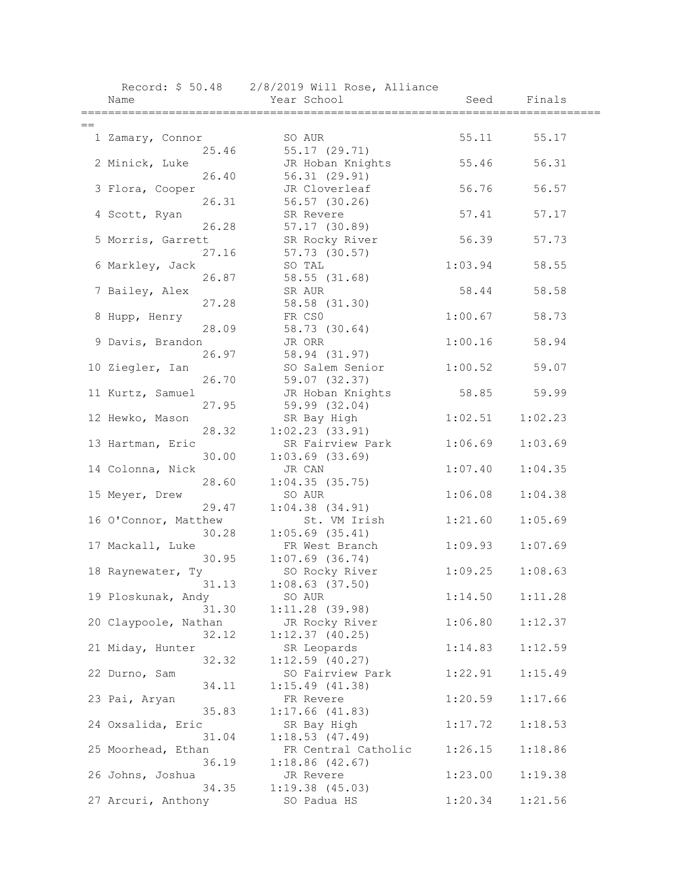|      |                             | Record: \$ 50.48 2/8/2019 Will Rose, Alliance |         |         |  |
|------|-----------------------------|-----------------------------------------------|---------|---------|--|
|      | Name                        | Year School                                   | Seed    | Finals  |  |
|      |                             |                                               |         |         |  |
| $==$ |                             | SO AUR                                        | 55.11   | 55.17   |  |
|      | 1 Zamary, Connor<br>25.46   | 55.17 (29.71)                                 |         |         |  |
|      | 2 Minick, Luke              | JR Hoban Knights                              | 55.46   | 56.31   |  |
|      | 26.40                       | 56.31 (29.91)                                 |         |         |  |
|      | 3 Flora, Cooper             | JR Cloverleaf                                 | 56.76   | 56.57   |  |
|      | 26.31                       | 56.57 (30.26)                                 |         |         |  |
|      | 4 Scott, Ryan               | SR Revere                                     | 57.41   | 57.17   |  |
|      | 26.28                       | 57.17(30.89)                                  |         |         |  |
|      | 5 Morris, Garrett           | SR Rocky River                                | 56.39   | 57.73   |  |
|      | 27.16                       | 57.73 (30.57)                                 |         |         |  |
|      | 6 Markley, Jack             | SO TAL                                        | 1:03.94 | 58.55   |  |
|      | 26.87                       | 58.55 (31.68)                                 |         |         |  |
|      | 7 Bailey, Alex              | SR AUR                                        | 58.44   | 58.58   |  |
|      | 27.28                       | 58.58 (31.30)                                 |         |         |  |
|      | 8 Hupp, Henry               | FR CSO                                        | 1:00.67 | 58.73   |  |
|      | 28.09                       | 58.73 (30.64)                                 |         |         |  |
|      | 9 Davis, Brandon            | JR ORR                                        | 1:00.16 | 58.94   |  |
|      | 26.97                       | 58.94 (31.97)                                 |         |         |  |
|      | 10 Ziegler, Ian             | SO Salem Senior                               | 1:00.52 | 59.07   |  |
|      | 26.70                       | 59.07 (32.37)                                 |         |         |  |
|      | 11 Kurtz, Samuel            | JR Hoban Knights                              | 58.85   | 59.99   |  |
|      | 27.95                       | 59.99 (32.04)                                 |         |         |  |
|      | 12 Hewko, Mason             | SR Bay High                                   | 1:02.51 | 1:02.23 |  |
|      | 28.32                       | 1:02.23(33.91)                                |         |         |  |
|      | 13 Hartman, Eric            | SR Fairview Park                              | 1:06.69 | 1:03.69 |  |
|      | 30.00                       | $1:03.69$ $(33.69)$                           |         |         |  |
|      | 14 Colonna, Nick            | JR CAN                                        | 1:07.40 | 1:04.35 |  |
|      | 28.60                       | 1:04.35(35.75)                                |         |         |  |
|      | 15 Meyer, Drew<br>29.47     | SO AUR                                        | 1:06.08 | 1:04.38 |  |
|      | 16 O'Connor, Matthew        | $1:04.38$ $(34.91)$<br>St. VM Irish           | 1:21.60 | 1:05.69 |  |
|      | 30.28                       | $1:05.69$ (35.41)                             |         |         |  |
|      | 17 Mackall, Luke            | FR West Branch                                | 1:09.93 | 1:07.69 |  |
|      | 30.95                       | $1:07.69$ (36.74)                             |         |         |  |
|      | 18 Raynewater, Ty           | SO Rocky River                                | 1:09.25 | 1:08.63 |  |
|      | 31.13                       | $1:08.63$ (37.50)                             |         |         |  |
|      | 19 Ploskunak, Andy          | SO AUR                                        | 1:14.50 | 1:11.28 |  |
|      | 31.30                       | $1:11.28$ (39.98)                             |         |         |  |
|      | 20 Claypoole, Nathan        | JR Rocky River                                | 1:06.80 | 1:12.37 |  |
|      | 32.12                       | 1:12.37(40.25)                                |         |         |  |
|      | 21 Miday, Hunter            | SR Leopards                                   | 1:14.83 | 1:12.59 |  |
|      | 32.32                       | $1:12.59$ (40.27)                             |         |         |  |
|      | 22 Durno, Sam               | SO Fairview Park                              | 1:22.91 | 1:15.49 |  |
|      | 34.11                       | 1:15.49(41.38)                                |         |         |  |
|      | 23 Pai, Aryan               | FR Revere                                     | 1:20.59 | 1:17.66 |  |
|      | 35.83                       | 1:17.66(41.83)                                |         |         |  |
|      | 24 Oxsalida, Eric           | SR Bay High                                   | 1:17.72 | 1:18.53 |  |
|      | 31.04                       | 1:18.53(47.49)                                |         |         |  |
|      | 25 Moorhead, Ethan          | FR Central Catholic                           | 1:26.15 | 1:18.86 |  |
|      | 36.19                       | 1:18.86(42.67)                                |         |         |  |
|      | 26 Johns, Joshua            | JR Revere                                     | 1:23.00 | 1:19.38 |  |
|      | 34.35<br>27 Arcuri, Anthony | $1:19.38$ $(45.03)$                           | 1:20.34 | 1:21.56 |  |
|      |                             | SO Padua HS                                   |         |         |  |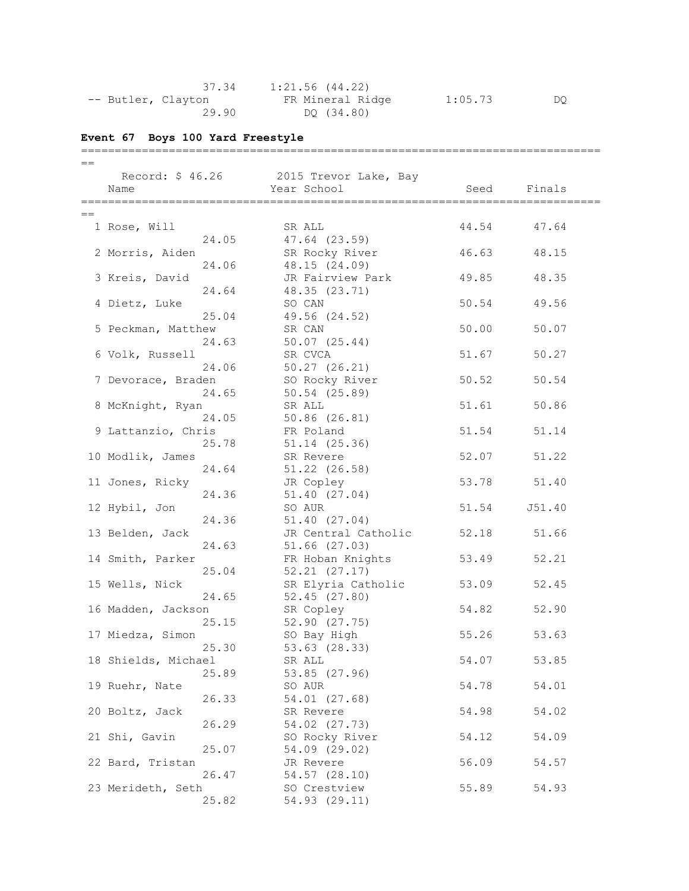| 37.34              | 1:21.56 (44.22)  |         |    |
|--------------------|------------------|---------|----|
| -- Butler, Clayton | FR Mineral Ridge | 1:05.73 | DO |
| 29.90              | DO (34.80)       |         |    |

# **Event 67 Boys 100 Yard Freestyle**

| $==$ |                     |                                                                                                                |       |        |  |
|------|---------------------|----------------------------------------------------------------------------------------------------------------|-------|--------|--|
|      |                     | Record: \$46.26 2015 Trevor Lake, Bay                                                                          |       |        |  |
|      | Name                | Year School                                                                                                    | Seed  | Finals |  |
|      |                     |                                                                                                                |       |        |  |
| $==$ |                     |                                                                                                                |       |        |  |
|      | 1 Rose, Will        | SR ALL                                                                                                         | 44.54 | 47.64  |  |
|      | 24.05               | 47.64 (23.59)                                                                                                  |       |        |  |
|      | 2 Morris, Aiden     | SR Rocky River                                                                                                 | 46.63 | 48.15  |  |
|      | 24.06               | 48.15 (24.09)                                                                                                  |       |        |  |
|      | 3 Kreis, David      | JR Fairview Park                                                                                               | 49.85 | 48.35  |  |
|      | 24.64               | 48.35 (23.71)                                                                                                  |       |        |  |
|      | 4 Dietz, Luke       | SO CAN                                                                                                         | 50.54 | 49.56  |  |
|      | 25.04               | 49.56 (24.52)                                                                                                  |       |        |  |
|      | 5 Peckman, Matthew  | SR CAN                                                                                                         | 50.00 | 50.07  |  |
|      | 24.63               | $50.07$ $(25.44)$                                                                                              |       |        |  |
|      | 6 Volk, Russell     | SR CVCA                                                                                                        | 51.67 | 50.27  |  |
|      | 24.06               | $50.27$ $(26.21)$                                                                                              |       |        |  |
|      | 7 Devorace, Braden  | SO Rocky River                                                                                                 | 50.52 | 50.54  |  |
|      | 24.65               | $50.54$ $(25.89)$                                                                                              |       |        |  |
|      | 8 McKnight, Ryan    | SR ALL                                                                                                         | 51.61 | 50.86  |  |
|      | 24.05               | $50.86$ $(26.81)$                                                                                              |       |        |  |
|      | 9 Lattanzio, Chris  | FR Poland                                                                                                      | 51.54 | 51.14  |  |
|      | 25.78               | 51.14 (25.36)                                                                                                  |       |        |  |
|      | 10 Modlik, James    | SR Revere                                                                                                      | 52.07 | 51.22  |  |
|      | 24.64               | $51.22$ $(26.58)$                                                                                              |       |        |  |
|      | 11 Jones, Ricky     | JR Copley                                                                                                      | 53.78 | 51.40  |  |
|      | 24.36               | 51.40 (27.04)                                                                                                  |       |        |  |
|      | 12 Hybil, Jon       | SO AUR                                                                                                         | 51.54 | J51.40 |  |
|      | 24.36               | 51.40 (27.04)                                                                                                  |       |        |  |
|      | 13 Belden, Jack     | JR Central Catholic                                                                                            | 52.18 | 51.66  |  |
|      | 24.63               | $51.66$ $(27.03)$                                                                                              |       |        |  |
|      | 14 Smith, Parker    | FR Hoban Knights                                                                                               | 53.49 | 52.21  |  |
|      | 25.04               | $52.21$ $(27.17)$                                                                                              |       |        |  |
|      | 15 Wells, Nick      | SR Elyria Catholic                                                                                             | 53.09 | 52.45  |  |
|      | 24.65               | 52.45(27.80)                                                                                                   |       |        |  |
|      | 16 Madden, Jackson  | SR Copley                                                                                                      | 54.82 | 52.90  |  |
|      | 25.15               | 52.90(27.75)                                                                                                   |       |        |  |
|      | 17 Miedza, Simon    | SO Bay High                                                                                                    | 55.26 | 53.63  |  |
|      | 25.30               | $53.63$ $(28.33)$                                                                                              |       |        |  |
|      | 18 Shields, Michael | SR ALL THE SAME AND THE STATE OF THE STATE OF THE STATE OF THE STATE OF THE STATE OF THE STATE OF THE STATE OF | 54.07 | 53.85  |  |
|      | 25.89               | 53.85 (27.96)                                                                                                  |       |        |  |
|      | 19 Ruehr, Nate      | SO AUR                                                                                                         | 54.78 | 54.01  |  |
|      | 26.33               | 54.01 (27.68)                                                                                                  |       |        |  |
|      | 20 Boltz, Jack      | SR Revere                                                                                                      | 54.98 | 54.02  |  |
|      | 26.29               | 54.02 (27.73)                                                                                                  |       |        |  |
|      | 21 Shi, Gavin       | SO Rocky River                                                                                                 | 54.12 | 54.09  |  |
|      | 25.07               | 54.09 (29.02)                                                                                                  |       |        |  |
|      | 22 Bard, Tristan    | JR Revere                                                                                                      | 56.09 | 54.57  |  |
|      | 26.47               | 54.57 (28.10)                                                                                                  |       |        |  |
|      | 23 Merideth, Seth   | SO Crestview                                                                                                   | 55.89 | 54.93  |  |
|      | 25.82               | 54.93 (29.11)                                                                                                  |       |        |  |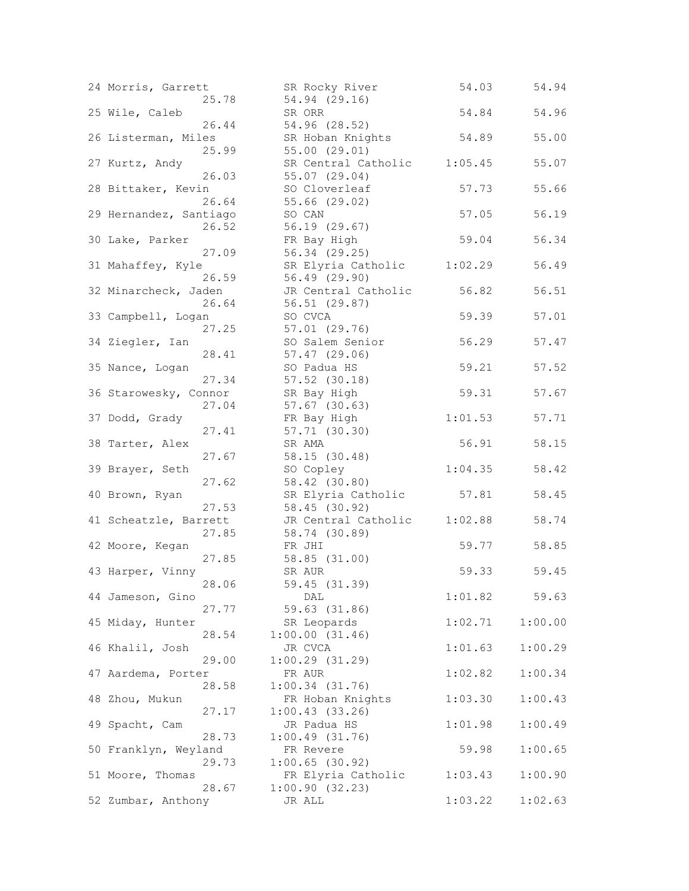| 24 Morris, Garrett     | SR Rocky River      | 54.03   | 54.94   |
|------------------------|---------------------|---------|---------|
| 25.78                  | 54.94 (29.16)       |         |         |
| 25 Wile, Caleb         | SR ORR              | 54.84   | 54.96   |
| 26.44                  | 54.96 (28.52)       |         |         |
| 26 Listerman, Miles    | SR Hoban Knights    | 54.89   | 55.00   |
| 25.99                  | 55.00(29.01)        |         |         |
| 27 Kurtz, Andy         | SR Central Catholic | 1:05.45 | 55.07   |
| 26.03                  | 55.07 (29.04)       |         |         |
| 28 Bittaker, Kevin     | SO Cloverleaf       | 57.73   | 55.66   |
| 26.64                  | 55.66 (29.02)       |         |         |
| 29 Hernandez, Santiago | SO CAN              | 57.05   | 56.19   |
| 26.52                  | 56.19 (29.67)       |         |         |
| 30 Lake, Parker        | FR Bay High         | 59.04   | 56.34   |
| 27.09                  | 56.34 (29.25)       |         |         |
| 31 Mahaffey, Kyle      | SR Elyria Catholic  | 1:02.29 | 56.49   |
| 26.59                  | 56.49 (29.90)       |         |         |
| 32 Minarcheck, Jaden   | JR Central Catholic | 56.82   | 56.51   |
| 26.64                  | 56.51(29.87)        |         |         |
|                        |                     |         |         |
| 33 Campbell, Logan     | SO CVCA             | 59.39   | 57.01   |
| 27.25                  | 57.01(29.76)        |         |         |
| 34 Ziegler, Ian        | SO Salem Senior     | 56.29   | 57.47   |
| 28.41                  | $57.47$ $(29.06)$   |         |         |
| 35 Nance, Logan        | SO Padua HS         | 59.21   | 57.52   |
| 27.34                  | $57.52$ $(30.18)$   |         |         |
| 36 Starowesky, Connor  | SR Bay High         | 59.31   | 57.67   |
| 27.04                  | $57.67$ $(30.63)$   |         |         |
| 37 Dodd, Grady         | FR Bay High         | 1:01.53 | 57.71   |
| 27.41                  | 57.71 (30.30)       |         |         |
| 38 Tarter, Alex        | SR AMA              | 56.91   | 58.15   |
| 27.67                  | 58.15 (30.48)       |         |         |
| 39 Brayer, Seth        | SO Copley           | 1:04.35 | 58.42   |
| 27.62                  | 58.42 (30.80)       |         |         |
|                        |                     |         |         |
| 40 Brown, Ryan         | SR Elyria Catholic  | 57.81   | 58.45   |
| 27.53                  | 58.45 (30.92)       |         |         |
| 41 Scheatzle, Barrett  | JR Central Catholic | 1:02.88 | 58.74   |
| 27.85                  | 58.74 (30.89)       |         |         |
| 42 Moore, Kegan        | FR JHI              | 59.77   | 58.85   |
| 27.85                  | 58.85(31.00)        |         |         |
| 43 Harper, Vinny       | SR AUR              | 59.33   | 59.45   |
| 28.06                  | 59.45 (31.39)       |         |         |
| 44 Jameson, Gino       | DAL                 | 1:01.82 | 59.63   |
| 27.77                  | 59.63 (31.86)       |         |         |
| 45 Miday, Hunter       | SR Leopards         | 1:02.71 | 1:00.00 |
| 28.54                  | 1:00.00(31.46)      |         |         |
| 46 Khalil, Josh        | JR CVCA             | 1:01.63 | 1:00.29 |
| 29.00                  | $1:00.29$ (31.29)   |         |         |
| 47 Aardema, Porter     | FR AUR              | 1:02.82 | 1:00.34 |
| 28.58                  | $1:00.34$ $(31.76)$ |         |         |
| 48 Zhou, Mukun         | FR Hoban Knights    | 1:03.30 | 1:00.43 |
| 27.17                  | 1:00.43(33.26)      |         |         |
|                        |                     |         |         |
| 49 Spacht, Cam         | JR Padua HS         | 1:01.98 | 1:00.49 |
| 28.73                  | 1:00.49(31.76)      |         |         |
| 50 Franklyn, Weyland   | FR Revere           | 59.98   | 1:00.65 |
| 29.73                  | $1:00.65$ (30.92)   |         |         |
| 51 Moore, Thomas       | FR Elyria Catholic  | 1:03.43 | 1:00.90 |
| 28.67                  | 1:00.90(32.23)      |         |         |
| 52 Zumbar, Anthony     | JR ALL              | 1:03.22 | 1:02.63 |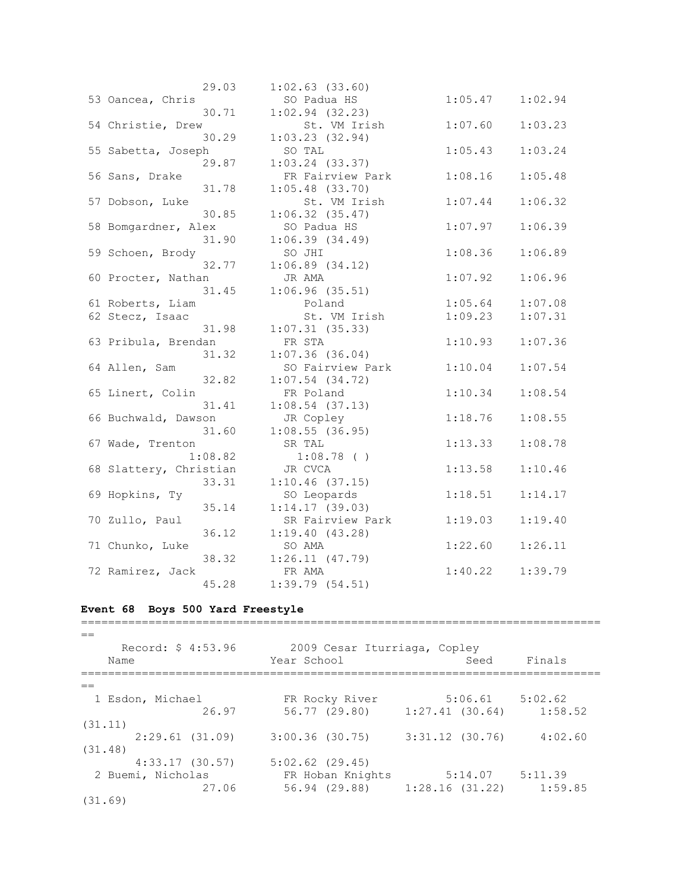|                        | 29.03   | $1:02.63$ $(33.60)$            |         |         |
|------------------------|---------|--------------------------------|---------|---------|
| 53 Oancea, Chris       |         | SO Padua HS                    | 1:05.47 | 1:02.94 |
|                        | 30.71   | $1:02.94$ (32.23)              |         |         |
| 54 Christie, Drew      |         | St. VM Irish                   | 1:07.60 | 1:03.23 |
|                        | 30.29   | 1:03.23(32.94)                 |         |         |
| 55 Sabetta, Joseph     |         | SO TAL                         | 1:05.43 | 1:03.24 |
|                        | 29.87   | $1:03.24$ $(33.37)$            |         |         |
| 56 Sans, Drake         |         | FR Fairview Park               | 1:08.16 | 1:05.48 |
|                        | 31.78   | $1:05.48$ (33.70)              |         |         |
| 57 Dobson, Luke        |         | St. VM Irish                   | 1:07.44 | 1:06.32 |
|                        | 30.85   | 1:06.32(35.47)                 |         |         |
| 58 Bomgardner, Alex    |         | SO Padua HS                    | 1:07.97 | 1:06.39 |
|                        | 31.90   | 1:06.39(34.49)                 |         |         |
| 59 Schoen, Brody       |         | SO JHI                         | 1:08.36 | 1:06.89 |
|                        | 32.77   | $1:06.89$ $(34.12)$            |         |         |
| 60 Procter, Nathan     |         | JR AMA                         | 1:07.92 | 1:06.96 |
|                        | 31.45   | 1:06.96(35.51)                 |         |         |
| 61 Roberts, Liam       |         | Poland                         | 1:05.64 | 1:07.08 |
| 62 Stecz, Isaac        |         | St. VM Irish                   | 1:09.23 | 1:07.31 |
|                        | 31.98   | $1:07.31$ (35.33)              |         |         |
| 63 Pribula, Brendan    |         | FR STA                         | 1:10.93 | 1:07.36 |
|                        | 31.32   | $1:07.36$ (36.04)              |         |         |
| 64 Allen, Sam          |         | SO Fairview Park               | 1:10.04 | 1:07.54 |
|                        | 32.82   | $1:07.54$ $(34.72)$            |         |         |
| 65 Linert, Colin       |         | FR Poland                      | 1:10.34 | 1:08.54 |
|                        | 31.41   | $1:08.54$ (37.13)              |         |         |
|                        |         |                                | 1:18.76 |         |
| 66 Buchwald, Dawson    | 31.60   | JR Copley<br>$1:08.55$ (36.95) |         | 1:08.55 |
| 67 Wade, Trenton       |         | SR TAL                         | 1:13.33 | 1:08.78 |
|                        | 1:08.82 | $1:08.78$ ( )                  |         |         |
| 68 Slattery, Christian |         | JR CVCA                        | 1:13.58 | 1:10.46 |
|                        | 33.31   | 1:10.46(37.15)                 |         |         |
| 69 Hopkins, Ty         |         | SO Leopards                    | 1:18.51 | 1:14.17 |
|                        | 35.14   | 1:14.17(39.03)                 |         |         |
| 70 Zullo, Paul         |         | SR Fairview Park               | 1:19.03 | 1:19.40 |
|                        |         |                                |         |         |
|                        | 36.12   | 1:19.40(43.28)<br>SO AMA       | 1:22.60 | 1:26.11 |
| 71 Chunko, Luke        | 38.32   |                                |         |         |
|                        |         | 1:26.11(47.79)<br>FR AMA       | 1:40.22 | 1:39.79 |
| 72 Ramirez, Jack       |         | 1:39.79(54.51)                 |         |         |
|                        | 45.28   |                                |         |         |

## **Event 68 Boys 500 Yard Freestyle**

 $=$  Record: \$ 4:53.96 2009 Cesar Iturriaga, Copley Name Seed Finals (Name Seed Finals =============================================================================  $=$  1 Esdon, Michael FR Rocky River 5:06.61 5:02.62 26.97 56.77 (29.80) 1:27.41 (30.64) 1:58.52 (31.11) 2:29.61 (31.09) 3:00.36 (30.75) 3:31.12 (30.76) 4:02.60 (31.48) 4:33.17 (30.57) 5:02.62 (29.45)<br>2 Buemi, Nicholas FR Hoban Knigl 2 Buemi, Nicholas FR Hoban Knights 5:14.07 5:11.39 27.06 56.94 (29.88) 1:28.16 (31.22) 1:59.85 (31.69)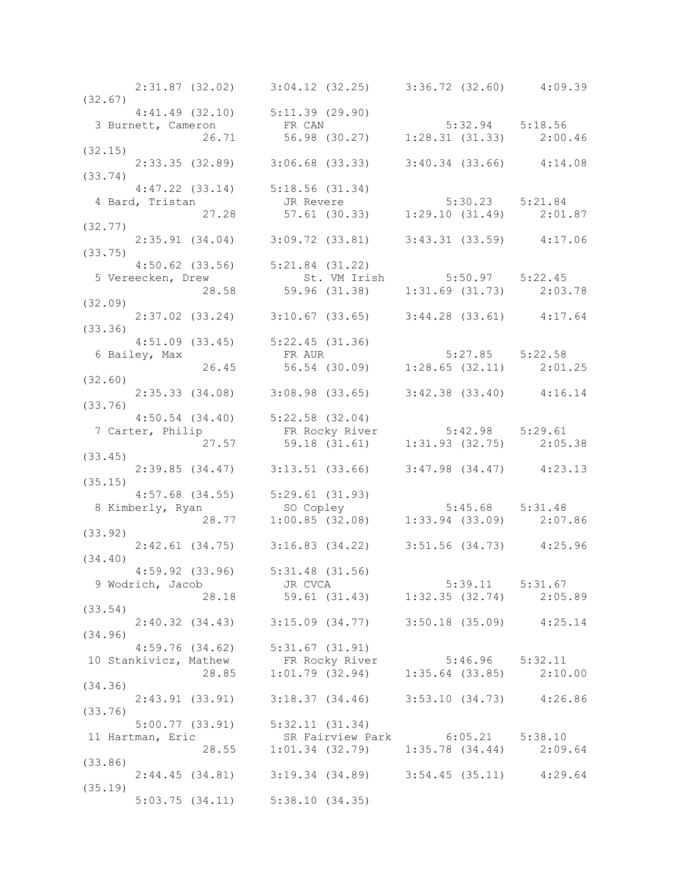|         |               | 2:31.87 (32.02) 3:04.12 (32.25) 3:36.72 (32.60) 4:09.39                                                                                      |  |
|---------|---------------|----------------------------------------------------------------------------------------------------------------------------------------------|--|
| (32.67) |               | $4:41.49$ (32.10) $5:11.39$ (29.90)                                                                                                          |  |
|         |               | 3 Burnett, Cameron ER CAN 5:32.94 5:18.56<br>26.71 56.98 (30.27) 1:28.31 (31.33) 2:00.46                                                     |  |
|         |               |                                                                                                                                              |  |
| (32.15) |               |                                                                                                                                              |  |
|         |               | $2:33.35$ (32.89) $3:06.68$ (33.33) $3:40.34$ (33.66) $4:14.08$                                                                              |  |
| (33.74) |               |                                                                                                                                              |  |
|         |               |                                                                                                                                              |  |
|         |               |                                                                                                                                              |  |
|         |               |                                                                                                                                              |  |
|         |               | 4:47.22 (33.14) 5:18.56 (31.34)<br>4 Bard, Tristan JR Revere 5:30.23 5:21.84<br>27.28 57.61 (30.33) 1:29.10 (31.49) 2:01.87<br>(32.77)       |  |
|         |               | $2:35.91$ (34.04) $3:09.72$ (33.81) $3:43.31$ (33.59) $4:17.06$                                                                              |  |
| (33.75) |               |                                                                                                                                              |  |
|         |               | $4:50.62$ (33.56) $5:21.84$ (31.22)                                                                                                          |  |
|         |               | 5 Vereecken, Drew 5:50.97 5:22.45<br>28.58 59.96 (31.38) 1:31.69 (31.73) 2:03.78                                                             |  |
|         |               |                                                                                                                                              |  |
| (32.09) |               |                                                                                                                                              |  |
|         |               | $2:37.02$ (33.24) $3:10.67$ (33.65) $3:44.28$ (33.61) $4:17.64$                                                                              |  |
| (33.36) |               |                                                                                                                                              |  |
|         | 6 Bailey, Max |                                                                                                                                              |  |
|         |               |                                                                                                                                              |  |
| (32.60) |               |                                                                                                                                              |  |
|         |               | 2:35.33 (34.08) 3:08.98 (33.65) 3:42.38 (33.40) 4:16.14                                                                                      |  |
| (33.76) |               |                                                                                                                                              |  |
|         |               |                                                                                                                                              |  |
|         |               |                                                                                                                                              |  |
|         |               |                                                                                                                                              |  |
|         |               | 4:50.54 (34.40) 5:22.58 (32.04)<br>7 Carter, Philip FR Rocky River 5:42.98 5:29.61<br>27.57 59.18 (31.61) 1:31.93 (32.75) 2:05.38<br>(33.45) |  |
|         |               | $2:39.85$ (34.47) 3:13.51 (33.66) 3:47.98 (34.47) 4:23.13                                                                                    |  |
| (35.15) |               |                                                                                                                                              |  |
|         |               |                                                                                                                                              |  |
|         |               | 4:57.68 (34.55) 5:29.61 (31.93)<br>8 Kimberly, Ryan so Copley 5:45.68 5:31.48<br>28.77 1:00.85 (32.08) 1:33.94 (33.09) 2:07.86               |  |
|         |               |                                                                                                                                              |  |
| (33.92) |               |                                                                                                                                              |  |
| (34.40) |               | 2:42.61 (34.75) 3:16.83 (34.22) 3:51.56 (34.73) 4:25.96                                                                                      |  |
|         |               | 4:59.92 (33.96) 5:31.48 (31.56)                                                                                                              |  |
|         |               | 9 Wodrich, Jacob JR CVCA                                                                                                                     |  |
|         |               | 38.18<br>18.18 JR CVCA<br>28.18 59.61 (31.43) 1:32.35 (32.74) 2:05.89                                                                        |  |
| (33.54) |               |                                                                                                                                              |  |
|         |               | 2:40.32 (34.43) 3:15.09 (34.77) 3:50.18 (35.09) 4:25.14                                                                                      |  |
| (34.96) |               |                                                                                                                                              |  |
|         |               | 4:59.76 (34.62) 5:31.67 (31.91)<br>10 Stankivicz, Mathew FR Rocky River 5:46.96 5:32.11<br>28.85 1:01.79 (32.94) 1:35.64 (33.85) 2:10.00     |  |
|         |               |                                                                                                                                              |  |
|         |               |                                                                                                                                              |  |
| (34.36) |               |                                                                                                                                              |  |
|         |               | 2:43.91 (33.91) 3:18.37 (34.46) 3:53.10 (34.73) 4:26.86                                                                                      |  |
| (33.76) |               |                                                                                                                                              |  |
|         |               | 5:00.77 (33.91) 5:32.11 (31.34)                                                                                                              |  |
|         |               | 11 Hartman, Eric SR Fairview Park 6:05.21 5:38.10<br>28.55 1:01.34 (32.79) 1:35.78 (34.44) 2:09.64                                           |  |
|         |               |                                                                                                                                              |  |
| (33.86) |               |                                                                                                                                              |  |
| (35.19) |               | 2:44.45 (34.81) 3:19.34 (34.89) 3:54.45 (35.11) 4:29.64                                                                                      |  |
|         |               | $5:03.75$ $(34.11)$ $5:38.10$ $(34.35)$                                                                                                      |  |
|         |               |                                                                                                                                              |  |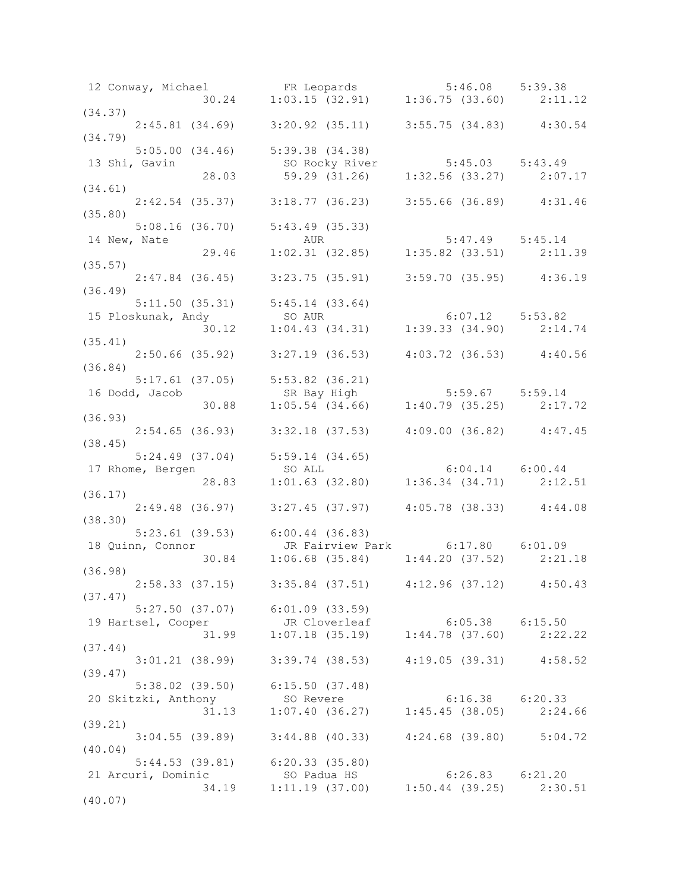| 12 Conway, Michael FR Leopards 5:46.08 5:39.38<br>30.24 1:03.15 (32.91) 1:36.75 (33.60) 2:11.12                                                 |                                                                                                    |  |
|-------------------------------------------------------------------------------------------------------------------------------------------------|----------------------------------------------------------------------------------------------------|--|
|                                                                                                                                                 |                                                                                                    |  |
| (34.37)                                                                                                                                         |                                                                                                    |  |
| $2:45.81$ (34.69) 3:20.92 (35.11) 3:55.75 (34.83) 4:30.54                                                                                       |                                                                                                    |  |
| (34.79)                                                                                                                                         |                                                                                                    |  |
| $5:05.00(34.46)$ $5:39.38(34.38)$                                                                                                               |                                                                                                    |  |
| 13 Shi, Gavin<br>28.03 59.29 (31.26) 1:32.56 (33.27) 2:07.17                                                                                    |                                                                                                    |  |
| (34.61)                                                                                                                                         |                                                                                                    |  |
|                                                                                                                                                 |                                                                                                    |  |
| 2:42.54 (35.37) 3:18.77 (36.23) 3:55.66 (36.89) 4:31.46<br>(35.80)                                                                              |                                                                                                    |  |
| 5:08.16 (36.70) 5:43.49 (35.33)                                                                                                                 |                                                                                                    |  |
| 14 New, Nate                                                                                                                                    |                                                                                                    |  |
|                                                                                                                                                 | 16 (36.70) 5:43.49 (35.33)<br>AUR 5:47.49 5:45.14<br>29.46 1:02.31 (32.85) 1:35.82 (33.51) 2:11.39 |  |
| (35.57)                                                                                                                                         |                                                                                                    |  |
| $2:47.84$ (36.45) 3:23.75 (35.91) 3:59.70 (35.95) 4:36.19                                                                                       |                                                                                                    |  |
| (36.49)                                                                                                                                         |                                                                                                    |  |
|                                                                                                                                                 |                                                                                                    |  |
|                                                                                                                                                 |                                                                                                    |  |
| 5:11.50 (35.31) 5:45.14 (33.64)<br>15 Ploskunak, Andy so AUR 6:07.12 5:53.82<br>30.12 1:04.43 (34.31) 1:39.33 (34.90) 2:14.74<br>(35.41)        |                                                                                                    |  |
| (35.41)                                                                                                                                         |                                                                                                    |  |
| $2:50.66$ (35.92) 3:27.19 (36.53) 4:03.72 (36.53) 4:40.56                                                                                       |                                                                                                    |  |
| (36.84)                                                                                                                                         |                                                                                                    |  |
| 5:17.61 (37.05) 5:53.82 (36.21)                                                                                                                 |                                                                                                    |  |
|                                                                                                                                                 |                                                                                                    |  |
|                                                                                                                                                 |                                                                                                    |  |
| (36.93)                                                                                                                                         |                                                                                                    |  |
| $2:54.65$ (36.93) $3:32.18$ (37.53) $4:09.00$ (36.82) $4:47.45$<br>(38.45)                                                                      |                                                                                                    |  |
|                                                                                                                                                 |                                                                                                    |  |
| 5:24.49 (37.04) 5:59.14 (34.65)<br>17 Rhome, Bergen 50 ALL 6:04.14 6:00.44<br>28.83 1:01.63 (32.80) 1:36.34 (34.71) 2:12.51<br>17 Rhome, Bergen |                                                                                                    |  |
|                                                                                                                                                 |                                                                                                    |  |
| (36.17)                                                                                                                                         |                                                                                                    |  |
|                                                                                                                                                 | 2:49.48 (36.97) 3:27.45 (37.97) 4:05.78 (38.33) 4:44.08                                            |  |
| (38.30)                                                                                                                                         |                                                                                                    |  |
| 5:23.61 (39.53) $6:00.44$ (36.83)                                                                                                               |                                                                                                    |  |
|                                                                                                                                                 |                                                                                                    |  |
| 18 Quinn, Connor<br>30.84 1:06.68 (35.84) 1:44.20 (37.52) 2:21.18<br>36.84 1:06.68 (35.84) 1:44.20 (37.52) 2:21.18                              |                                                                                                    |  |
| (36.98)                                                                                                                                         |                                                                                                    |  |
| 2:58.33 (37.15) 3:35.84 (37.51) 4:12.96 (37.12) 4:50.43                                                                                         |                                                                                                    |  |
| (37.47)                                                                                                                                         |                                                                                                    |  |
| $5:27.50$ (37.07) $6:01.09$ (33.59)                                                                                                             |                                                                                                    |  |
| 19 Hartsel, Cooper JR Cloverleaf 6:05.38 6:15.50<br>31.99 1:07.18 (35.19) 1:44.78 (37.60) 2:22.22                                               |                                                                                                    |  |
|                                                                                                                                                 |                                                                                                    |  |
| (37.44)<br>$3:01.21$ (38.99) $3:39.74$ (38.53) $4:19.05$ (39.31) $4:58.52$                                                                      |                                                                                                    |  |
| (39.47)                                                                                                                                         |                                                                                                    |  |
| 5:38.02 (39.50) 6:15.50 (37.48)                                                                                                                 |                                                                                                    |  |
|                                                                                                                                                 |                                                                                                    |  |
| 20 Skitzki, Anthony 50 Revere 6:16.38 6:20.33<br>31.13 1:07.40 (36.27) 1:45.45 (38.05) 2:24.66                                                  |                                                                                                    |  |
| (39.21)                                                                                                                                         |                                                                                                    |  |
|                                                                                                                                                 | $3:04.55$ (39.89) $3:44.88$ (40.33) $4:24.68$ (39.80) $5:04.72$                                    |  |
| (40.04)                                                                                                                                         |                                                                                                    |  |
| $5:44.53$ (39.81) 6:20.33 (35.80)                                                                                                               |                                                                                                    |  |
| 21 Arcuri, Dominic 50 Padua HS 6:26.83 6:21.20<br>34.19 1:11.19 (37.00) 1:50.44 (39.25) 2:30.51                                                 |                                                                                                    |  |
|                                                                                                                                                 |                                                                                                    |  |
| (40.07)                                                                                                                                         |                                                                                                    |  |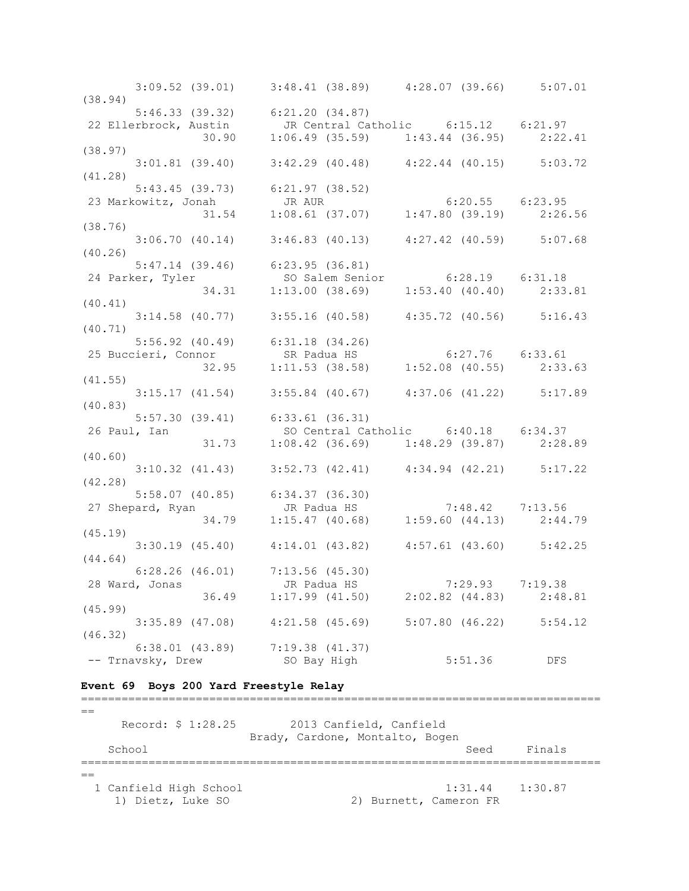3:09.52 (39.01) 3:48.41 (38.89) 4:28.07 (39.66) 5:07.01 (38.94) 5:46.33 (39.32) 6:21.20 (34.87) 22 Ellerbrock, Austin JR Central Catholic 6:15.12 6:21.97 30.90 1:06.49 (35.59) 1:43.44 (36.95) 2:22.41 (38.97) 3:01.81 (39.40) 3:42.29 (40.48) 4:22.44 (40.15) 5:03.72 (41.28) 5:43.45 (39.73) 6:21.97 (38.52) 23 Markowitz, Jonah JR AUR 6:20.55 6:23.95 31.54 1:08.61 (37.07) 1:47.80 (39.19) 2:26.56 (38.76) 3:06.70 (40.14) 3:46.83 (40.13) 4:27.42 (40.59) 5:07.68 (40.26) 5:47.14 (39.46) 6:23.95 (36.81) 24 Parker, Tyler SO Salem Senior 6:28.19 6:31.18 34.31 1:13.00 (38.69) 1:53.40 (40.40) 2:33.81 (40.41) 3:14.58 (40.77) 3:55.16 (40.58) 4:35.72 (40.56) 5:16.43 (40.71) 5:56.92 (40.49) 6:31.18 (34.26) 25 Buccieri, Connor SR Padua HS 6:27.76 6:33.61 32.95 1:11.53 (38.58) 1:52.08 (40.55) 2:33.63 (41.55) 3:15.17 (41.54) 3:55.84 (40.67) 4:37.06 (41.22) 5:17.89 (40.83) 5:57.30 (39.41) 6:33.61 (36.31) 26 Paul, Ian SO Central Catholic 6:40.18 6:34.37 31.73 1:08.42 (36.69) 1:48.29 (39.87) 2:28.89 (40.60) 3:10.32 (41.43) 3:52.73 (42.41) 4:34.94 (42.21) 5:17.22 (42.28) 5:58.07 (40.85) 6:34.37 (36.30) 27 Shepard, Ryan JR Padua HS 7:48.42 7:13.56 34.79 1:15.47 (40.68) 1:59.60 (44.13) 2:44.79 (45.19) 3:30.19 (45.40) 4:14.01 (43.82) 4:57.61 (43.60) 5:42.25 (44.64) 6:28.26 (46.01) 7:13.56 (45.30) 28 Ward, Jonas JR Padua HS 7:29.93 7:19.38 36.49 1:17.99 (41.50) 2:02.82 (44.83) 2:48.81 (45.99) 3:35.89 (47.08) 4:21.58 (45.69) 5:07.80 (46.22) 5:54.12 (46.32) 6:38.01 (43.89) 7:19.38 (41.37) -- Trnavsky, Drew SO Bay High 5:51.36 DFS

#### **Event 69 Boys 200 Yard Freestyle Relay**

=============================================================================  $-$  Record: \$ 1:28.25 2013 Canfield, Canfield Brady, Cardone, Montalto, Bogen School School Seed Finals ============================================================================= == 1 Canfield High School 1:31.44 1:30.87 1) Dietz, Luke SO 2) Burnett, Cameron FR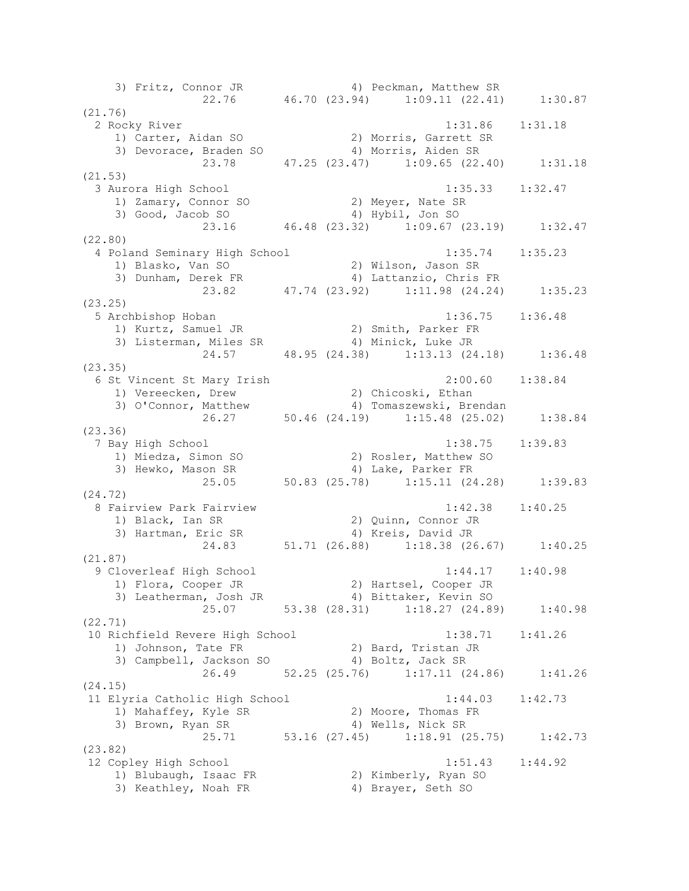3) Fritz, Connor JR 4) Peckman, Matthew SR 22.76 46.70 (23.94) 1:09.11 (22.41) 1:30.87 (21.76) 2 Rocky River 1:31.86 1:31.18 1) Carter, Aidan SO 2) Morris, Garrett SR 3) Devorace, Braden SO 4) Morris, Aiden SR 23.78 47.25 (23.47) 1:09.65 (22.40) 1:31.18 (21.53) 3 Aurora High School 1:35.33 1:32.47 1) Zamary, Connor SO 2) Meyer, Nate SR 3) Good, Jacob SO 4) Hybil, Jon SO 23.16 46.48 (23.32) 1:09.67 (23.19) 1:32.47 (22.80) 4 Poland Seminary High School 1:35.74 1:35.23 1) Blasko, Van SO 2) Wilson, Jason SR 3) Dunham, Derek FR 4) Lattanzio, Chris FR 23.82 47.74 (23.92) 1:11.98 (24.24) 1:35.23 (23.25) 5 Archbishop Hoban 1:36.75 1:36.48 1) Kurtz, Samuel JR 2) Smith, Parker FR 3) Listerman, Miles SR 4) Minick, Luke JR 24.57 48.95 (24.38) 1:13.13 (24.18) 1:36.48 (23.35) 6 St Vincent St Mary Irish 2:00.60 1:38.84 1) Vereecken, Drew 2) Chicoski, Ethan 3) O'Connor, Matthew 4) Tomaszewski, Brendan 26.27 50.46 (24.19) 1:15.48 (25.02) 1:38.84 (23.36) 7 Bay High School 1:38.75 1:39.83 1) Miedza, Simon SO 2) Rosler, Matthew SO 3) Hewko, Mason SR 4) Lake, Parker FR 25.05 50.83 (25.78) 1:15.11 (24.28) 1:39.83 (24.72) 8 Fairview Park Fairview 1:42.38 1:40.25 1) Black, Ian SR 2) Quinn, Connor JR 3) Hartman, Eric SR 4) Kreis, David JR 24.83 51.71 (26.88) 1:18.38 (26.67) 1:40.25 (21.87) 9 Cloverleaf High School 1:44.17 1:40.98 1) Flora, Cooper JR 2) Hartsel, Cooper JR 3) Leatherman, Josh JR 4) Bittaker, Kevin SO 25.07 53.38 (28.31) 1:18.27 (24.89) 1:40.98 (22.71) 10 Richfield Revere High School 1:38.71 1:41.26 1) Johnson, Tate FR 2) Bard, Tristan JR 3) Campbell, Jackson SO 4) Boltz, Jack SR 26.49 52.25 (25.76) 1:17.11 (24.86) 1:41.26 (24.15) 11 Elyria Catholic High School 1:44.03 1:42.73 1) Mahaffey, Kyle SR 2) Moore, Thomas FR 3) Brown, Ryan SR 4) Wells, Nick SR 25.71 53.16 (27.45) 1:18.91 (25.75) 1:42.73 (23.82) 12 Copley High School 1:51.43 1:44.92 1) Blubaugh, Isaac FR 2) Kimberly, Ryan SO 3) Keathley, Noah FR 4) Brayer, Seth SO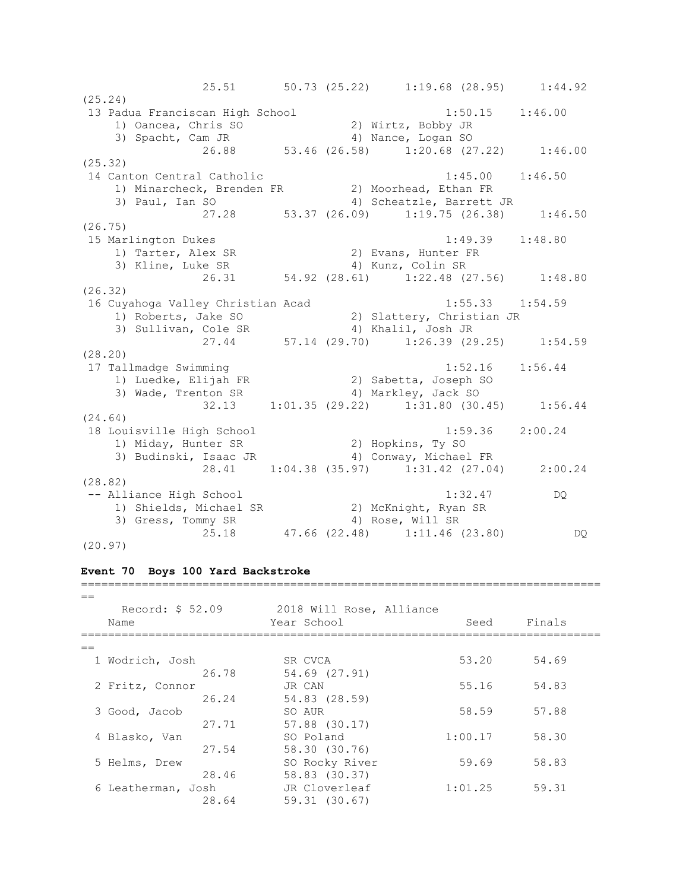25.51 50.73 (25.22) 1:19.68 (28.95) 1:44.92 (25.24) 13 Padua Franciscan High School 1:50.15 1:46.00 1) Oancea, Chris SO 2) Wirtz, Bobby JR 3) Spacht, Cam JR 4) Nance, Logan SO 3) Spacht, Cam JR (26.88 53.46 (26.58) 1:20.68 (27.22) 1:46.00 (25.32) 14 Canton Central Catholic 1:45.00 1:46.50 1) Minarcheck, Brenden FR 2) Moorhead, Ethan FR 3) Paul, Ian SO 4) Scheatzle, Barrett JR 27.28 53.37 (26.09) 1:19.75 (26.38) 1:46.50 (26.75) 15 Marlington Dukes 1:49.39 1:48.80 1) Tarter, Alex SR 2) Evans, Hunter FR 3) Kline, Luke SR 4) Kunz, Colin SR 26.31 54.92 (28.61) 1:22.48 (27.56) 1:48.80 (26.32) 16 Cuyahoga Valley Christian Acad 1:55.33 1:54.59 1) Roberts, Jake SO 2) Slattery, Christian JR 3) Sullivan, Cole SR 4) Khalil, Josh JR 27.44 57.14 (29.70) 1:26.39 (29.25) 1:54.59 (28.20) 17 Tallmadge Swimming 1:52.16 1:56.44 1) Luedke, Elijah FR 2) Sabetta, Joseph SO 3) Wade, Trenton SR 4) Markley, Jack SO 32.13 1:01.35 (29.22) 1:31.80 (30.45) 1:56.44 (24.64) 18 Louisville High School 1:59.36 2:00.24 1) Miday, Hunter SR 2) Hopkins, Ty SO 3) Budinski, Isaac JR 4) Conway, Michael FR 28.41 1:04.38 (35.97) 1:31.42 (27.04) 2:00.24 (28.82) -- Alliance High School 1:32.47 DQ 1) Shields, Michael SR 2) McKnight, Ryan SR 3) Gress, Tommy SR 4) Rose, Will SR 25.18 47.66 (22.48) 1:11.46 (23.80) DQ (20.97)

#### **Event 70 Boys 100 Yard Backstroke**

=============================================================================  $-$ Record: \$ 52.09 2018 Will Rose, Alliance Name Seed Finals (Name Seed Finals ============================================================================= == 1 Wodrich, Josh SR CVCA 53.20 54.69 26.78 54.69 (27.91) 2 Fritz, Connor JR CAN 55.16 54.83 26.24 54.83 (28.59) 3 Good, Jacob SO AUR 58.59 57.88 27.71 57.88 (30.17) 4 Blasko, Van SO Poland 1:00.17 58.30 27.54 58.30 (30.76) 5 Helms, Drew SO Rocky River 59.69 58.83 28.46 58.83 (30.37) 6 Leatherman, Josh JR Cloverleaf 1:01.25 59.31 28.64 59.31 (30.67)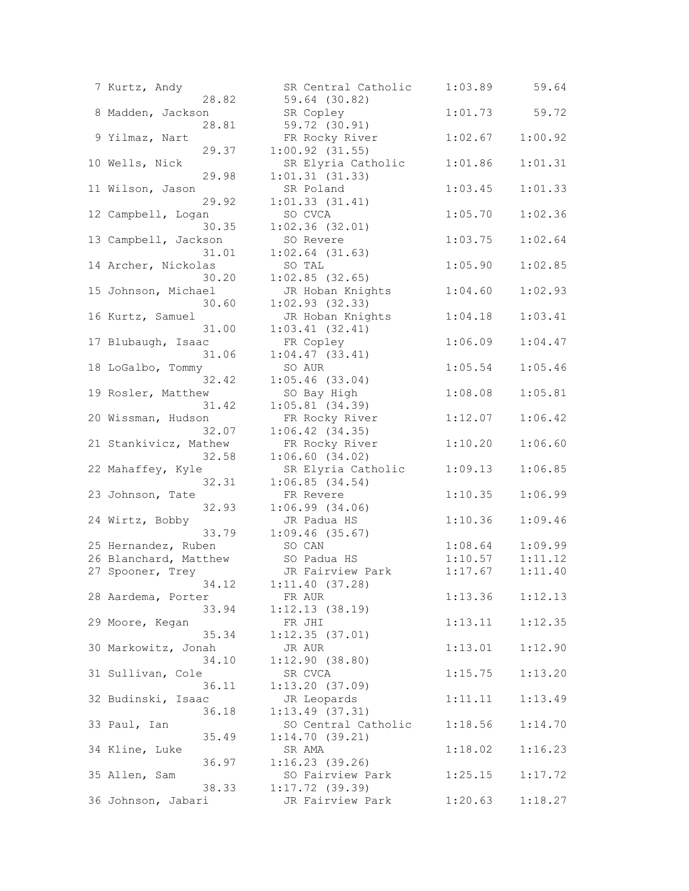|    | 7 Kurtz, Andy         |       | SR Central Cat      |
|----|-----------------------|-------|---------------------|
|    |                       | 28.82 | 59.64 (30.82)       |
|    | 8 Madden, Jackson     |       | SR Copley           |
|    |                       | 28.81 | 59.72 (30.91)       |
|    | 9 Yilmaz, Nart        |       | FR Rocky River      |
|    |                       | 29.37 | $1:00.92$ $(31.55)$ |
|    |                       |       |                     |
|    | 10 Wells, Nick        |       | SR Elyria Cath      |
|    |                       | 29.98 | 1:01.31(31.33)      |
|    | 11 Wilson, Jason      |       | SR Poland           |
|    |                       | 29.92 | 1:01.33(31.41)      |
|    | 12 Campbell, Logan    |       | SO CVCA             |
|    |                       | 30.35 | 1:02.36(32.01)      |
|    | 13 Campbell, Jackson  |       | SO Revere           |
|    |                       | 31.01 | $1:02.64$ (31.63)   |
|    | 14 Archer, Nickolas   |       | SO TAL              |
|    |                       |       |                     |
|    |                       | 30.20 | $1:02.85$ (32.65)   |
|    | 15 Johnson, Michael   |       | JR Hoban Knigh      |
|    |                       | 30.60 | 1:02.93(32.33)      |
|    | 16 Kurtz, Samuel      |       | JR Hoban Knigh      |
|    |                       | 31.00 | $1:03.41$ $(32.41)$ |
|    | 17 Blubaugh, Isaac    |       | FR Copley           |
|    |                       | 31.06 | $1:04.47$ $(33.41)$ |
|    | 18 LoGalbo, Tommy     |       | SO AUR              |
|    |                       |       |                     |
|    |                       | 32.42 | $1:05.46$ (33.04)   |
|    | 19 Rosler, Matthew    |       | SO Bay High         |
|    |                       | 31.42 | $1:05.81$ (34.39)   |
|    | 20 Wissman, Hudson    |       | FR Rocky River      |
|    |                       | 32.07 | $1:06.42$ $(34.35)$ |
|    | 21 Stankivicz, Mathew |       | FR Rocky River      |
|    |                       | 32.58 | 1:06.60(34.02)      |
|    | 22 Mahaffey, Kyle     |       | SR Elyria Cath      |
|    |                       | 32.31 | 1:06.85(34.54)      |
|    |                       |       |                     |
|    | 23 Johnson, Tate      |       | FR Revere           |
|    |                       | 32.93 | 1:06.99(34.06)      |
|    | 24 Wirtz, Bobby       |       | JR Padua HS         |
|    |                       | 33.79 | 1:09.46(35.67)      |
|    | 25 Hernandez, Ruben   |       | SO CAN              |
|    | 26 Blanchard, Matthew |       | SO Padua HS         |
| 27 | Spooner, Trey         |       | JR Fairview Pa      |
|    |                       | 34.12 | 1:11.40(37.28)      |
|    | 28 Aardema, Porter    |       | FR AUR              |
|    |                       |       |                     |
|    |                       | 33.94 | 1:12.13(38.19)      |
|    | 29 Moore, Kegan       |       | FR JHI              |
|    |                       | 35.34 | 1:12.35(37.01)      |
|    | 30 Markowitz, Jonah   |       | JR AUR              |
|    |                       | 34.10 | 1:12.90(38.80)      |
|    | 31 Sullivan, Cole     |       | SR CVCA             |
|    |                       | 36.11 | 1:13.20(37.09)      |
|    | 32 Budinski, Isaac    |       | JR Leopards         |
|    |                       |       | 1:13.49(37.31)      |
|    |                       | 36.18 |                     |
|    | 33 Paul, Ian          |       | SO Central Cat      |
|    |                       | 35.49 | 1:14.70(39.21)      |
|    | 34 Kline, Luke        |       | SR AMA              |
|    |                       | 36.97 | 1:16.23(39.26)      |
|    | 35 Allen, Sam         |       | SO Fairview Pa      |
|    |                       | 38.33 | 1:17.72(39.39)      |
|    | 36 Johnson, Jabari    |       | JR Fairview Pa      |
|    |                       |       |                     |

| 7 Kurtz, Andy<br>28.82         | SR Central Catholic<br>59.64 (30.82)  | 1:03.89 | 59.64   |
|--------------------------------|---------------------------------------|---------|---------|
| 8 Madden, Jackson<br>28.81     | SR Copley<br>59.72 (30.91)            | 1:01.73 | 59.72   |
| 9 Yilmaz, Nart<br>29.37        | FR Rocky River<br>$1:00.92$ $(31.55)$ | 1:02.67 | 1:00.92 |
| 10 Wells, Nick                 | SR Elyria Catholic                    | 1:01.86 | 1:01.31 |
| 29.98<br>11 Wilson, Jason      | 1:01.31(31.33)<br>SR Poland           | 1:03.45 | 1:01.33 |
| 29.92<br>12 Campbell, Logan    | 1:01.33(31.41)<br>SO CVCA             | 1:05.70 | 1:02.36 |
| 30.35<br>13 Campbell, Jackson  | $1:02.36$ (32.01)<br>SO Revere        | 1:03.75 | 1:02.64 |
| 31.01<br>14 Archer, Nickolas   | $1:02.64$ (31.63)<br>SO TAL           | 1:05.90 | 1:02.85 |
| 30.20<br>15 Johnson, Michael   | $1:02.85$ (32.65)<br>JR Hoban Knights | 1:04.60 | 1:02.93 |
| 30.60<br>16 Kurtz, Samuel      | $1:02.93$ (32.33)<br>JR Hoban Knights | 1:04.18 | 1:03.41 |
| 31.00<br>17 Blubaugh, Isaac    | 1:03.41(32.41)<br>FR Copley           | 1:06.09 | 1:04.47 |
| 31.06<br>18 LoGalbo, Tommy     | 1:04.47(33.41)<br>SO AUR              | 1:05.54 | 1:05.46 |
| 32.42<br>19 Rosler, Matthew    | $1:05.46$ (33.04)<br>SO Bay High      | 1:08.08 | 1:05.81 |
| 31.42<br>20 Wissman, Hudson    | $1:05.81$ (34.39)<br>FR Rocky River   | 1:12.07 | 1:06.42 |
| 32.07<br>21 Stankivicz, Mathew | $1:06.42$ $(34.35)$<br>FR Rocky River | 1:10.20 | 1:06.60 |
| 32.58<br>22 Mahaffey, Kyle     | 1:06.60(34.02)<br>SR Elyria Catholic  | 1:09.13 | 1:06.85 |
| 32.31<br>23 Johnson, Tate      | 1:06.85(34.54)<br>FR Revere           | 1:10.35 | 1:06.99 |
| 32.93<br>24 Wirtz, Bobby       | 1:06.99(34.06)<br>JR Padua HS         | 1:10.36 | 1:09.46 |
| 33.79<br>25 Hernandez, Ruben   | $1:09.46$ (35.67)<br>SO CAN           | 1:08.64 | 1:09.99 |
| 26 Blanchard, Matthew          | SO Padua HS                           | 1:10.57 | 1:11.12 |
| 27 Spooner, Trey<br>34.12      | JR Fairview Park<br>1:11.40(37.28)    | 1:17.67 | 1:11.40 |
| 28 Aardema, Porter<br>33.94    | FR AUR<br>1:12.13(38.19)              | 1:13.36 | 1:12.13 |
| 29 Moore, Kegan<br>35.34       | FR JHI<br>1:12.35(37.01)              | 1:13.11 | 1:12.35 |
| 30 Markowitz, Jonah<br>34.10   | JR AUR<br>1:12.90(38.80)              | 1:13.01 | 1:12.90 |
| 31 Sullivan, Cole<br>36.11     | SR CVCA<br>1:13.20(37.09)             | 1:15.75 | 1:13.20 |
| 32 Budinski, Isaac<br>36.18    | JR Leopards<br>$1:13.49$ (37.31)      | 1:11.11 | 1:13.49 |
| 33 Paul, Ian<br>35.49          | SO Central Catholic<br>1:14.70(39.21) | 1:18.56 | 1:14.70 |
| 34 Kline, Luke<br>36.97        | SR AMA<br>1:16.23(39.26)              | 1:18.02 | 1:16.23 |
| 35 Allen, Sam<br>38.33         | SO Fairview Park<br>$1:17.72$ (39.39) | 1:25.15 | 1:17.72 |
| 36 Johnson, Jabari             | JR Fairview Park                      | 1:20.63 | 1:18.27 |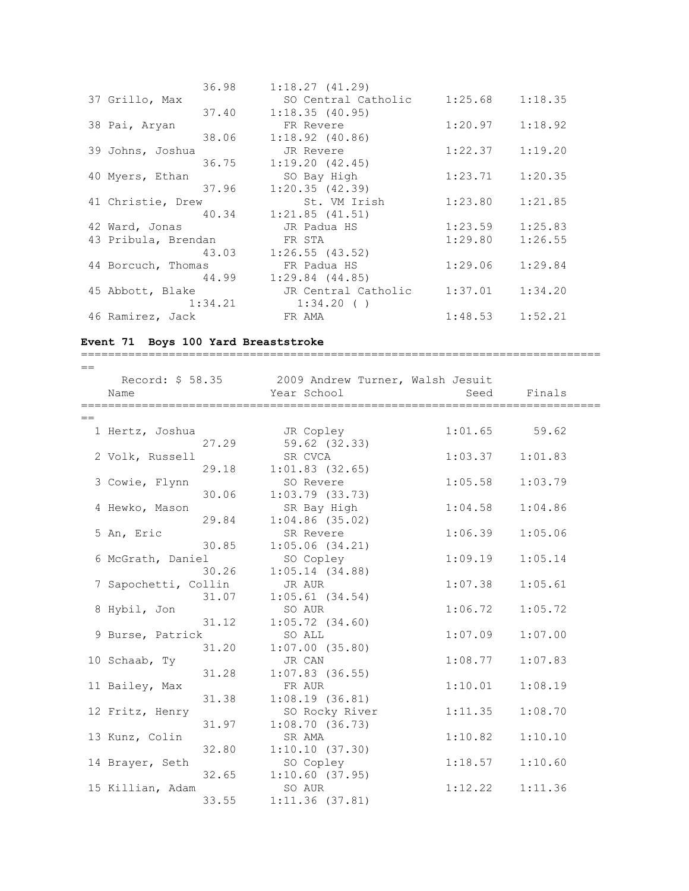| 36.98               | 1:18.27(41.29)        |                     |         |
|---------------------|-----------------------|---------------------|---------|
| 37 Grillo, Max      | SO Central Catholic   | $1:25.68$ $1:18.35$ |         |
| 37.40               | 1:18.35(40.95)        |                     |         |
| 38 Pai, Aryan       | FR Revere             | $1:20.97$ $1:18.92$ |         |
| 38.06               | $1:18.92$ (40.86)     |                     |         |
| 39 Johns, Joshua    | JR Revere             | $1:22.37$ $1:19.20$ |         |
| 36.75               | 1:19.20(42.45)        |                     |         |
| 40 Myers, Ethan     | SO Bay High           | 1:23.71             | 1:20.35 |
| 37.96               | 1:20.35(42.39)        |                     |         |
| 41 Christie, Drew   | St. VM Irish          | $1:23.80$ $1:21.85$ |         |
|                     | 40.34 1:21.85 (41.51) |                     |         |
| 42 Ward, Jonas      | JR Padua HS           | 1:23.59             | 1:25.83 |
| 43 Pribula, Brendan | FR STA                | 1:29.80             | 1:26.55 |
| 43.03               | 1:26.55(43.52)        |                     |         |
| 44 Borcuch, Thomas  | FR Padua HS           | 1:29.06             | 1:29.84 |
| 44.99               | $1:29.84$ $(44.85)$   |                     |         |
| 45 Abbott, Blake    | JR Central Catholic   | $1:37.01$ $1:34.20$ |         |
| 1:34.21             | 1:34.20(              |                     |         |
| 46 Ramirez, Jack    | FR AMA                | $1:48.53$ $1:52.21$ |         |

=============================================================================

## **Event 71 Boys 100 Yard Breaststroke**

| $==$ |                           |       |                                                   |         |         |
|------|---------------------------|-------|---------------------------------------------------|---------|---------|
|      |                           |       | Record: \$ 58.35 2009 Andrew Turner, Walsh Jesuit |         |         |
|      | Name<br>================= |       | Year School                                       | Seed    | Finals  |
| $==$ |                           |       |                                                   |         |         |
|      | 1 Hertz, Joshua           |       | JR Copley                                         | 1:01.65 | 59.62   |
|      |                           | 27.29 | 59.62 (32.33)                                     |         |         |
|      | 2 Volk, Russell           |       | SR CVCA                                           | 1:03.37 | 1:01.83 |
|      |                           | 29.18 | $1:01.83$ (32.65)                                 |         |         |
|      | 3 Cowie, Flynn            |       | SO Revere                                         | 1:05.58 | 1:03.79 |
|      |                           | 30.06 | $1:03.79$ $(33.73)$                               |         |         |
|      | 4 Hewko, Mason            |       | SR Bay High                                       | 1:04.58 | 1:04.86 |
|      |                           | 29.84 | $1:04.86$ (35.02)                                 |         |         |
|      | 5 An, Eric                |       | SR Revere                                         | 1:06.39 | 1:05.06 |
|      |                           | 30.85 | 1:05.06(34.21)                                    |         |         |
|      | 6 McGrath, Daniel         |       | SO Copley                                         | 1:09.19 | 1:05.14 |
|      |                           | 30.26 | 1:05.14(34.88)                                    |         |         |
|      | 7 Sapochetti, Collin      |       | JR AUR                                            | 1:07.38 | 1:05.61 |
|      |                           | 31.07 | $1:05.61$ (34.54)                                 |         |         |
|      | 8 Hybil, Jon              |       | SO AUR                                            | 1:06.72 | 1:05.72 |
|      |                           | 31.12 | $1:05.72$ $(34.60)$                               |         |         |
|      | 9 Burse, Patrick          |       | SO ALL                                            | 1:07.09 | 1:07.00 |
|      |                           | 31.20 | $1:07.00$ (35.80)                                 |         |         |
|      | 10 Schaab, Ty             |       | JR CAN                                            | 1:08.77 | 1:07.83 |
|      |                           | 31.28 | $1:07.83$ (36.55)                                 |         |         |
|      | 11 Bailey, Max            |       | FR AUR                                            | 1:10.01 | 1:08.19 |
|      |                           | 31.38 | 1:08.19(36.81)                                    |         |         |
|      | 12 Fritz, Henry           |       | SO Rocky River                                    | 1:11.35 | 1:08.70 |
|      |                           | 31.97 | 1:08.70(36.73)                                    |         |         |
|      | 13 Kunz, Colin            |       | SR AMA                                            | 1:10.82 | 1:10.10 |
|      |                           | 32.80 | 1:10.10(37.30)                                    |         |         |
|      | 14 Brayer, Seth           |       | SO Copley                                         | 1:18.57 | 1:10.60 |
|      |                           | 32.65 | $1:10.60$ (37.95)                                 |         |         |
|      | 15 Killian, Adam          |       | SO AUR                                            | 1:12.22 | 1:11.36 |
|      |                           | 33.55 | 1:11.36(37.81)                                    |         |         |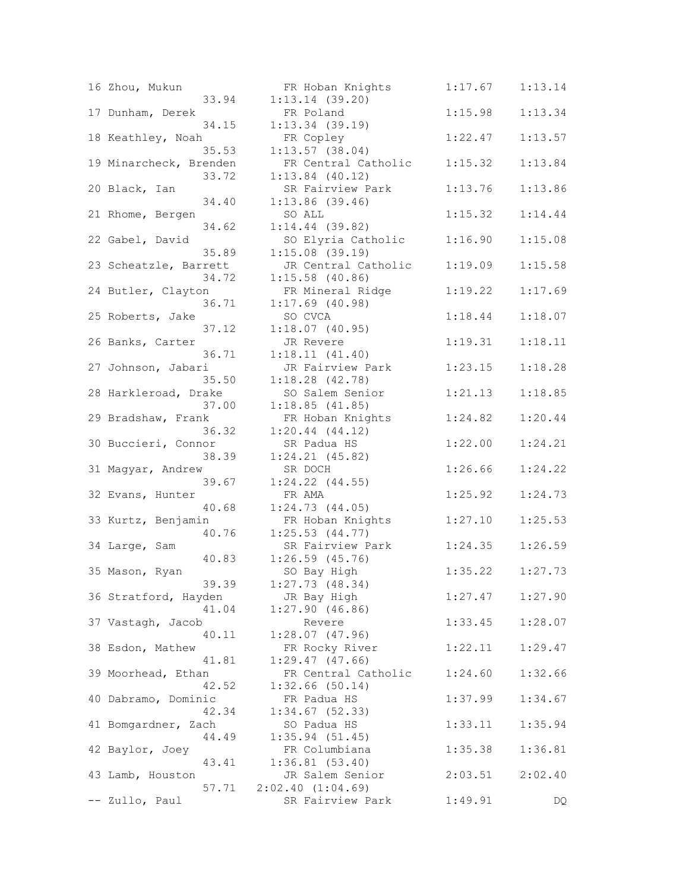|    | 16 Zhou, Mukun                 | FR Hoban Knigh                      |
|----|--------------------------------|-------------------------------------|
|    | 33.94<br>17 Dunham, Derek      | $1:13.14$ (39.20)<br>FR Poland      |
|    | 34.15                          | $1:13.34$ (39.19)                   |
|    | 18 Keathley, Noah<br>35.53     | FR Copley<br>$1:13.57$ (38.04)      |
|    | 19 Minarcheck, Brenden         | FR Central Cat<br>$1:13.84$ (40.12) |
|    | 33.72<br>20 Black, Ian         | SR Fairview Pa                      |
|    | 34.40<br>21 Rhome, Bergen      | $1:13.86$ (39.46)<br>SO ALL         |
|    | 34.62                          | $1:14.44$ (39.82)                   |
|    | 22 Gabel, David<br>35.89       | SO Elyria Cath<br>1:15.08(39.19)    |
|    | 23 Scheatzle, Barrett<br>34.72 | JR Central Cat<br>$1:15.58$ (40.86) |
|    | 24 Butler, Clayton             | FR Mineral Rid                      |
|    | 36.71<br>25 Roberts, Jake      | $1:17.69$ (40.98)<br>SO CVCA        |
|    | 37.12                          | 1:18.07(40.95)                      |
|    | 26 Banks, Carter<br>36.71      | JR Revere<br>1:18.11(41.40)         |
|    | 27 Johnson, Jabari<br>35.50    | JR Fairview Pa<br>1:18.28(42.78)    |
|    | 28 Harkleroad, Drake           | SO Salem Senio                      |
|    | 37.00<br>29 Bradshaw, Frank    | 1:18.85(41.85)<br>FR Hoban Knigh    |
|    | 36.32                          | 1:20.44(44.12)                      |
|    | 30 Buccieri, Connor<br>38.39   | SR Padua HS<br>$1:24.21$ $(45.82)$  |
|    | 31 Magyar, Andrew<br>39.67     | SR DOCH<br>$1:24.22$ $(44.55)$      |
|    | 32 Evans, Hunter               | FR AMA                              |
|    | 40.68<br>33 Kurtz, Benjamin    | 1:24.73(44.05)<br>FR Hoban Knigh    |
|    | 40.76<br>34 Large, Sam         | 1:25.53(44.77)<br>SR Fairview Pa    |
|    | 40.83                          | $1:26.59$ $(45.76)$                 |
|    | 35 Mason, Ryan<br>39.39        | SO Bay High<br>$1:27.73$ (48.34)    |
|    | 36 Stratford, Hayden           | JR Bay High                         |
|    | 41.04<br>37 Vastagh, Jacob     | 1:27.90(46.86)<br>Revere            |
|    | 40.11<br>38 Esdon, Mathew      | 1:28.07(47.96)<br>FR Rocky River    |
|    | 41.81                          | 1:29.47(47.66)                      |
|    | 39 Moorhead, Ethan<br>42.52    | FR Central Cat<br>$1:32.66$ (50.14) |
| 40 | Dabramo, Dominic               | FR Padua HS                         |
| 41 | 42.34<br>Bomgardner,<br>Zach   | 1:34.67(52.33)<br>SO Padua HS       |
|    | 44.49<br>42 Baylor, Joey       | 1:35.94(51.45)<br>FR Columbiana     |
|    | 43.41                          | 1:36.81(53.40)                      |
|    | 43 Lamb, Houston<br>57.71      | JR Salem Senio<br>2:02.40(1:04.69)  |
|    | Zullo, Paul                    | SR Fairview Pa                      |

| 16 Zhou, Mukun<br>33.94         | FR Hoban Knights<br>$1:13.14$ (39.20)               | 1:17.67 | 1:13.14 |
|---------------------------------|-----------------------------------------------------|---------|---------|
| 17 Dunham, Derek                | FR Poland                                           | 1:15.98 | 1:13.34 |
| 34.15<br>18 Keathley, Noah      | $1:13.34$ (39.19)<br>FR Copley                      | 1:22.47 | 1:13.57 |
| 35.53<br>19 Minarcheck, Brenden | 1:13.57(38.04)<br>FR Central Catholic               | 1:15.32 | 1:13.84 |
| 33.72<br>20 Black, Ian          | $1:13.84$ (40.12)<br>SR Fairview Park               | 1:13.76 | 1:13.86 |
| 34.40<br>21 Rhome, Bergen       | $1:13.86$ (39.46)<br>SO ALL                         | 1:15.32 | 1:14.44 |
| 34.62                           | $1:14.44$ (39.82)                                   |         |         |
| 22 Gabel, David<br>35.89        | SO Elyria Catholic<br>1:15.08(39.19)                | 1:16.90 | 1:15.08 |
| 23 Scheatzle, Barrett<br>34.72  | JR Central Catholic<br>$1:15.58$ (40.86)            | 1:19.09 | 1:15.58 |
| 24 Butler, Clayton<br>36.71     | FR Mineral Ridge<br>$1:17.69$ (40.98)               | 1:19.22 | 1:17.69 |
| 25 Roberts, Jake                | SO CVCA                                             | 1:18.44 | 1:18.07 |
| 37.12<br>26 Banks, Carter       | 1:18.07(40.95)<br>JR Revere                         | 1:19.31 | 1:18.11 |
| 36.71<br>27 Johnson, Jabari     | 1:18.11(41.40)<br>JR Fairview Park                  | 1:23.15 | 1:18.28 |
| 35.50<br>28 Harkleroad, Drake   | 1:18.28(42.78)<br>SO Salem Senior<br>1:18.85(41.85) | 1:21.13 | 1:18.85 |
| 37.00<br>29 Bradshaw, Frank     | FR Hoban Knights                                    | 1:24.82 | 1:20.44 |
| 36.32<br>30 Buccieri, Connor    | 1:20.44(44.12)<br>SR Padua HS                       | 1:22.00 | 1:24.21 |
| 38.39<br>31 Magyar, Andrew      | $1:24.21$ $(45.82)$<br>SR DOCH                      | 1:26.66 | 1:24.22 |
| 39.67<br>32 Evans, Hunter       | $1:24.22$ $(44.55)$<br>FR AMA                       | 1:25.92 | 1:24.73 |
| 40.68<br>33 Kurtz, Benjamin     | 1:24.73(44.05)<br>FR Hoban Knights                  | 1:27.10 | 1:25.53 |
| 40.76<br>34 Large, Sam          | $1:25.53$ $(44.77)$<br>SR Fairview Park             | 1:24.35 | 1:26.59 |
| 40.83<br>35 Mason, Ryan         | $1:26.59$ $(45.76)$<br>SO Bay High                  | 1:35.22 | 1:27.73 |
| 39.39                           | 1:27.73(48.34)                                      |         |         |
| 36 Stratford, Hayden<br>41.04   | JR Bay High<br>1:27.90(46.86)                       | 1:27.47 | 1:27.90 |
| 37 Vastagh, Jacob<br>40.11      | Revere<br>1:28.07(47.96)                            | 1:33.45 | 1:28.07 |
| 38 Esdon, Mathew<br>41.81       | FR Rocky River<br>1:29.47(47.66)                    | 1:22.11 | 1:29.47 |
| 39 Moorhead, Ethan<br>42.52     | FR Central Catholic<br>$1:32.66$ (50.14)            | 1:24.60 | 1:32.66 |
| 40 Dabramo, Dominic             | FR Padua HS                                         | 1:37.99 | 1:34.67 |
| 42.34<br>41 Bomgardner, Zach    | $1:34.67$ (52.33)<br>SO Padua HS                    | 1:33.11 | 1:35.94 |
| 44.49<br>42 Baylor, Joey        | 1:35.94(51.45)<br>FR Columbiana                     | 1:35.38 | 1:36.81 |
| 43.41<br>43 Lamb, Houston       | 1:36.81(53.40)<br>JR Salem Senior                   | 2:03.51 | 2:02.40 |
| 57.71<br>-- Zullo, Paul         | 2:02.40(1:04.69)<br>SR Fairview Park                | 1:49.91 | DQ      |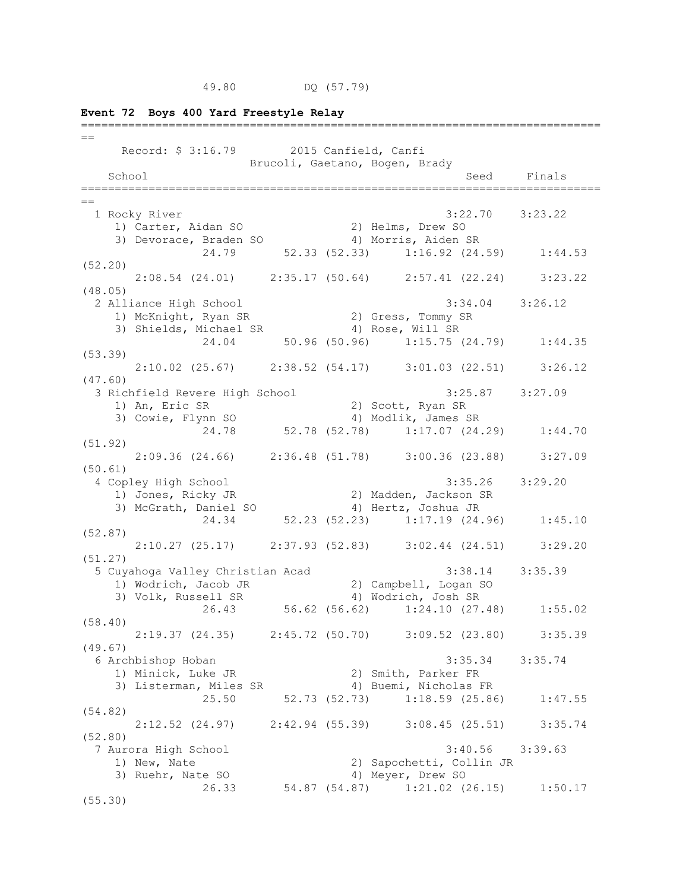**Event 72 Boys 400 Yard Freestyle Relay**

| $==$                                                                                  |                                |                                                            |             |
|---------------------------------------------------------------------------------------|--------------------------------|------------------------------------------------------------|-------------|
| Record: \$ 3:16.79 2015 Canfield, Canfi                                               |                                |                                                            |             |
|                                                                                       | Brucoli, Gaetano, Bogen, Brady |                                                            |             |
| School                                                                                |                                |                                                            | Seed Finals |
| $==$                                                                                  |                                |                                                            |             |
| 1 Rocky River                                                                         |                                | $3:22.70$ $3:23.22$                                        |             |
| 1) Carter, Aidan SO                                                                   |                                | 2) Helms, Drew SO                                          |             |
| 3) Devorace, Braden SO                                                                |                                | 4) Morris, Aiden SR                                        |             |
| 24.79                                                                                 |                                | 52.33 (52.33) 1:16.92 (24.59) 1:44.53                      |             |
| (52.20)                                                                               |                                |                                                            |             |
| $2:08.54$ (24.01) $2:35.17$ (50.64) $2:57.41$ (22.24) $3:23.22$                       |                                |                                                            |             |
| (48.05)                                                                               |                                |                                                            |             |
| 2 Alliance High School                                                                |                                | $3:34.04$ $3:26.12$                                        |             |
|                                                                                       |                                |                                                            |             |
|                                                                                       |                                |                                                            |             |
| 1) McKnight, Ryan SR<br>3) Shields, Michael SR<br>24.04 50.96 (50.96) 1:15.75 (24.79) |                                |                                                            | 1:44.35     |
| (53.39)                                                                               |                                |                                                            |             |
| $2:10.02$ (25.67) $2:38.52$ (54.17) $3:01.03$ (22.51)                                 |                                |                                                            | 3:26.12     |
| (47.60)                                                                               |                                |                                                            |             |
| 3 Richfield Revere High School                                                        |                                | $3:25.87$ $3:27.09$                                        |             |
| 1) An, Eric SR<br>3) Cowie, Flynn SO                                                  |                                | 2) Scott, Ryan SR                                          |             |
|                                                                                       |                                | 4) Modlik, James SR<br>24.78 52.78 (52.78) 1:17.07 (24.29) | 1:44.70     |
| (51.92)                                                                               |                                |                                                            |             |
| 2:09.36 (24.66) 2:36.48 (51.78) 3:00.36 (23.88) 3:27.09                               |                                |                                                            |             |
| (50.61)                                                                               |                                |                                                            |             |
| 4 Copley High School                                                                  |                                | $3:35.26$ $3:29.20$                                        |             |
| 1) Jones, Ricky JR                                                                    |                                | 2) Madden, Jackson SR                                      |             |
| 3) McGrath, Daniel SO                                                                 |                                | 4) Hertz, Joshua JR                                        |             |
|                                                                                       |                                | 24.34 52.23 (52.23) 1:17.19 (24.96)                        | 1:45.10     |
| (52.87)                                                                               |                                |                                                            |             |
| 2:10.27 (25.17) 2:37.93 (52.83) 3:02.44 (24.51) 3:29.20                               |                                |                                                            |             |
| (51.27)                                                                               |                                |                                                            |             |
| 5 Cuyahoga Valley Christian Acad                                                      |                                | $3:38.14$ $3:35.39$                                        |             |
| 1) Wodrich, Jacob JR<br>1) Wodrich, Jacob JR                                          |                                | 2) Campbell, Logan SO                                      |             |
| 3) Volk, Russell SR                                                                   |                                | 4) Wodrich, Josh SR                                        |             |
|                                                                                       |                                | 26.43 56.62 (56.62) 1:24.10 (27.48) 1:55.02                |             |
| (58.40)<br>$2:19.37$ (24.35) $2:45.72$ (50.70) $3:09.52$ (23.80)                      |                                |                                                            | 3:35.39     |
| (49.67)                                                                               |                                |                                                            |             |
| 6 Archbishop Hoban                                                                    |                                | 3:35.34                                                    | 3:35.74     |
| 1) Minick, Luke JR                                                                    |                                | 2) Smith, Parker FR                                        |             |
| 3) Listerman, Miles SR                                                                |                                | 4) Buemi, Nicholas FR                                      |             |
| 25.50                                                                                 | 52.73 (52.73)                  | $1:18.59$ (25.86)                                          | 1:47.55     |
| (54.82)                                                                               |                                |                                                            |             |
| $2:12.52$ (24.97)                                                                     |                                | $2:42.94$ (55.39) 3:08.45 (25.51)                          | 3:35.74     |
| (52.80)                                                                               |                                |                                                            |             |
| 7 Aurora High School                                                                  |                                | 3:40.56                                                    | 3:39.63     |
| 1) New, Nate                                                                          |                                | 2) Sapochetti, Collin JR                                   |             |
| 3) Ruehr, Nate SO                                                                     |                                | 4) Meyer, Drew SO                                          |             |
| 26.33                                                                                 | 54.87 (54.87)                  | $1:21.02$ (26.15)                                          | 1:50.17     |
| (55.30)                                                                               |                                |                                                            |             |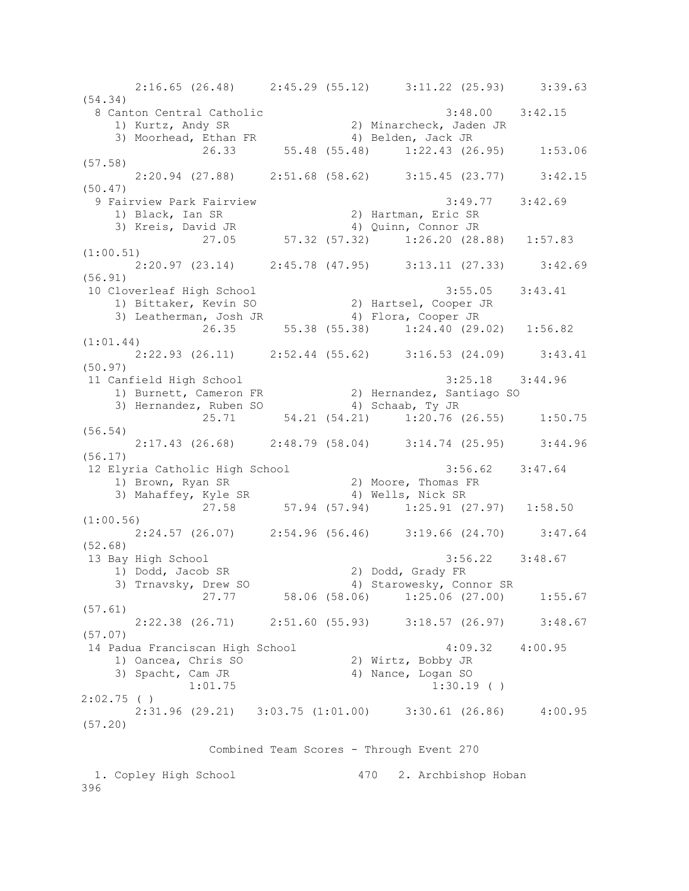2:16.65 (26.48) 2:45.29 (55.12) 3:11.22 (25.93) 3:39.63 (54.34) 8 Canton Central Catholic 3:48.00 3:42.15 1) Kurtz, Andy SR 2) Minarcheck, Jaden JR 3) Moorhead, Ethan FR 4) Belden, Jack JR 26.33 55.48 (55.48) 1:22.43 (26.95) 1:53.06 (57.58) 2:20.94 (27.88) 2:51.68 (58.62) 3:15.45 (23.77) 3:42.15 (50.47) 9 Fairview Park Fairview 3:49.77 3:42.69 1) Black, Ian SR 2) Hartman, Eric SR 3) Kreis, David JR 4) Quinn, Connor JR 27.05 57.32 (57.32) 1:26.20 (28.88) 1:57.83 (1:00.51) 2:20.97 (23.14) 2:45.78 (47.95) 3:13.11 (27.33) 3:42.69 (56.91) 10 Cloverleaf High School 3:55.05 3:43.41 1) Bittaker, Kevin SO 2) Hartsel, Cooper JR 3) Leatherman, Josh JR 4) Flora, Cooper JR 26.35 55.38 (55.38) 1:24.40 (29.02) 1:56.82 (1:01.44) 2:22.93 (26.11) 2:52.44 (55.62) 3:16.53 (24.09) 3:43.41 (50.97) 11 Canfield High School 3:25.18 3:44.96 1) Burnett, Cameron FR 2) Hernandez, Santiago SO 3) Hernandez, Ruben SO 4) Schaab, Ty JR 25.71 54.21 (54.21) 1:20.76 (26.55) 1:50.75 (56.54) 2:17.43 (26.68) 2:48.79 (58.04) 3:14.74 (25.95) 3:44.96 (56.17) 12 Elyria Catholic High School 3:56.62 3:47.64 1) Brown, Ryan SR 2) Moore, Thomas FR 3) Mahaffey, Kyle SR 4) Wells, Nick SR 27.58 57.94 (57.94) 1:25.91 (27.97) 1:58.50 (1:00.56) 2:24.57 (26.07) 2:54.96 (56.46) 3:19.66 (24.70) 3:47.64 (52.68) 13 Bay High School 3:56.22 3:48.67 1) Dodd, Jacob SR 2) Dodd, Grady FR 3) Trnavsky, Drew SO 4) Starowesky, Connor SR 27.77 58.06 (58.06) 1:25.06 (27.00) 1:55.67 (57.61) 2:22.38 (26.71) 2:51.60 (55.93) 3:18.57 (26.97) 3:48.67 (57.07)  $\overline{14}$  Padua Franciscan High School  $4:09.32$   $4:00.95$ 1) Oancea, Chris SO 2) Wirtz, Bobby JR<br>3) Spacht, Cam JR 4) Nance, Logan SO 1:01.75 1:30.19 ( ) 2:02.75 ( ) 2:31.96 (29.21) 3:03.75 (1:01.00) 3:30.61 (26.86) 4:00.95 (57.20) Combined Team Scores - Through Event 270 1. Copley High School 470 2. Archbishop Hoban

<sup>396</sup>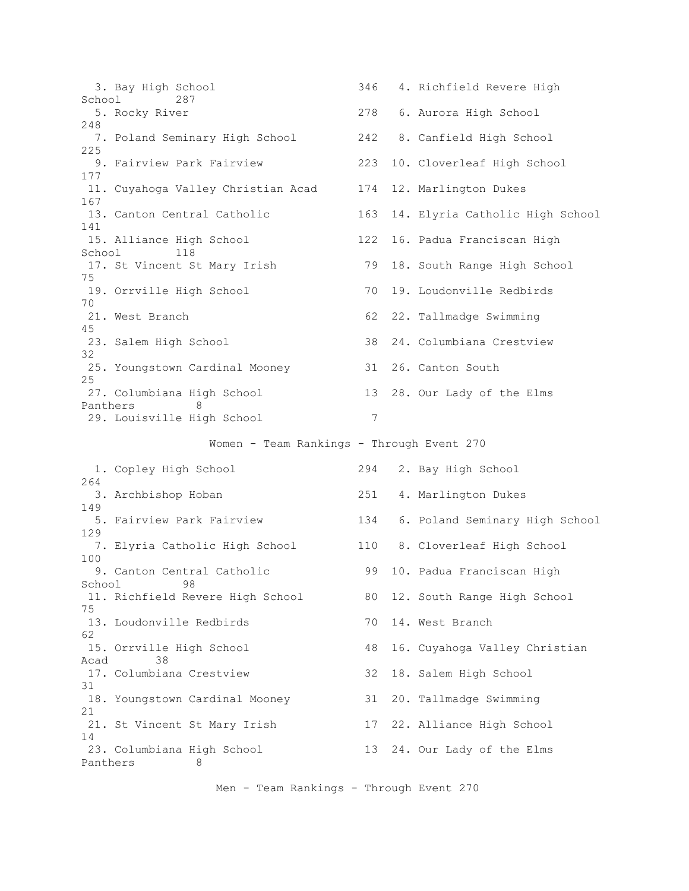3. Bay High School 346 4. Richfield Revere High School 287 5. Rocky River 278 6. Aurora High School 248 7. Poland Seminary High School 242 8. Canfield High School 225 9. Fairview Park Fairview 223 10. Cloverleaf High School 177 11. Cuyahoga Valley Christian Acad 174 12. Marlington Dukes 167 13. Canton Central Catholic 163 14. Elyria Catholic High School 141 15. Alliance High School 122 16. Padua Franciscan High School 118 17. St Vincent St Mary Irish 79 18. South Range High School 75 19. Orrville High School 70 19. Loudonville Redbirds 70 21. West Branch 62 22. Tallmadge Swimming 45 23. Salem High School 38 24. Columbiana Crestview 32 25. Youngstown Cardinal Mooney 31 26. Canton South 25 27. Columbiana High School 13 28. Our Lady of the Elms Panthers 8 29. Louisville High School 7 Women - Team Rankings - Through Event 270 1. Copley High School 294 2. Bay High School 264 3. Archbishop Hoban 251 4. Marlington Dukes 149 5. Fairview Park Fairview 134 6. Poland Seminary High School 129 7. Elyria Catholic High School 110 8. Cloverleaf High School 100 9. Canton Central Catholic 99 10. Padua Franciscan High School 98 11. Richfield Revere High School 80 12. South Range High School 75 13. Loudonville Redbirds 10 14. West Branch 62 15. Orrville High School 48 16. Cuyahoga Valley Christian Acad 38 17. Columbiana Crestview 32 18. Salem High School 31 18. Youngstown Cardinal Mooney 31 20. Tallmadge Swimming 21 21. St Vincent St Mary Irish 17 22. Alliance High School 14 23. Columbiana High School 13 24. Our Lady of the Elms Panthers 8

Men - Team Rankings - Through Event 270